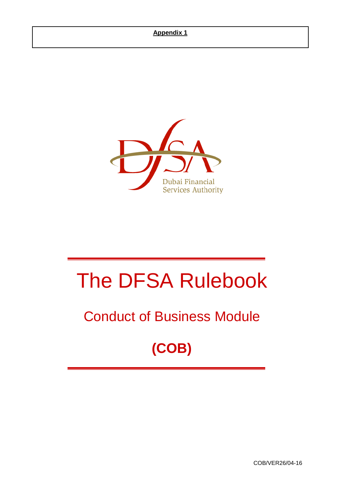## **Appendix 1**



# The DFSA Rulebook

## Conduct of Business Module

## **(COB)**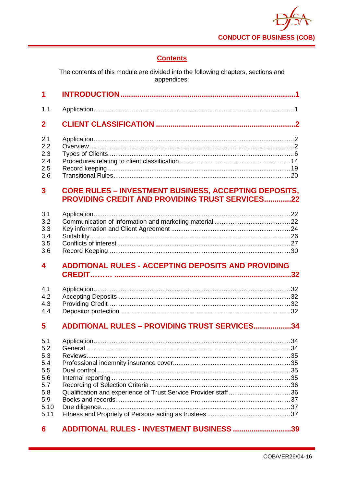

## **Contents**

The contents of this module are divided into the following chapters, sections and<br>appendices:

| 1                                                                           |                                                                                                                 |
|-----------------------------------------------------------------------------|-----------------------------------------------------------------------------------------------------------------|
| 1.1                                                                         |                                                                                                                 |
| $\overline{2}$                                                              |                                                                                                                 |
| 2.1<br>2.2<br>2.3<br>2.4<br>2.5<br>2.6                                      |                                                                                                                 |
| 3                                                                           | <b>CORE RULES - INVESTMENT BUSINESS, ACCEPTING DEPOSITS,</b><br>PROVIDING CREDIT AND PROVIDING TRUST SERVICES22 |
| 3.1<br>3.2<br>3.3<br>3.4<br>3.5<br>3.6                                      |                                                                                                                 |
|                                                                             |                                                                                                                 |
| 4                                                                           | <b>ADDITIONAL RULES - ACCEPTING DEPOSITS AND PROVIDING</b>                                                      |
| 4.1<br>4.2<br>4.3<br>4.4                                                    |                                                                                                                 |
| 5                                                                           | <b>ADDITIONAL RULES - PROVIDING TRUST SERVICES34</b>                                                            |
| 5.1<br>5.2<br>5.3<br>5.4<br>5.5<br>5.6<br>5.7<br>5.8<br>5.9<br>5.10<br>5.11 |                                                                                                                 |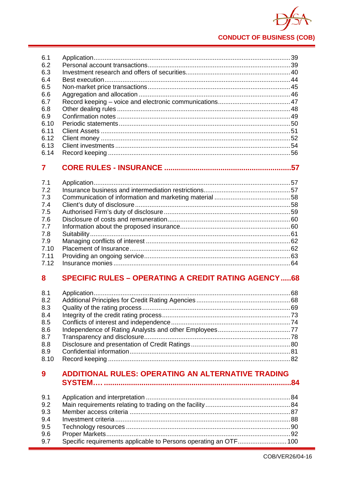

| 6.1  |     |
|------|-----|
| 6.2  |     |
| 6.3  |     |
| 6.4  |     |
| 6.5  |     |
| 6.6  |     |
| 6.7  |     |
| 6.8  |     |
| 6.9  |     |
| 6.10 |     |
| 6.11 |     |
| 6.12 |     |
| 6.13 | .54 |
| 6.14 |     |

#### $\overline{7}$

#### **SPECIFIC RULES - OPERATING A CREDIT RATING AGENCY.....68** 8

| 8.1  |  |
|------|--|
| 8.2  |  |
| 8.3  |  |
| 8.4  |  |
| 8.5  |  |
| 8.6  |  |
| 8.7  |  |
| 8.8  |  |
| 8.9  |  |
| 8.10 |  |

#### ADDITIONAL RULES: OPERATING AN ALTERNATIVE TRADING 9

| 9.2 |  |
|-----|--|
| 9.3 |  |
| 9.4 |  |
| 9.5 |  |
| 9.6 |  |
| 9.7 |  |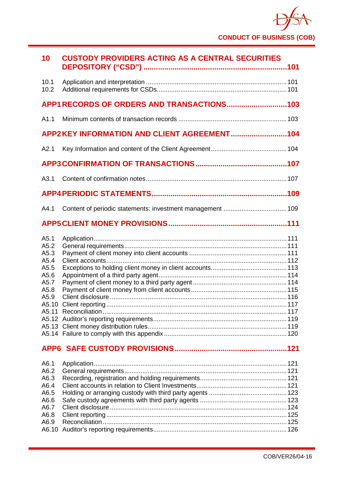

| 10                                                                            | <b>CUSTODY PROVIDERS ACTING AS A CENTRAL SECURITIES</b> |  |
|-------------------------------------------------------------------------------|---------------------------------------------------------|--|
| 10.1<br>10.2                                                                  |                                                         |  |
|                                                                               | APP1 RECORDS OF ORDERS AND TRANSACTIONS103              |  |
| A1.1                                                                          |                                                         |  |
|                                                                               | APP2KEY INFORMATION AND CLIENT AGREEMENT104             |  |
| A2.1                                                                          |                                                         |  |
|                                                                               |                                                         |  |
| A3.1                                                                          |                                                         |  |
|                                                                               |                                                         |  |
| A4.1                                                                          |                                                         |  |
|                                                                               |                                                         |  |
| A5.1<br>A5.2<br>A5.3<br>A5.4<br>A5.5<br>A5.6<br>A5.7<br>A5.8<br>A5.9<br>A5.10 |                                                         |  |
|                                                                               |                                                         |  |
| A6.1<br>A6.2<br>A6.3<br>A6.4<br>A6.5<br>A6.6<br>A6.7<br>A6.8<br>A6.9<br>A6.10 |                                                         |  |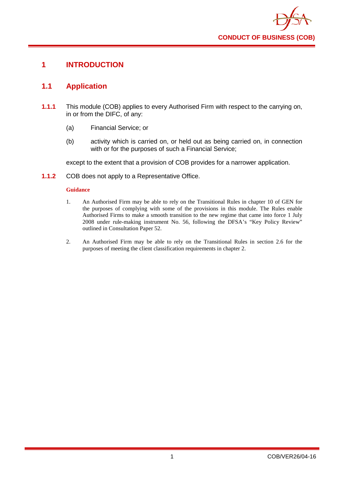

## <span id="page-4-0"></span>**1 INTRODUCTION**

## <span id="page-4-1"></span>**1.1 Application**

- **1.1.1** This module (COB) applies to every Authorised Firm with respect to the carrying on, in or from the DIFC, of any:
	- (a) Financial Service; or
	- (b) activity which is carried on, or held out as being carried on, in connection with or for the purposes of such a Financial Service;

except to the extent that a provision of COB provides for a narrower application.

**1.1.2** COB does not apply to a Representative Office.

#### **Guidance**

- 1. An Authorised Firm may be able to rely on the Transitional Rules in chapter 10 of GEN for the purposes of complying with some of the provisions in this module. The Rules enable Authorised Firms to make a smooth transition to the new regime that came into force 1 July 2008 under rule-making instrument No. 56, following the DFSA's "Key Policy Review" outlined in Consultation Paper 52.
- 2. An Authorised Firm may be able to rely on the Transitional Rules in section 2.6 for the purposes of meeting the client classification requirements in chapter 2.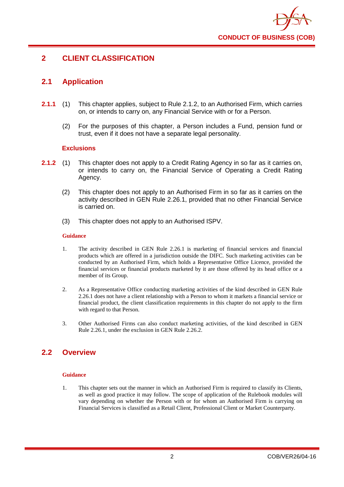

## <span id="page-5-0"></span>**2 CLIENT CLASSIFICATION**

## <span id="page-5-1"></span>**2.1 Application**

- **2.1.1** (1) This chapter applies, subject to Rule 2.1.2, to an Authorised Firm, which carries on, or intends to carry on, any Financial Service with or for a Person.
	- (2) For the purposes of this chapter, a Person includes a Fund, pension fund or trust, even if it does not have a separate legal personality.

#### **Exclusions**

- **2.1.2** (1) This chapter does not apply to a Credit Rating Agency in so far as it carries on, or intends to carry on, the Financial Service of Operating a Credit Rating Agency.
	- (2) This chapter does not apply to an Authorised Firm in so far as it carries on the activity described in GEN Rule 2.26.1, provided that no other Financial Service is carried on.
	- (3) This chapter does not apply to an Authorised ISPV.

#### **Guidance**

- 1. The activity described in GEN Rule 2.26.1 is marketing of financial services and financial products which are offered in a jurisdiction outside the DIFC. Such marketing activities can be conducted by an Authorised Firm, which holds a Representative Office Licence, provided the financial services or financial products marketed by it are those offered by its head office or a member of its Group.
- 2. As a Representative Office conducting marketing activities of the kind described in GEN Rule 2.26.1 does not have a client relationship with a Person to whom it markets a financial service or financial product, the client classification requirements in this chapter do not apply to the firm with regard to that Person.
- 3. Other Authorised Firms can also conduct marketing activities, of the kind described in GEN Rule 2.26.1, under the exclusion in GEN Rule 2.26.2.

## <span id="page-5-2"></span>**2.2 Overview**

#### **Guidance**

1. This chapter sets out the manner in which an Authorised Firm is required to classify its Clients, as well as good practice it may follow. The scope of application of the Rulebook modules will vary depending on whether the Person with or for whom an Authorised Firm is carrying on Financial Services is classified as a Retail Client, Professional Client or Market Counterparty.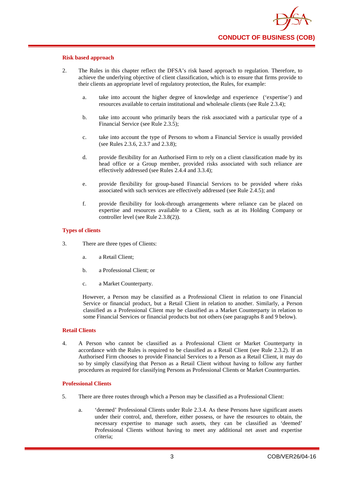#### **Risk based approach**

- 2. The Rules in this chapter reflect the DFSA's risk based approach to regulation. Therefore, to achieve the underlying objective of client classification, which is to ensure that firms provide to their clients an appropriate level of regulatory protection, the Rules, for example:
	- a. take into account the higher degree of knowledge and experience ('expertise') and resources available to certain institutional and wholesale clients (see Rule 2.3.4);
	- b. take into account who primarily bears the risk associated with a particular type of a Financial Service (see Rule 2.3.5);
	- c. take into account the type of Persons to whom a Financial Service is usually provided (see Rules 2.3.6, 2.3.7 and 2.3.8);
	- d. provide flexibility for an Authorised Firm to rely on a client classification made by its head office or a Group member, provided risks associated with such reliance are effectively addressed (see Rules 2.4.4 and 3.3.4);
	- e. provide flexibility for group-based Financial Services to be provided where risks associated with such services are effectively addressed (see Rule 2.4.5); and
	- f. provide flexibility for look-through arrangements where reliance can be placed on expertise and resources available to a Client, such as at its Holding Company or controller level (see Rule 2.3.8(2)).

#### **Types of clients**

- 3. There are three types of Clients:
	- a. a Retail Client;
	- b. a Professional Client; or
	- c. a Market Counterparty.

However, a Person may be classified as a Professional Client in relation to one Financial Service or financial product, but a Retail Client in relation to another. Similarly, a Person classified as a Professional Client may be classified as a Market Counterparty in relation to some Financial Services or financial products but not others (see paragraphs 8 and 9 below).

#### **Retail Clients**

4. A Person who cannot be classified as a Professional Client or Market Counterparty in accordance with the Rules is required to be classified as a Retail Client (see Rule 2.3.2). If an Authorised Firm chooses to provide Financial Services to a Person as a Retail Client, it may do so by simply classifying that Person as a Retail Client without having to follow any further procedures as required for classifying Persons as Professional Clients or Market Counterparties.

#### **Professional Clients**

- 5. There are three routes through which a Person may be classified as a Professional Client:
	- a. 'deemed' Professional Clients under Rule 2.3.4. As these Persons have significant assets under their control, and, therefore, either possess, or have the resources to obtain, the necessary expertise to manage such assets, they can be classified as 'deemed' Professional Clients without having to meet any additional net asset and expertise criteria;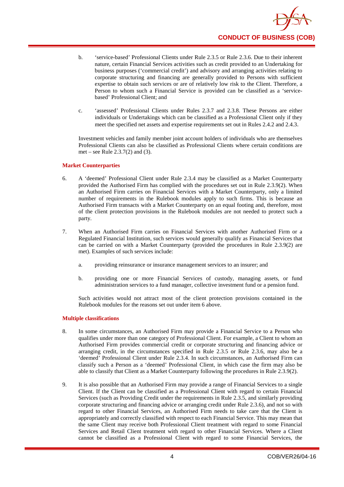

- b. 'service-based' Professional Clients under Rule 2.3.5 or Rule 2.3.6. Due to their inherent nature, certain Financial Services activities such as credit provided to an Undertaking for business purposes ('commercial credit') and advisory and arranging activities relating to corporate structuring and financing are generally provided to Persons with sufficient expertise to obtain such services or are of relatively low risk to the Client. Therefore, a Person to whom such a Financial Service is provided can be classified as a 'servicebased' Professional Client; and
- c. 'assessed' Professional Clients under Rules 2.3.7 and 2.3.8. These Persons are either individuals or Undertakings which can be classified as a Professional Client only if they meet the specified net assets and expertise requirements set out in Rules 2.4.2 and 2.4.3.

Investment vehicles and family member joint account holders of individuals who are themselves Professional Clients can also be classified as Professional Clients where certain conditions are met – see Rule 2.3.7(2) and (3).

#### **Market Counterparties**

- 6. A 'deemed' Professional Client under Rule 2.3.4 may be classified as a Market Counterparty provided the Authorised Firm has complied with the procedures set out in Rule 2.3.9(2). When an Authorised Firm carries on Financial Services with a Market Counterparty, only a limited number of requirements in the Rulebook modules apply to such firms. This is because an Authorised Firm transacts with a Market Counterparty on an equal footing and, therefore, most of the client protection provisions in the Rulebook modules are not needed to protect such a party.
- 7. When an Authorised Firm carries on Financial Services with another Authorised Firm or a Regulated Financial Institution, such services would generally qualify as Financial Services that can be carried on with a Market Counterparty (provided the procedures in Rule 2.3.9(2) are met). Examples of such services include:
	- a. providing reinsurance or insurance management services to an insurer; and
	- b. providing one or more Financial Services of custody, managing assets, or fund administration services to a fund manager, collective investment fund or a pension fund.

Such activities would not attract most of the client protection provisions contained in the Rulebook modules for the reasons set out under item 6 above.

#### **Multiple classifications**

- 8. In some circumstances, an Authorised Firm may provide a Financial Service to a Person who qualifies under more than one category of Professional Client. For example, a Client to whom an Authorised Firm provides commercial credit or corporate structuring and financing advice or arranging credit, in the circumstances specified in Rule 2.3.5 or Rule 2.3.6, may also be a 'deemed' Professional Client under Rule 2.3.4. In such circumstances, an Authorised Firm can classify such a Person as a 'deemed' Professional Client, in which case the firm may also be able to classify that Client as a Market Counterparty following the procedures in Rule 2.3.9(2).
- 9. It is also possible that an Authorised Firm may provide a range of Financial Services to a single Client. If the Client can be classified as a Professional Client with regard to certain Financial Services (such as Providing Credit under the requirements in Rule 2.3.5, and similarly providing corporate structuring and financing advice or arranging credit under Rule 2.3.6), and not so with regard to other Financial Services, an Authorised Firm needs to take care that the Client is appropriately and correctly classified with respect to each Financial Service. This may mean that the same Client may receive both Professional Client treatment with regard to some Financial Services and Retail Client treatment with regard to other Financial Services. Where a Client cannot be classified as a Professional Client with regard to some Financial Services, the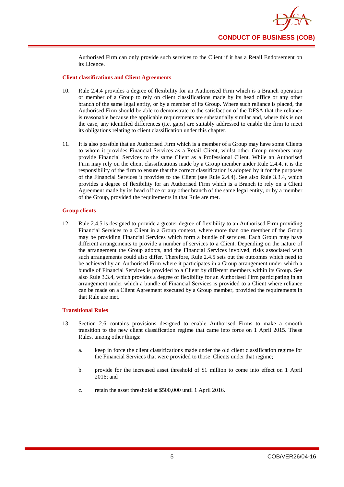

Authorised Firm can only provide such services to the Client if it has a Retail Endorsement on its Licence.

#### **Client classifications and Client Agreements**

- 10. Rule 2.4.4 provides a degree of flexibility for an Authorised Firm which is a Branch operation or member of a Group to rely on client classifications made by its head office or any other branch of the same legal entity, or by a member of its Group. Where such reliance is placed, the Authorised Firm should be able to demonstrate to the satisfaction of the DFSA that the reliance is reasonable because the applicable requirements are substantially similar and, where this is not the case, any identified differences (i.e. gaps) are suitably addressed to enable the firm to meet its obligations relating to client classification under this chapter.
- 11. It is also possible that an Authorised Firm which is a member of a Group may have some Clients to whom it provides Financial Services as a Retail Client, whilst other Group members may provide Financial Services to the same Client as a Professional Client. While an Authorised Firm may rely on the client classifications made by a Group member under Rule 2.4.4, it is the responsibility of the firm to ensure that the correct classification is adopted by it for the purposes of the Financial Services it provides to the Client (see Rule 2.4.4). See also Rule 3.3.4, which provides a degree of flexibility for an Authorised Firm which is a Branch to rely on a Client Agreement made by its head office or any other branch of the same legal entity, or by a member of the Group, provided the requirements in that Rule are met.

#### **Group clients**

12. Rule 2.4.5 is designed to provide a greater degree of flexibility to an Authorised Firm providing Financial Services to a Client in a Group context, where more than one member of the Group may be providing Financial Services which form a bundle of services. Each Group may have different arrangements to provide a number of services to a Client. Depending on the nature of the arrangement the Group adopts, and the Financial Services involved, risks associated with such arrangements could also differ. Therefore, Rule 2.4.5 sets out the outcomes which need to be achieved by an Authorised Firm where it participates in a Group arrangement under which a bundle of Financial Services is provided to a Client by different members within its Group. See also Rule 3.3.4, which provides a degree of flexibility for an Authorised Firm participating in an arrangement under which a bundle of Financial Services is provided to a Client where reliance can be made on a Client Agreement executed by a Group member, provided the requirements in that Rule are met.

#### **Transitional Rules**

- 13. Section 2.6 contains provisions designed to enable Authorised Firms to make a smooth transition to the new client classification regime that came into force on 1 April 2015. These Rules, among other things:
	- a. keep in force the client classifications made under the old client classification regime for the Financial Services that were provided to those Clients under that regime;
	- b. provide for the increased asset threshold of \$1 million to come into effect on 1 April 2016; and
	- c. retain the asset threshold at \$500,000 until 1 April 2016.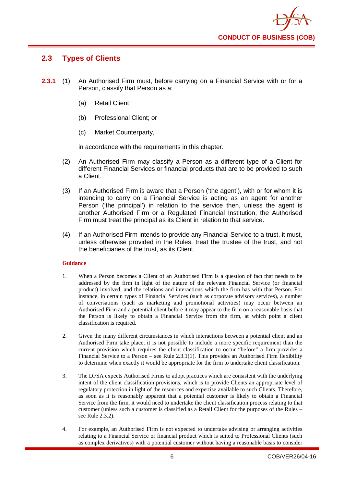

## <span id="page-9-0"></span>**2.3 Types of Clients**

- **2.3.1** (1) An Authorised Firm must, before carrying on a Financial Service with or for a Person, classify that Person as a:
	- (a) Retail Client;
	- (b) Professional Client; or
	- (c) Market Counterparty,

in accordance with the requirements in this chapter.

- (2) An Authorised Firm may classify a Person as a different type of a Client for different Financial Services or financial products that are to be provided to such a Client.
- (3) If an Authorised Firm is aware that a Person ('the agent'), with or for whom it is intending to carry on a Financial Service is acting as an agent for another Person ('the principal') in relation to the service then, unless the agent is another Authorised Firm or a Regulated Financial Institution, the Authorised Firm must treat the principal as its Client in relation to that service.
- (4) If an Authorised Firm intends to provide any Financial Service to a trust, it must, unless otherwise provided in the Rules, treat the trustee of the trust, and not the beneficiaries of the trust, as its Client.

#### **Guidance**

- 1. When a Person becomes a Client of an Authorised Firm is a question of fact that needs to be addressed by the firm in light of the nature of the relevant Financial Service (or financial product) involved, and the relations and interactions which the firm has with that Person. For instance, in certain types of Financial Services (such as corporate advisory services), a number of conversations (such as marketing and promotional activities) may occur between an Authorised Firm and a potential client before it may appear to the firm on a reasonable basis that the Person is likely to obtain a Financial Service from the firm, at which point a client classification is required.
- 2. Given the many different circumstances in which interactions between a potential client and an Authorised Firm take place, it is not possible to include a more specific requirement than the current provision which requires the client classification to occur "before" a firm provides a Financial Service to a Person – see Rule 2.3.1(1). This provides an Authorised Firm flexibility to determine when exactly it would be appropriate for the firm to undertake client classification.
- 3. The DFSA expects Authorised Firms to adopt practices which are consistent with the underlying intent of the client classification provisions, which is to provide Clients an appropriate level of regulatory protection in light of the resources and expertise available to such Clients. Therefore, as soon as it is reasonably apparent that a potential customer is likely to obtain a Financial Service from the firm, it would need to undertake the client classification process relating to that customer (unless such a customer is classified as a Retail Client for the purposes of the Rules – see Rule 2.3.2).
- 4. For example, an Authorised Firm is not expected to undertake advising or arranging activities relating to a Financial Service or financial product which is suited to Professional Clients (such as complex derivatives) with a potential customer without having a reasonable basis to consider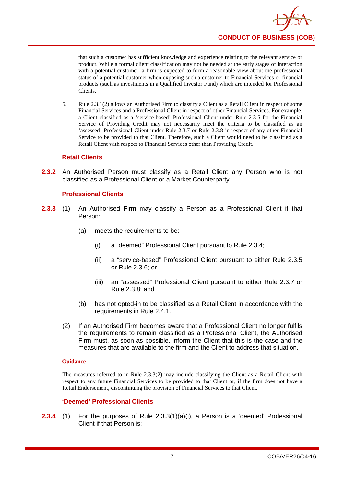that such a customer has sufficient knowledge and experience relating to the relevant service or product. While a formal client classification may not be needed at the early stages of interaction with a potential customer, a firm is expected to form a reasonable view about the professional status of a potential customer when exposing such a customer to Financial Services or financial products (such as investments in a Qualified Investor Fund) which are intended for Professional Clients.

5. Rule 2.3.1(2) allows an Authorised Firm to classify a Client as a Retail Client in respect of some Financial Services and a Professional Client in respect of other Financial Services. For example, a Client classified as a 'service-based' Professional Client under Rule 2.3.5 for the Financial Service of Providing Credit may not necessarily meet the criteria to be classified as an 'assessed' Professional Client under Rule 2.3.7 or Rule 2.3.8 in respect of any other Financial Service to be provided to that Client. Therefore, such a Client would need to be classified as a Retail Client with respect to Financial Services other than Providing Credit.

## **Retail Clients**

**2.3.2** An Authorised Person must classify as a Retail Client any Person who is not classified as a Professional Client or a Market Counterparty.

## **Professional Clients**

- **2.3.3** (1) An Authorised Firm may classify a Person as a Professional Client if that Person:
	- (a) meets the requirements to be:
		- (i) a "deemed" Professional Client pursuant to Rule 2.3.4;
		- (ii) a "service-based" Professional Client pursuant to either Rule 2.3.5 or Rule 2.3.6; or
		- (iii) an "assessed" Professional Client pursuant to either Rule 2.3.7 or Rule 2.3.8; and
	- (b) has not opted-in to be classified as a Retail Client in accordance with the requirements in Rule 2.4.1.
	- (2) If an Authorised Firm becomes aware that a Professional Client no longer fulfils the requirements to remain classified as a Professional Client, the Authorised Firm must, as soon as possible, inform the Client that this is the case and the measures that are available to the firm and the Client to address that situation.

#### **Guidance**

The measures referred to in Rule 2.3.3(2) may include classifying the Client as a Retail Client with respect to any future Financial Services to be provided to that Client or, if the firm does not have a Retail Endorsement, discontinuing the provision of Financial Services to that Client.

## **'Deemed' Professional Clients**

**2.3.4** (1) For the purposes of Rule 2.3.3(1)(a)(i), a Person is a 'deemed' Professional Client if that Person is: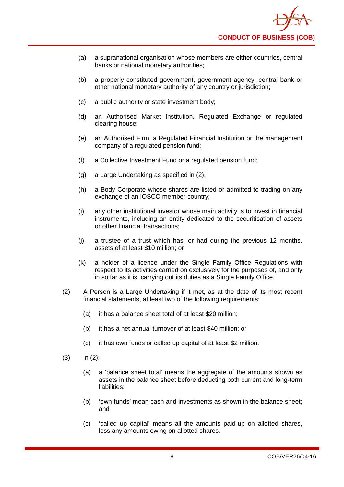- (a) a supranational organisation whose members are either countries, central banks or national monetary authorities;
- (b) a properly constituted government, government agency, central bank or other national monetary authority of any country or jurisdiction;
- (c) a public authority or state investment body;
- (d) an Authorised Market Institution, Regulated Exchange or regulated clearing house;
- (e) an Authorised Firm, a Regulated Financial Institution or the management company of a regulated pension fund;
- (f) a Collective Investment Fund or a regulated pension fund;
- (g) a Large Undertaking as specified in (2);
- (h) a Body Corporate whose shares are listed or admitted to trading on any exchange of an IOSCO member country;
- (i) any other institutional investor whose main activity is to invest in financial instruments, including an entity dedicated to the securitisation of assets or other financial transactions;
- (j) a trustee of a trust which has, or had during the previous 12 months, assets of at least \$10 million; or
- (k) a holder of a licence under the Single Family Office Regulations with respect to its activities carried on exclusively for the purposes of, and only in so far as it is, carrying out its duties as a Single Family Office.
- (2) A Person is a Large Undertaking if it met, as at the date of its most recent financial statements, at least two of the following requirements:
	- (a) it has a balance sheet total of at least \$20 million;
	- (b) it has a net annual turnover of at least \$40 million; or
	- (c) it has own funds or called up capital of at least \$2 million.
- $(3)$   $\ln (2)$ :
	- (a) a 'balance sheet total' means the aggregate of the amounts shown as assets in the balance sheet before deducting both current and long-term liabilities;
	- (b) 'own funds' mean cash and investments as shown in the balance sheet; and
	- (c) 'called up capital' means all the amounts paid-up on allotted shares, less any amounts owing on allotted shares.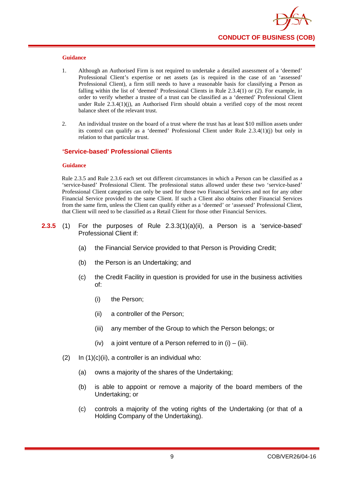

- 1. Although an Authorised Firm is not required to undertake a detailed assessment of a 'deemed' Professional Client's expertise or net assets (as is required in the case of an 'assessed' Professional Client), a firm still needs to have a reasonable basis for classifying a Person as falling within the list of 'deemed' Professional Clients in Rule 2.3.4(1) or (2). For example, in order to verify whether a trustee of a trust can be classified as a 'deemed' Professional Client under Rule  $2.3.4(1)(i)$ , an Authorised Firm should obtain a verified copy of the most recent balance sheet of the relevant trust.
- 2. An individual trustee on the board of a trust where the trust has at least \$10 million assets under its control can qualify as a 'deemed' Professional Client under Rule 2.3.4(1)(j) but only in relation to that particular trust.

#### **'Service-based' Professional Clients**

#### **Guidance**

Rule 2.3.5 and Rule 2.3.6 each set out different circumstances in which a Person can be classified as a 'service-based' Professional Client. The professional status allowed under these two 'service-based' Professional Client categories can only be used for those two Financial Services and not for any other Financial Service provided to the same Client. If such a Client also obtains other Financial Services from the same firm, unless the Client can qualify either as a 'deemed' or 'assessed' Professional Client, that Client will need to be classified as a Retail Client for those other Financial Services.

- **2.3.5** (1) For the purposes of Rule 2.3.3(1)(a)(ii), a Person is a 'service-based' Professional Client if:
	- (a) the Financial Service provided to that Person is Providing Credit;
	- (b) the Person is an Undertaking; and
	- (c) the Credit Facility in question is provided for use in the business activities of:
		- (i) the Person;
		- (ii) a controller of the Person;
		- (iii) any member of the Group to which the Person belongs; or
		- $(iv)$  a joint venture of a Person referred to in  $(i) (iii)$ .
	- $(2)$  In  $(1)(c)(ii)$ , a controller is an individual who:
		- (a) owns a majority of the shares of the Undertaking;
		- (b) is able to appoint or remove a majority of the board members of the Undertaking; or
		- (c) controls a majority of the voting rights of the Undertaking (or that of a Holding Company of the Undertaking).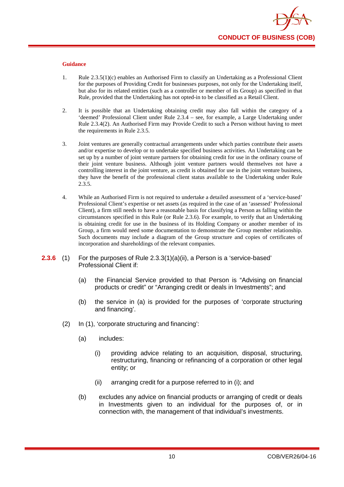

- 1. Rule 2.3.5(1)(c) enables an Authorised Firm to classify an Undertaking as a Professional Client for the purposes of Providing Credit for businesses purposes, not only for the Undertaking itself, but also for its related entities (such as a controller or member of its Group) as specified in that Rule, provided that the Undertaking has not opted-in to be classified as a Retail Client.
- 2. It is possible that an Undertaking obtaining credit may also fall within the category of a 'deemed' Professional Client under Rule 2.3.4 – see, for example, a Large Undertaking under Rule 2.3.4(2). An Authorised Firm may Provide Credit to such a Person without having to meet the requirements in Rule 2.3.5.
- 3. Joint ventures are generally contractual arrangements under which parties contribute their assets and/or expertise to develop or to undertake specified business activities. An Undertaking can be set up by a number of joint venture partners for obtaining credit for use in the ordinary course of their joint venture business. Although joint venture partners would themselves not have a controlling interest in the joint venture, as credit is obtained for use in the joint venture business, they have the benefit of the professional client status available to the Undertaking under Rule 2.3.5.
- 4. While an Authorised Firm is not required to undertake a detailed assessment of a 'service-based' Professional Client's expertise or net assets (as required in the case of an 'assessed' Professional Client), a firm still needs to have a reasonable basis for classifying a Person as falling within the circumstances specified in this Rule (or Rule 2.3.6). For example, to verify that an Undertaking is obtaining credit for use in the business of its Holding Company or another member of its Group, a firm would need some documentation to demonstrate the Group member relationship. Such documents may include a diagram of the Group structure and copies of certificates of incorporation and shareholdings of the relevant companies.
- **2.3.6** (1) For the purposes of Rule 2.3.3(1)(a)(ii), a Person is a 'service-based' Professional Client if:
	- (a) the Financial Service provided to that Person is "Advising on financial products or credit" or "Arranging credit or deals in Investments"; and
	- (b) the service in (a) is provided for the purposes of 'corporate structuring and financing'.
	- (2) In (1), 'corporate structuring and financing':
		- (a) includes:
			- (i) providing advice relating to an acquisition, disposal, structuring, restructuring, financing or refinancing of a corporation or other legal entity; or
			- (ii) arranging credit for a purpose referred to in (i); and
		- (b) excludes any advice on financial products or arranging of credit or deals in Investments given to an individual for the purposes of, or in connection with, the management of that individual's investments.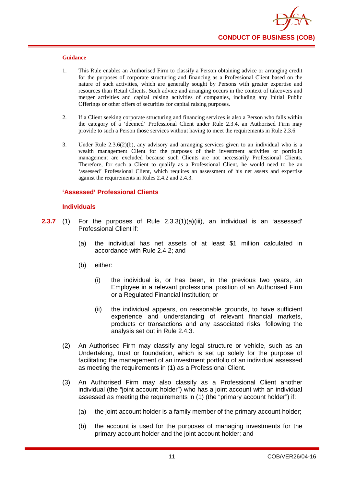

- 1. This Rule enables an Authorised Firm to classify a Person obtaining advice or arranging credit for the purposes of corporate structuring and financing as a Professional Client based on the nature of such activities, which are generally sought by Persons with greater expertise and resources than Retail Clients. Such advice and arranging occurs in the context of takeovers and merger activities and capital raising activities of companies, including any Initial Public Offerings or other offers of securities for capital raising purposes.
- 2. If a Client seeking corporate structuring and financing services is also a Person who falls within the category of a 'deemed' Professional Client under Rule 2.3.4, an Authorised Firm may provide to such a Person those services without having to meet the requirements in Rule 2.3.6.
- 3. Under Rule 2.3.6(2)(b), any advisory and arranging services given to an individual who is a wealth management Client for the purposes of their investment activities or portfolio management are excluded because such Clients are not necessarily Professional Clients. Therefore, for such a Client to qualify as a Professional Client, he would need to be an 'assessed' Professional Client, which requires an assessment of his net assets and expertise against the requirements in Rules 2.4.2 and 2.4.3.

#### **'Assessed' Professional Clients**

#### **Individuals**

- **2.3.7** (1) For the purposes of Rule 2.3.3(1)(a)(iii), an individual is an 'assessed' Professional Client if:
	- (a) the individual has net assets of at least \$1 million calculated in accordance with Rule 2.4.2; and
	- (b) either:
		- (i) the individual is, or has been, in the previous two years, an Employee in a relevant professional position of an Authorised Firm or a Regulated Financial Institution; or
		- (ii) the individual appears, on reasonable grounds, to have sufficient experience and understanding of relevant financial markets, products or transactions and any associated risks, following the analysis set out in Rule 2.4.3.
	- (2) An Authorised Firm may classify any legal structure or vehicle, such as an Undertaking, trust or foundation, which is set up solely for the purpose of facilitating the management of an investment portfolio of an individual assessed as meeting the requirements in (1) as a Professional Client.
	- (3) An Authorised Firm may also classify as a Professional Client another individual (the "joint account holder") who has a joint account with an individual assessed as meeting the requirements in (1) (the "primary account holder") if:
		- (a) the joint account holder is a family member of the primary account holder;
		- (b) the account is used for the purposes of managing investments for the primary account holder and the joint account holder; and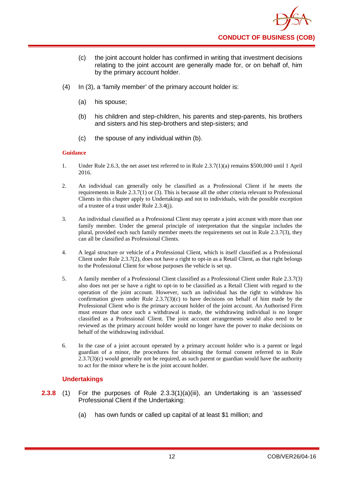- (c) the joint account holder has confirmed in writing that investment decisions relating to the joint account are generally made for, or on behalf of, him by the primary account holder.
- (4) In (3), a 'family member' of the primary account holder is:
	- (a) his spouse;
	- (b) his children and step-children, his parents and step-parents, his brothers and sisters and his step-brothers and step-sisters; and
	- (c) the spouse of any individual within (b).

- 1. Under Rule 2.6.3, the net asset test referred to in Rule 2.3.7(1)(a) remains \$500,000 until 1 April 2016.
- 2. An individual can generally only be classified as a Professional Client if he meets the requirements in Rule 2.3.7(1) or (3). This is because all the other criteria relevant to Professional Clients in this chapter apply to Undertakings and not to individuals, with the possible exception of a trustee of a trust under Rule 2.3.4(j).
- 3. An individual classified as a Professional Client may operate a joint account with more than one family member. Under the general principle of interpretation that the singular includes the plural, provided each such family member meets the requirements set out in Rule 2.3.7(3), they can all be classified as Professional Clients.
- 4. A legal structure or vehicle of a Professional Client, which is itself classified as a Professional Client under Rule 2.3.7(2), does not have a right to opt-in as a Retail Client, as that right belongs to the Professional Client for whose purposes the vehicle is set up.
- 5. A family member of a Professional Client classified as a Professional Client under Rule 2.3.7(3) also does not per se have a right to opt-in to be classified as a Retail Client with regard to the operation of the joint account. However, such an individual has the right to withdraw his confirmation given under Rule  $2.3.7(3)(c)$  to have decisions on behalf of him made by the Professional Client who is the primary account holder of the joint account. An Authorised Firm must ensure that once such a withdrawal is made, the withdrawing individual is no longer classified as a Professional Client. The joint account arrangements would also need to be reviewed as the primary account holder would no longer have the power to make decisions on behalf of the withdrawing individual.
- 6. In the case of a joint account operated by a primary account holder who is a parent or legal guardian of a minor, the procedures for obtaining the formal consent referred to in Rule 2.3.7(3)(c) would generally not be required, as such parent or guardian would have the authority to act for the minor where he is the joint account holder.

## **Undertakings**

- **2.3.8** (1) For the purposes of Rule 2.3.3(1)(a)(iii), an Undertaking is an 'assessed' Professional Client if the Undertaking:
	- (a) has own funds or called up capital of at least \$1 million; and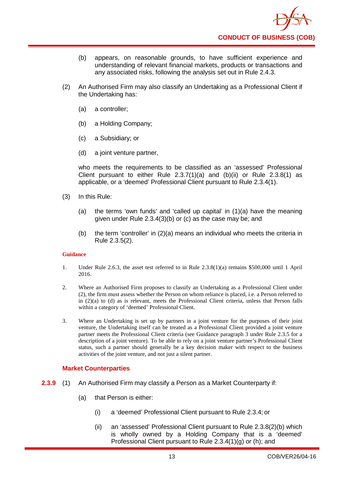

- (b) appears, on reasonable grounds, to have sufficient experience and understanding of relevant financial markets, products or transactions and any associated risks, following the analysis set out in Rule 2.4.3.
- (2) An Authorised Firm may also classify an Undertaking as a Professional Client if the Undertaking has:
	- (a) a controller;
	- (b) a Holding Company;
	- (c) a Subsidiary; or
	- (d) a joint venture partner,

who meets the requirements to be classified as an 'assessed' Professional Client pursuant to either Rule 2.3.7(1)(a) and (b)(ii) or Rule 2.3.8(1) as applicable, or a 'deemed' Professional Client pursuant to Rule 2.3.4(1).

- (3) In this Rule:
	- (a) the terms 'own funds' and 'called up capital' in (1)(a) have the meaning given under Rule 2.3.4(3)(b) or (c) as the case may be; and
	- (b) the term 'controller' in (2)(a) means an individual who meets the criteria in Rule 2.3.5(2).

#### **Guidance**

- 1. Under Rule 2.6.3, the asset test referred to in Rule 2.3.8(1)(a) remains \$500,000 until 1 April 2016.
- 2. Where an Authorised Firm proposes to classify an Undertaking as a Professional Client under (2), the firm must assess whether the Person on whom reliance is placed, i.e. a Person referred to in (2)(a) to (d) as is relevant, meets the Professional Client criteria, unless that Person falls within a category of 'deemed' Professional Client.
- 3. Where an Undertaking is set up by partners in a joint venture for the purposes of their joint venture, the Undertaking itself can be treated as a Professional Client provided a joint venture partner meets the Professional Client criteria (see Guidance paragraph 3 under Rule 2.3.5 for a description of a joint venture). To be able to rely on a joint venture partner's Professional Client status, such a partner should generally be a key decision maker with respect to the business activities of the joint venture, and not just a silent partner.

#### **Market Counterparties**

- **2.3.9** (1) An Authorised Firm may classify a Person as a Market Counterparty if:
	- (a) that Person is either:
		- (i) a 'deemed' Professional Client pursuant to Rule 2.3.4; or
		- (ii) an 'assessed' Professional Client pursuant to Rule 2.3.8(2)(b) which is wholly owned by a Holding Company that is a 'deemed' Professional Client pursuant to Rule 2.3.4(1)(g) or (h); and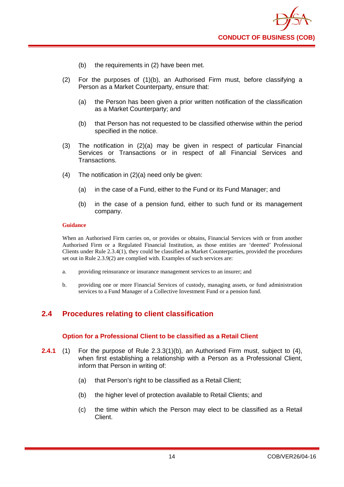

- (b) the requirements in (2) have been met.
- (2) For the purposes of (1)(b), an Authorised Firm must, before classifying a Person as a Market Counterparty, ensure that:
	- (a) the Person has been given a prior written notification of the classification as a Market Counterparty; and
	- (b) that Person has not requested to be classified otherwise within the period specified in the notice.
- (3) The notification in (2)(a) may be given in respect of particular Financial Services or Transactions or in respect of all Financial Services and Transactions.
- (4) The notification in (2)(a) need only be given:
	- (a) in the case of a Fund, either to the Fund or its Fund Manager; and
	- (b) in the case of a pension fund, either to such fund or its management company.

When an Authorised Firm carries on, or provides or obtains, Financial Services with or from another Authorised Firm or a Regulated Financial Institution, as those entities are 'deemed' Professional Clients under Rule 2.3.4(1), they could be classified as Market Counterparties, provided the procedures set out in Rule 2.3.9(2) are complied with. Examples of such services are:

- a. providing reinsurance or insurance management services to an insurer; and
- b. providing one or more Financial Services of custody, managing assets, or fund administration services to a Fund Manager of a Collective Investment Fund or a pension fund.

## <span id="page-17-0"></span>**2.4 Procedures relating to client classification**

#### **Option for a Professional Client to be classified as a Retail Client**

- **2.4.1** (1) For the purpose of Rule 2.3.3(1)(b), an Authorised Firm must, subject to (4), when first establishing a relationship with a Person as a Professional Client, inform that Person in writing of:
	- (a) that Person's right to be classified as a Retail Client;
	- (b) the higher level of protection available to Retail Clients; and
	- (c) the time within which the Person may elect to be classified as a Retail Client.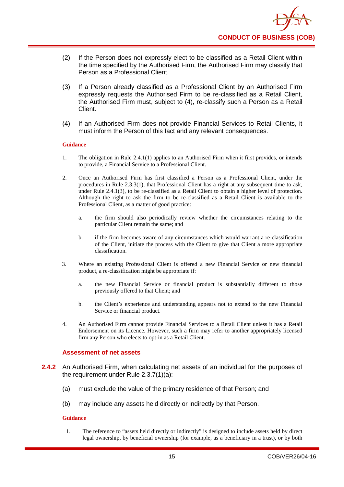

- (2) If the Person does not expressly elect to be classified as a Retail Client within the time specified by the Authorised Firm, the Authorised Firm may classify that Person as a Professional Client.
- (3) If a Person already classified as a Professional Client by an Authorised Firm expressly requests the Authorised Firm to be re-classified as a Retail Client, the Authorised Firm must, subject to (4), re-classify such a Person as a Retail Client.
- (4) If an Authorised Firm does not provide Financial Services to Retail Clients, it must inform the Person of this fact and any relevant consequences.

- 1. The obligation in Rule 2.4.1(1) applies to an Authorised Firm when it first provides, or intends to provide, a Financial Service to a Professional Client.
- 2. Once an Authorised Firm has first classified a Person as a Professional Client, under the procedures in Rule 2.3.3(1), that Professional Client has a right at any subsequent time to ask, under Rule 2.4.1(3), to be re-classified as a Retail Client to obtain a higher level of protection. Although the right to ask the firm to be re-classified as a Retail Client is available to the Professional Client, as a matter of good practice:
	- a. the firm should also periodically review whether the circumstances relating to the particular Client remain the same; and
	- b. if the firm becomes aware of any circumstances which would warrant a re-classification of the Client, initiate the process with the Client to give that Client a more appropriate classification.
- 3. Where an existing Professional Client is offered a new Financial Service or new financial product, a re-classification might be appropriate if:
	- a. the new Financial Service or financial product is substantially different to those previously offered to that Client; and
	- b. the Client's experience and understanding appears not to extend to the new Financial Service or financial product.
- 4. An Authorised Firm cannot provide Financial Services to a Retail Client unless it has a Retail Endorsement on its Licence. However, such a firm may refer to another appropriately licensed firm any Person who elects to opt-in as a Retail Client.

#### **Assessment of net assets**

- **2.4.2** An Authorised Firm, when calculating net assets of an individual for the purposes of the requirement under Rule 2.3.7(1)(a):
	- (a) must exclude the value of the primary residence of that Person; and
	- (b) may include any assets held directly or indirectly by that Person.

#### **Guidance**

1. The reference to "assets held directly or indirectly" is designed to include assets held by direct legal ownership, by beneficial ownership (for example, as a beneficiary in a trust), or by both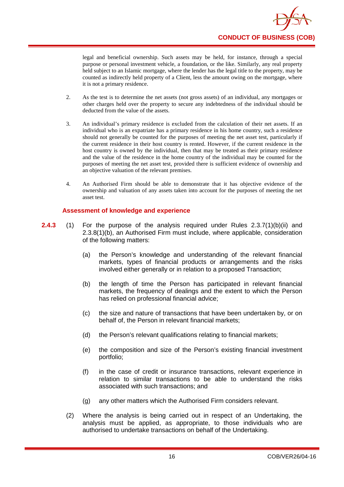

legal and beneficial ownership. Such assets may be held, for instance, through a special purpose or personal investment vehicle, a foundation, or the like. Similarly, any real property held subject to an Islamic mortgage, where the lender has the legal title to the property, may be counted as indirectly held property of a Client, less the amount owing on the mortgage, where it is not a primary residence.

- 2. As the test is to determine the net assets (not gross assets) of an individual, any mortgages or other charges held over the property to secure any indebtedness of the individual should be deducted from the value of the assets.
- 3. An individual's primary residence is excluded from the calculation of their net assets. If an individual who is an expatriate has a primary residence in his home country, such a residence should not generally be counted for the purposes of meeting the net asset test, particularly if the current residence in their host country is rented. However, if the current residence in the host country is owned by the individual, then that may be treated as their primary residence and the value of the residence in the home country of the individual may be counted for the purposes of meeting the net asset test, provided there is sufficient evidence of ownership and an objective valuation of the relevant premises.
- 4. An Authorised Firm should be able to demonstrate that it has objective evidence of the ownership and valuation of any assets taken into account for the purposes of meeting the net asset test.

#### **Assessment of knowledge and experience**

- **2.4.3** (1) For the purpose of the analysis required under Rules 2.3.7(1)(b)(ii) and 2.3.8(1)(b), an Authorised Firm must include, where applicable, consideration of the following matters:
	- (a) the Person's knowledge and understanding of the relevant financial markets, types of financial products or arrangements and the risks involved either generally or in relation to a proposed Transaction;
	- (b) the length of time the Person has participated in relevant financial markets, the frequency of dealings and the extent to which the Person has relied on professional financial advice;
	- (c) the size and nature of transactions that have been undertaken by, or on behalf of, the Person in relevant financial markets;
	- (d) the Person's relevant qualifications relating to financial markets;
	- (e) the composition and size of the Person's existing financial investment portfolio;
	- (f) in the case of credit or insurance transactions, relevant experience in relation to similar transactions to be able to understand the risks associated with such transactions; and
	- (g) any other matters which the Authorised Firm considers relevant.
	- (2) Where the analysis is being carried out in respect of an Undertaking, the analysis must be applied, as appropriate, to those individuals who are authorised to undertake transactions on behalf of the Undertaking.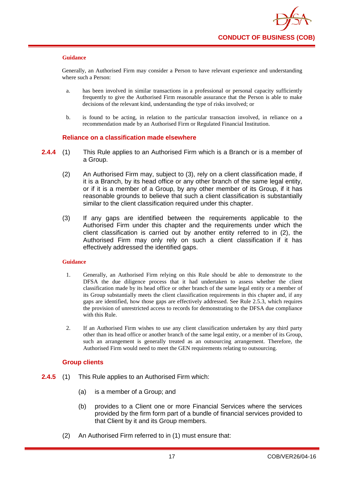Generally, an Authorised Firm may consider a Person to have relevant experience and understanding where such a Person:

- a. has been involved in similar transactions in a professional or personal capacity sufficiently frequently to give the Authorised Firm reasonable assurance that the Person is able to make decisions of the relevant kind, understanding the type of risks involved; or
- b. is found to be acting, in relation to the particular transaction involved, in reliance on a recommendation made by an Authorised Firm or Regulated Financial Institution.

#### **Reliance on a classification made elsewhere**

- **2.4.4** (1) This Rule applies to an Authorised Firm which is a Branch or is a member of a Group.
	- (2) An Authorised Firm may, subject to (3), rely on a client classification made, if it is a Branch, by its head office or any other branch of the same legal entity, or if it is a member of a Group, by any other member of its Group, if it has reasonable grounds to believe that such a client classification is substantially similar to the client classification required under this chapter.
	- (3) If any gaps are identified between the requirements applicable to the Authorised Firm under this chapter and the requirements under which the client classification is carried out by another entity referred to in (2), the Authorised Firm may only rely on such a client classification if it has effectively addressed the identified gaps.

#### **Guidance**

- 1. Generally, an Authorised Firm relying on this Rule should be able to demonstrate to the DFSA the due diligence process that it had undertaken to assess whether the client classification made by its head office or other branch of the same legal entity or a member of its Group substantially meets the client classification requirements in this chapter and, if any gaps are identified, how those gaps are effectively addressed. See Rule 2.5.3, which requires the provision of unrestricted access to records for demonstrating to the DFSA due compliance with this Rule.
- 2. If an Authorised Firm wishes to use any client classification undertaken by any third party other than its head office or another branch of the same legal entity, or a member of its Group, such an arrangement is generally treated as an outsourcing arrangement. Therefore, the Authorised Firm would need to meet the GEN requirements relating to outsourcing.

## **Group clients**

- **2.4.5** (1) This Rule applies to an Authorised Firm which:
	- (a) is a member of a Group; and
	- (b) provides to a Client one or more Financial Services where the services provided by the firm form part of a bundle of financial services provided to that Client by it and its Group members.
	- (2) An Authorised Firm referred to in (1) must ensure that: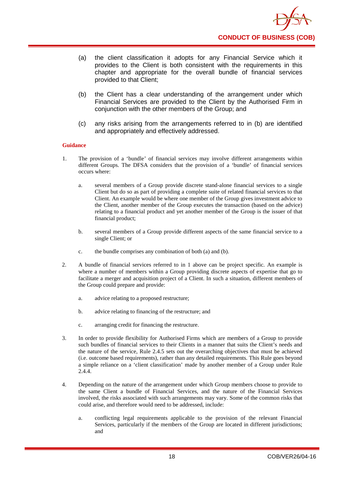- (a) the client classification it adopts for any Financial Service which it provides to the Client is both consistent with the requirements in this chapter and appropriate for the overall bundle of financial services provided to that Client;
- (b) the Client has a clear understanding of the arrangement under which Financial Services are provided to the Client by the Authorised Firm in conjunction with the other members of the Group; and
- (c) any risks arising from the arrangements referred to in (b) are identified and appropriately and effectively addressed.

- 1. The provision of a 'bundle' of financial services may involve different arrangements within different Groups. The DFSA considers that the provision of a 'bundle' of financial services occurs where:
	- a. several members of a Group provide discrete stand-alone financial services to a single Client but do so as part of providing a complete suite of related financial services to that Client. An example would be where one member of the Group gives investment advice to the Client, another member of the Group executes the transaction (based on the advice) relating to a financial product and yet another member of the Group is the issuer of that financial product;
	- b. several members of a Group provide different aspects of the same financial service to a single Client; or
	- c. the bundle comprises any combination of both (a) and (b).
- 2. A bundle of financial services referred to in 1 above can be project specific. An example is where a number of members within a Group providing discrete aspects of expertise that go to facilitate a merger and acquisition project of a Client. In such a situation, different members of the Group could prepare and provide:
	- a. advice relating to a proposed restructure;
	- b. advice relating to financing of the restructure; and
	- c. arranging credit for financing the restructure.
- 3. In order to provide flexibility for Authorised Firms which are members of a Group to provide such bundles of financial services to their Clients in a manner that suits the Client's needs and the nature of the service, Rule 2.4.5 sets out the overarching objectives that must be achieved (i.e. outcome based requirements), rather than any detailed requirements. This Rule goes beyond a simple reliance on a 'client classification' made by another member of a Group under Rule 2.4.4.
- 4. Depending on the nature of the arrangement under which Group members choose to provide to the same Client a bundle of Financial Services, and the nature of the Financial Services involved, the risks associated with such arrangements may vary. Some of the common risks that could arise, and therefore would need to be addressed, include:
	- a. conflicting legal requirements applicable to the provision of the relevant Financial Services, particularly if the members of the Group are located in different jurisdictions; and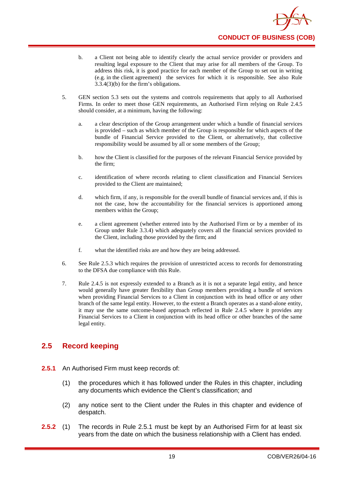- b. a Client not being able to identify clearly the actual service provider or providers and resulting legal exposure to the Client that may arise for all members of the Group. To address this risk, it is good practice for each member of the Group to set out in writing (e.g. in the client agreement) the services for which it is responsible. See also Rule 3.3.4(3)(b) for the firm's obligations.
- 5. GEN section 5.3 sets out the systems and controls requirements that apply to all Authorised Firms. In order to meet those GEN requirements, an Authorised Firm relying on Rule 2.4.5 should consider, at a minimum, having the following:
	- a. a clear description of the Group arrangement under which a bundle of financial services is provided – such as which member of the Group is responsible for which aspects of the bundle of Financial Service provided to the Client, or alternatively, that collective responsibility would be assumed by all or some members of the Group;
	- b. how the Client is classified for the purposes of the relevant Financial Service provided by the firm;
	- c. identification of where records relating to client classification and Financial Services provided to the Client are maintained;
	- d. which firm, if any, is responsible for the overall bundle of financial services and, if this is not the case, how the accountability for the financial services is apportioned among members within the Group;
	- e. a client agreement (whether entered into by the Authorised Firm or by a member of its Group under Rule 3.3.4) which adequately covers all the financial services provided to the Client, including those provided by the firm; and
	- f. what the identified risks are and how they are being addressed.
- 6. See Rule 2.5.3 which requires the provision of unrestricted access to records for demonstrating to the DFSA due compliance with this Rule.
- 7. Rule 2.4.5 is not expressly extended to a Branch as it is not a separate legal entity, and hence would generally have greater flexibility than Group members providing a bundle of services when providing Financial Services to a Client in conjunction with its head office or any other branch of the same legal entity. However, to the extent a Branch operates as a stand-alone entity, it may use the same outcome-based approach reflected in Rule 2.4.5 where it provides any Financial Services to a Client in conjunction with its head office or other branches of the same legal entity.

## <span id="page-22-0"></span>**2.5 Record keeping**

- **2.5.1** An Authorised Firm must keep records of:
	- (1) the procedures which it has followed under the Rules in this chapter, including any documents which evidence the Client's classification; and
	- (2) any notice sent to the Client under the Rules in this chapter and evidence of despatch.
- **2.5.2** (1) The records in Rule 2.5.1 must be kept by an Authorised Firm for at least six years from the date on which the business relationship with a Client has ended.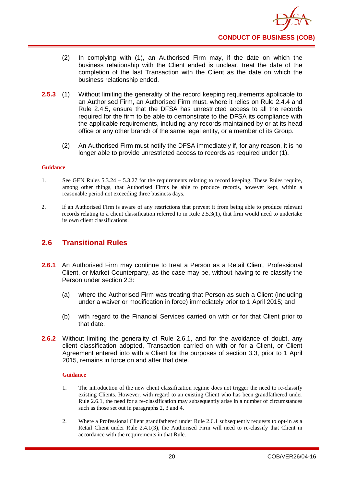

- (2) In complying with (1), an Authorised Firm may, if the date on which the business relationship with the Client ended is unclear, treat the date of the completion of the last Transaction with the Client as the date on which the business relationship ended.
- **2.5.3** (1) Without limiting the generality of the record keeping requirements applicable to an Authorised Firm, an Authorised Firm must, where it relies on Rule 2.4.4 and Rule 2.4.5, ensure that the DFSA has unrestricted access to all the records required for the firm to be able to demonstrate to the DFSA its compliance with the applicable requirements, including any records maintained by or at its head office or any other branch of the same legal entity, or a member of its Group.
	- (2) An Authorised Firm must notify the DFSA immediately if, for any reason, it is no longer able to provide unrestricted access to records as required under (1).

- 1. See GEN Rules 5.3.24 5.3.27 for the requirements relating to record keeping. These Rules require, among other things, that Authorised Firms be able to produce records, however kept, within a reasonable period not exceeding three business days.
- 2. If an Authorised Firm is aware of any restrictions that prevent it from being able to produce relevant records relating to a client classification referred to in Rule 2.5.3(1), that firm would need to undertake its own client classifications.

## <span id="page-23-0"></span>**2.6 Transitional Rules**

- 2.6.1 An Authorised Firm may continue to treat a Person as a Retail Client, Professional Client, or Market Counterparty, as the case may be, without having to re-classify the Person under section 2.3:
	- (a) where the Authorised Firm was treating that Person as such a Client (including under a waiver or modification in force) immediately prior to 1 April 2015; and
	- (b) with regard to the Financial Services carried on with or for that Client prior to that date.
- **2.6.2** Without limiting the generality of Rule 2.6.1, and for the avoidance of doubt, any client classification adopted, Transaction carried on with or for a Client, or Client Agreement entered into with a Client for the purposes of section 3.3, prior to 1 April 2015, remains in force on and after that date.

#### **Guidance**

- 1. The introduction of the new client classification regime does not trigger the need to re-classify existing Clients. However, with regard to an existing Client who has been grandfathered under Rule 2.6.1, the need for a re-classification may subsequently arise in a number of circumstances such as those set out in paragraphs 2, 3 and 4.
- 2. Where a Professional Client grandfathered under Rule 2.6.1 subsequently requests to opt-in as a Retail Client under Rule 2.4.1(3), the Authorised Firm will need to re-classify that Client in accordance with the requirements in that Rule.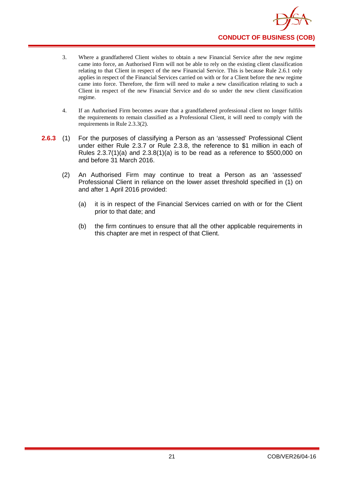- 3. Where a grandfathered Client wishes to obtain a new Financial Service after the new regime came into force, an Authorised Firm will not be able to rely on the existing client classification relating to that Client in respect of the new Financial Service. This is because Rule 2.6.1 only applies in respect of the Financial Services carried on with or for a Client before the new regime came into force. Therefore, the firm will need to make a new classification relating to such a Client in respect of the new Financial Service and do so under the new client classification regime.
- 4. If an Authorised Firm becomes aware that a grandfathered professional client no longer fulfils the requirements to remain classified as a Professional Client, it will need to comply with the requirements in Rule 2.3.3(2).
- **2.6.3** (1) For the purposes of classifying a Person as an 'assessed' Professional Client under either Rule 2.3.7 or Rule 2.3.8, the reference to \$1 million in each of Rules 2.3.7(1)(a) and 2.3.8(1)(a) is to be read as a reference to \$500,000 on and before 31 March 2016.
	- (2) An Authorised Firm may continue to treat a Person as an 'assessed' Professional Client in reliance on the lower asset threshold specified in (1) on and after 1 April 2016 provided:
		- (a) it is in respect of the Financial Services carried on with or for the Client prior to that date; and
		- (b) the firm continues to ensure that all the other applicable requirements in this chapter are met in respect of that Client.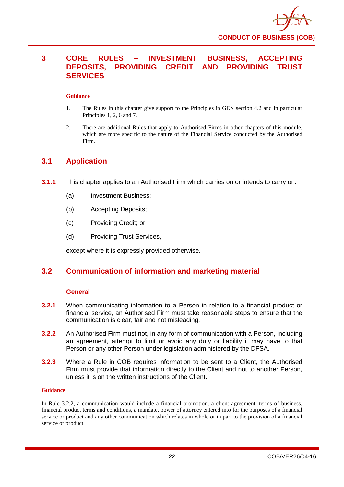

## <span id="page-25-0"></span>**3 CORE RULES – INVESTMENT BUSINESS, ACCEPTING DEPOSITS, PROVIDING CREDIT AND PROVIDING TRUST SERVICES**

#### **Guidance**

- 1. The Rules in this chapter give support to the Principles in GEN section 4.2 and in particular Principles 1, 2, 6 and 7.
- 2. There are additional Rules that apply to Authorised Firms in other chapters of this module, which are more specific to the nature of the Financial Service conducted by the Authorised Firm.

## <span id="page-25-1"></span>**3.1 Application**

- **3.1.1** This chapter applies to an Authorised Firm which carries on or intends to carry on:
	- (a) Investment Business;
	- (b) Accepting Deposits;
	- (c) Providing Credit; or
	- (d) Providing Trust Services,

except where it is expressly provided otherwise.

## <span id="page-25-2"></span>**3.2 Communication of information and marketing material**

#### **General**

- **3.2.1** When communicating information to a Person in relation to a financial product or financial service, an Authorised Firm must take reasonable steps to ensure that the communication is clear, fair and not misleading.
- **3.2.2** An Authorised Firm must not, in any form of communication with a Person, including an agreement, attempt to limit or avoid any duty or liability it may have to that Person or any other Person under legislation administered by the DFSA.
- **3.2.3** Where a Rule in COB requires information to be sent to a Client, the Authorised Firm must provide that information directly to the Client and not to another Person, unless it is on the written instructions of the Client.

#### **Guidance**

In Rule 3.2.2, a communication would include a financial promotion, a client agreement, terms of business, financial product terms and conditions, a mandate, power of attorney entered into for the purposes of a financial service or product and any other communication which relates in whole or in part to the provision of a financial service or product.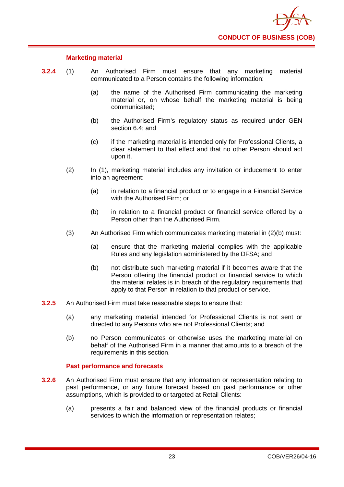

## **Marketing material**

- **3.2.4** (1) An Authorised Firm must ensure that any marketing material communicated to a Person contains the following information:
	- (a) the name of the Authorised Firm communicating the marketing material or, on whose behalf the marketing material is being communicated;
	- (b) the Authorised Firm's regulatory status as required under GEN section 6.4; and
	- (c) if the marketing material is intended only for Professional Clients, a clear statement to that effect and that no other Person should act upon it.
	- (2) In (1), marketing material includes any invitation or inducement to enter into an agreement:
		- (a) in relation to a financial product or to engage in a Financial Service with the Authorised Firm; or
		- (b) in relation to a financial product or financial service offered by a Person other than the Authorised Firm.
	- (3) An Authorised Firm which communicates marketing material in (2)(b) must:
		- (a) ensure that the marketing material complies with the applicable Rules and any legislation administered by the DFSA; and
		- (b) not distribute such marketing material if it becomes aware that the Person offering the financial product or financial service to which the material relates is in breach of the regulatory requirements that apply to that Person in relation to that product or service.
- **3.2.5** An Authorised Firm must take reasonable steps to ensure that:
	- (a) any marketing material intended for Professional Clients is not sent or directed to any Persons who are not Professional Clients; and
	- (b) no Person communicates or otherwise uses the marketing material on behalf of the Authorised Firm in a manner that amounts to a breach of the requirements in this section.

#### **Past performance and forecasts**

- **3.2.6** An Authorised Firm must ensure that any information or representation relating to past performance, or any future forecast based on past performance or other assumptions, which is provided to or targeted at Retail Clients:
	- (a) presents a fair and balanced view of the financial products or financial services to which the information or representation relates;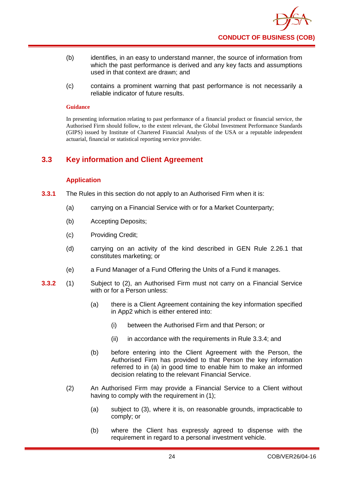

- (b) identifies, in an easy to understand manner, the source of information from which the past performance is derived and any key facts and assumptions used in that context are drawn; and
- (c) contains a prominent warning that past performance is not necessarily a reliable indicator of future results.

In presenting information relating to past performance of a financial product or financial service, the Authorised Firm should follow, to the extent relevant, the Global Investment Performance Standards (GIPS) issued by Institute of Chartered Financial Analysts of the USA or a reputable independent actuarial, financial or statistical reporting service provider.

## <span id="page-27-0"></span>**3.3 Key information and Client Agreement**

## **Application**

- **3.3.1** The Rules in this section do not apply to an Authorised Firm when it is:
	- (a) carrying on a Financial Service with or for a Market Counterparty;
	- (b) Accepting Deposits;
	- (c) Providing Credit;
	- (d) carrying on an activity of the kind described in GEN Rule 2.26.1 that constitutes marketing; or
	- (e) a Fund Manager of a Fund Offering the Units of a Fund it manages.
- **3.3.2** (1) Subject to (2), an Authorised Firm must not carry on a Financial Service with or for a Person unless:
	- (a) there is a Client Agreement containing the key information specified in App2 which is either entered into:
		- (i) between the Authorised Firm and that Person; or
		- (ii) in accordance with the requirements in Rule 3.3.4; and
	- (b) before entering into the Client Agreement with the Person, the Authorised Firm has provided to that Person the key information referred to in (a) in good time to enable him to make an informed decision relating to the relevant Financial Service.
	- (2) An Authorised Firm may provide a Financial Service to a Client without having to comply with the requirement in (1);
		- (a) subject to (3), where it is, on reasonable grounds, impracticable to comply; or
		- (b) where the Client has expressly agreed to dispense with the requirement in regard to a personal investment vehicle.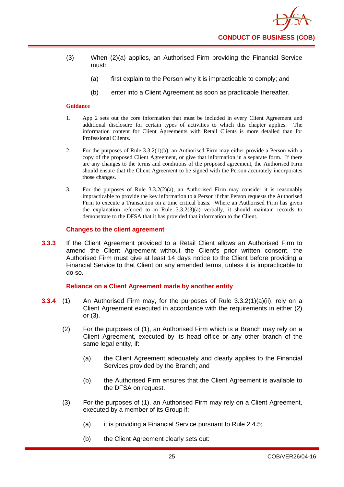- (3) When (2)(a) applies, an Authorised Firm providing the Financial Service must:
	- (a) first explain to the Person why it is impracticable to comply; and
	- (b) enter into a Client Agreement as soon as practicable thereafter.

- 1. App 2 sets out the core information that must be included in every Client Agreement and additional disclosure for certain types of activities to which this chapter applies. The information content for Client Agreements with Retail Clients is more detailed than for Professional Clients.
- 2. For the purposes of Rule 3.3.2(1)(b), an Authorised Firm may either provide a Person with a copy of the proposed Client Agreement, or give that information in a separate form. If there are any changes to the terms and conditions of the proposed agreement, the Authorised Firm should ensure that the Client Agreement to be signed with the Person accurately incorporates those changes.
- 3. For the purposes of Rule 3.3.2(2)(a), an Authorised Firm may consider it is reasonably impracticable to provide the key information to a Person if that Person requests the Authorised Firm to execute a Transaction on a time critical basis. Where an Authorised Firm has given the explanation referred to in Rule  $3.3.2(3)(a)$  verbally, it should maintain records to demonstrate to the DFSA that it has provided that information to the Client.

#### **Changes to the client agreement**

**3.3.3** If the Client Agreement provided to a Retail Client allows an Authorised Firm to amend the Client Agreement without the Client's prior written consent, the Authorised Firm must give at least 14 days notice to the Client before providing a Financial Service to that Client on any amended terms, unless it is impracticable to do so.

#### **Reliance on a Client Agreement made by another entity**

- **3.3.4** (1) An Authorised Firm may, for the purposes of Rule 3.3.2(1)(a)(ii), rely on a Client Agreement executed in accordance with the requirements in either (2) or (3).
	- (2) For the purposes of (1), an Authorised Firm which is a Branch may rely on a Client Agreement, executed by its head office or any other branch of the same legal entity, if:
		- (a) the Client Agreement adequately and clearly applies to the Financial Services provided by the Branch; and
		- (b) the Authorised Firm ensures that the Client Agreement is available to the DFSA on request.
	- (3) For the purposes of (1), an Authorised Firm may rely on a Client Agreement, executed by a member of its Group if:
		- (a) it is providing a Financial Service pursuant to Rule 2.4.5;
		- (b) the Client Agreement clearly sets out: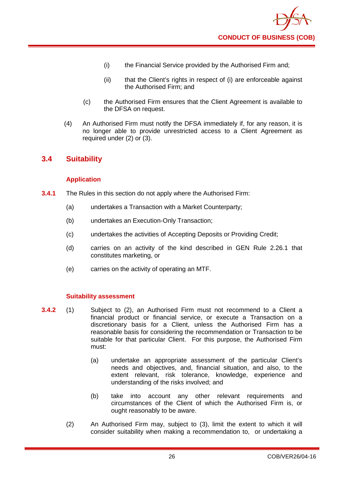- (i) the Financial Service provided by the Authorised Firm and;
- (ii) that the Client's rights in respect of (i) are enforceable against the Authorised Firm; and
- (c) the Authorised Firm ensures that the Client Agreement is available to the DFSA on request.
- (4) An Authorised Firm must notify the DFSA immediately if, for any reason, it is no longer able to provide unrestricted access to a Client Agreement as required under (2) or (3).

## <span id="page-29-0"></span>**3.4 Suitability**

## **Application**

- **3.4.1** The Rules in this section do not apply where the Authorised Firm:
	- (a) undertakes a Transaction with a Market Counterparty;
	- (b) undertakes an Execution-Only Transaction;
	- (c) undertakes the activities of Accepting Deposits or Providing Credit;
	- (d) carries on an activity of the kind described in GEN Rule 2.26.1 that constitutes marketing, or
	- (e) carries on the activity of operating an MTF.

## **Suitability assessment**

- **3.4.2** (1) Subject to (2), an Authorised Firm must not recommend to a Client a financial product or financial service, or execute a Transaction on a discretionary basis for a Client, unless the Authorised Firm has a reasonable basis for considering the recommendation or Transaction to be suitable for that particular Client. For this purpose, the Authorised Firm must:
	- (a) undertake an appropriate assessment of the particular Client's needs and objectives, and, financial situation, and also, to the extent relevant, risk tolerance, knowledge, experience and understanding of the risks involved; and
	- (b) take into account any other relevant requirements and circumstances of the Client of which the Authorised Firm is, or ought reasonably to be aware.
	- (2) An Authorised Firm may, subject to (3), limit the extent to which it will consider suitability when making a recommendation to, or undertaking a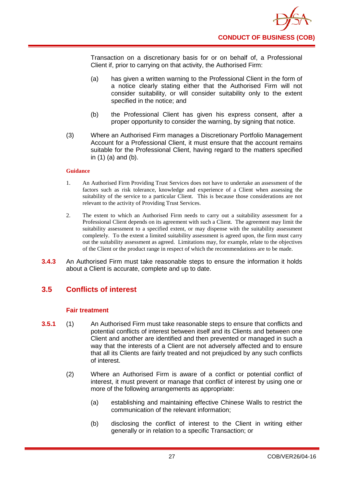Transaction on a discretionary basis for or on behalf of, a Professional Client if, prior to carrying on that activity, the Authorised Firm:

- (a) has given a written warning to the Professional Client in the form of a notice clearly stating either that the Authorised Firm will not consider suitability, or will consider suitability only to the extent specified in the notice; and
- (b) the Professional Client has given his express consent, after a proper opportunity to consider the warning, by signing that notice.
- (3) Where an Authorised Firm manages a Discretionary Portfolio Management Account for a Professional Client, it must ensure that the account remains suitable for the Professional Client, having regard to the matters specified in (1) (a) and (b).

#### **Guidance**

- 1. An Authorised Firm Providing Trust Services does not have to undertake an assessment of the factors such as risk tolerance, knowledge and experience of a Client when assessing the suitability of the service to a particular Client. This is because those considerations are not relevant to the activity of Providing Trust Services.
- 2. The extent to which an Authorised Firm needs to carry out a suitability assessment for a Professional Client depends on its agreement with such a Client. The agreement may limit the suitability assessment to a specified extent, or may dispense with the suitability assessment completely. To the extent a limited suitability assessment is agreed upon, the firm must carry out the suitability assessment as agreed. Limitations may, for example, relate to the objectives of the Client or the product range in respect of which the recommendations are to be made.
- **3.4.3** An Authorised Firm must take reasonable steps to ensure the information it holds about a Client is accurate, complete and up to date.

## <span id="page-30-0"></span>**3.5 Conflicts of interest**

#### **Fair treatment**

- **3.5.1** (1) An Authorised Firm must take reasonable steps to ensure that conflicts and potential conflicts of interest between itself and its Clients and between one Client and another are identified and then prevented or managed in such a way that the interests of a Client are not adversely affected and to ensure that all its Clients are fairly treated and not prejudiced by any such conflicts of interest.
	- (2) Where an Authorised Firm is aware of a conflict or potential conflict of interest, it must prevent or manage that conflict of interest by using one or more of the following arrangements as appropriate:
		- (a) establishing and maintaining effective Chinese Walls to restrict the communication of the relevant information;
		- (b) disclosing the conflict of interest to the Client in writing either generally or in relation to a specific Transaction; or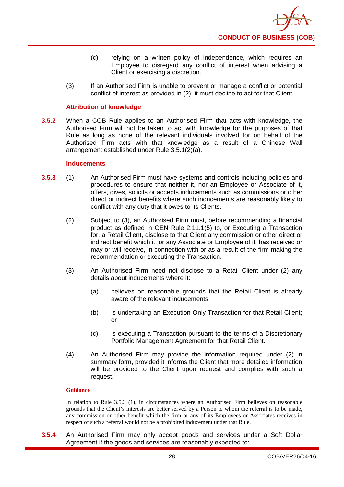- (c) relying on a written policy of independence, which requires an Employee to disregard any conflict of interest when advising a Client or exercising a discretion.
- (3) If an Authorised Firm is unable to prevent or manage a conflict or potential conflict of interest as provided in (2), it must decline to act for that Client.

## **Attribution of knowledge**

**3.5.2** When a COB Rule applies to an Authorised Firm that acts with knowledge, the Authorised Firm will not be taken to act with knowledge for the purposes of that Rule as long as none of the relevant individuals involved for on behalf of the Authorised Firm acts with that knowledge as a result of a Chinese Wall arrangement established under Rule 3.5.1(2)(a).

#### **Inducements**

- **3.5.3** (1) An Authorised Firm must have systems and controls including policies and procedures to ensure that neither it, nor an Employee or Associate of it, offers, gives, solicits or accepts inducements such as commissions or other direct or indirect benefits where such inducements are reasonably likely to conflict with any duty that it owes to its Clients.
	- (2) Subject to (3), an Authorised Firm must, before recommending a financial product as defined in GEN Rule 2.11.1(5) to, or Executing a Transaction for, a Retail Client, disclose to that Client any commission or other direct or indirect benefit which it, or any Associate or Employee of it, has received or may or will receive, in connection with or as a result of the firm making the recommendation or executing the Transaction.
	- (3) An Authorised Firm need not disclose to a Retail Client under (2) any details about inducements where it:
		- (a) believes on reasonable grounds that the Retail Client is already aware of the relevant inducements;
		- (b) is undertaking an Execution-Only Transaction for that Retail Client; or
		- (c) is executing a Transaction pursuant to the terms of a Discretionary Portfolio Management Agreement for that Retail Client.
	- (4) An Authorised Firm may provide the information required under (2) in summary form, provided it informs the Client that more detailed information will be provided to the Client upon request and complies with such a request.

#### **Guidance**

In relation to Rule 3.5.3 (1), in circumstances where an Authorised Firm believes on reasonable grounds that the Client's interests are better served by a Person to whom the referral is to be made, any commission or other benefit which the firm or any of its Employees or Associates receives in respect of such a referral would not be a prohibited inducement under that Rule.

**3.5.4** An Authorised Firm may only accept goods and services under a Soft Dollar Agreement if the goods and services are reasonably expected to: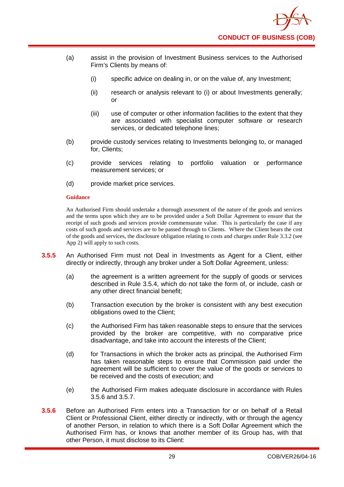- (a) assist in the provision of Investment Business services to the Authorised Firm's Clients by means of:
	- (i) specific advice on dealing in, or on the value of, any Investment;
	- (ii) research or analysis relevant to (i) or about Investments generally; or
	- (iii) use of computer or other information facilities to the extent that they are associated with specialist computer software or research services, or dedicated telephone lines;
- (b) provide custody services relating to Investments belonging to, or managed for, Clients;
- (c) provide services relating to portfolio valuation or performance measurement services; or
- (d) provide market price services.

An Authorised Firm should undertake a thorough assessment of the nature of the goods and services and the terms upon which they are to be provided under a Soft Dollar Agreement to ensure that the receipt of such goods and services provide commensurate value. This is particularly the case if any costs of such goods and services are to be passed through to Clients. Where the Client bears the cost of the goods and services, the disclosure obligation relating to costs and charges under Rule 3.3.2 (see App 2) will apply to such costs.

- **3.5.5** An Authorised Firm must not Deal in Investments as Agent for a Client, either directly or indirectly, through any broker under a Soft Dollar Agreement, unless:
	- (a) the agreement is a written agreement for the supply of goods or services described in Rule 3.5.4, which do not take the form of, or include, cash or any other direct financial benefit;
	- (b) Transaction execution by the broker is consistent with any best execution obligations owed to the Client;
	- (c) the Authorised Firm has taken reasonable steps to ensure that the services provided by the broker are competitive, with no comparative price disadvantage, and take into account the interests of the Client;
	- (d) for Transactions in which the broker acts as principal, the Authorised Firm has taken reasonable steps to ensure that Commission paid under the agreement will be sufficient to cover the value of the goods or services to be received and the costs of execution; and
	- (e) the Authorised Firm makes adequate disclosure in accordance with Rules 3.5.6 and 3.5.7.
- **3.5.6** Before an Authorised Firm enters into a Transaction for or on behalf of a Retail Client or Professional Client, either directly or indirectly, with or through the agency of another Person, in relation to which there is a Soft Dollar Agreement which the Authorised Firm has, or knows that another member of its Group has, with that other Person, it must disclose to its Client: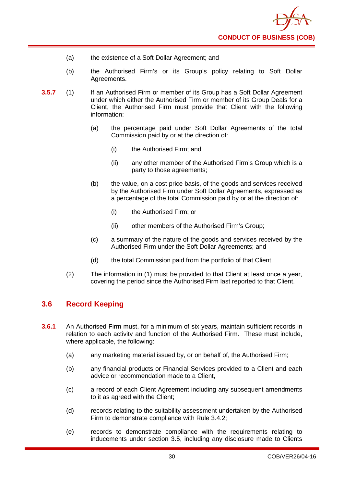- (a) the existence of a Soft Dollar Agreement; and
- (b) the Authorised Firm's or its Group's policy relating to Soft Dollar Agreements.
- **3.5.7** (1) If an Authorised Firm or member of its Group has a Soft Dollar Agreement under which either the Authorised Firm or member of its Group Deals for a Client, the Authorised Firm must provide that Client with the following information:
	- (a) the percentage paid under Soft Dollar Agreements of the total Commission paid by or at the direction of:
		- (i) the Authorised Firm; and
		- (ii) any other member of the Authorised Firm's Group which is a party to those agreements;
	- (b) the value, on a cost price basis, of the goods and services received by the Authorised Firm under Soft Dollar Agreements, expressed as a percentage of the total Commission paid by or at the direction of:
		- (i) the Authorised Firm; or
		- (ii) other members of the Authorised Firm's Group;
	- (c) a summary of the nature of the goods and services received by the Authorised Firm under the Soft Dollar Agreements; and
	- (d) the total Commission paid from the portfolio of that Client.
	- (2) The information in (1) must be provided to that Client at least once a year, covering the period since the Authorised Firm last reported to that Client.

## <span id="page-33-0"></span>**3.6 Record Keeping**

- **3.6.1** An Authorised Firm must, for a minimum of six years, maintain sufficient records in relation to each activity and function of the Authorised Firm. These must include, where applicable, the following:
	- (a) any marketing material issued by, or on behalf of, the Authorised Firm;
	- (b) any financial products or Financial Services provided to a Client and each advice or recommendation made to a Client,
	- (c) a record of each Client Agreement including any subsequent amendments to it as agreed with the Client;
	- (d) records relating to the suitability assessment undertaken by the Authorised Firm to demonstrate compliance with Rule 3.4.2;
	- (e) records to demonstrate compliance with the requirements relating to inducements under section 3.5, including any disclosure made to Clients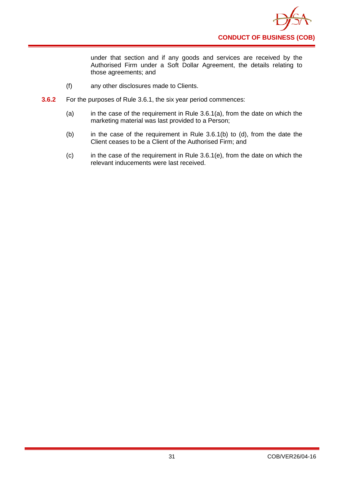

under that section and if any goods and services are received by the Authorised Firm under a Soft Dollar Agreement, the details relating to those agreements; and

- (f) any other disclosures made to Clients.
- **3.6.2** For the purposes of Rule 3.6.1, the six year period commences:
	- (a) in the case of the requirement in Rule  $3.6.1(a)$ , from the date on which the marketing material was last provided to a Person;
	- (b) in the case of the requirement in Rule  $3.6.1(b)$  to (d), from the date the Client ceases to be a Client of the Authorised Firm; and
	- (c) in the case of the requirement in Rule 3.6.1(e), from the date on which the relevant inducements were last received.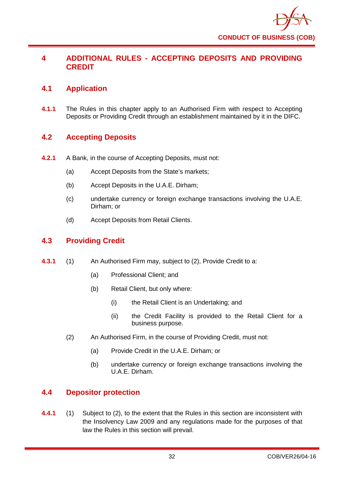

## <span id="page-35-0"></span>**4 ADDITIONAL RULES - ACCEPTING DEPOSITS AND PROVIDING CREDIT**

## <span id="page-35-1"></span>**4.1 Application**

**4.1.1** The Rules in this chapter apply to an Authorised Firm with respect to Accepting Deposits or Providing Credit through an establishment maintained by it in the DIFC.

## <span id="page-35-2"></span>**4.2 Accepting Deposits**

- **4.2.1** A Bank, in the course of Accepting Deposits, must not:
	- (a) Accept Deposits from the State's markets;
	- (b) Accept Deposits in the U.A.E. Dirham;
	- (c) undertake currency or foreign exchange transactions involving the U.A.E. Dirham; or
	- (d) Accept Deposits from Retail Clients.

## <span id="page-35-3"></span>**4.3 Providing Credit**

- **4.3.1** (1) An Authorised Firm may, subject to (2), Provide Credit to a:
	- (a) Professional Client; and
	- (b) Retail Client, but only where:
		- (i) the Retail Client is an Undertaking; and
		- (ii) the Credit Facility is provided to the Retail Client for a business purpose.
	- (2) An Authorised Firm, in the course of Providing Credit, must not:
		- (a) Provide Credit in the U.A.E. Dirham; or
		- (b) undertake currency or foreign exchange transactions involving the U.A.E. Dirham.

## <span id="page-35-4"></span>**4.4 Depositor protection**

**4.4.1** (1) Subject to (2), to the extent that the Rules in this section are inconsistent with the Insolvency Law 2009 and any regulations made for the purposes of that law the Rules in this section will prevail.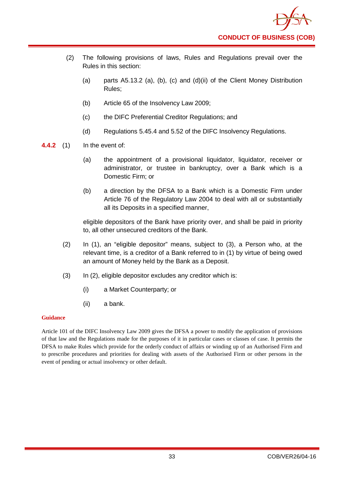- (2) The following provisions of laws, Rules and Regulations prevail over the Rules in this section:
	- (a) parts A5.13.2 (a), (b), (c) and (d)(ii) of the Client Money Distribution Rules;
	- (b) Article 65 of the Insolvency Law 2009;
	- (c) the DIFC Preferential Creditor Regulations; and
	- (d) Regulations 5.45.4 and 5.52 of the DIFC Insolvency Regulations.
- **4.4.2** (1) In the event of:
	- (a) the appointment of a provisional liquidator, liquidator, receiver or administrator, or trustee in bankruptcy, over a Bank which is a Domestic Firm; or
	- (b) a direction by the DFSA to a Bank which is a Domestic Firm under Article 76 of the Regulatory Law 2004 to deal with all or substantially all its Deposits in a specified manner,

eligible depositors of the Bank have priority over, and shall be paid in priority to, all other unsecured creditors of the Bank.

- (2) In (1), an "eligible depositor" means, subject to (3), a Person who, at the relevant time, is a creditor of a Bank referred to in (1) by virtue of being owed an amount of Money held by the Bank as a Deposit.
- (3) In (2), eligible depositor excludes any creditor which is:
	- (i) a Market Counterparty; or
	- (ii) a bank.

### **Guidance**

Article 101 of the DIFC Insolvency Law 2009 gives the DFSA a power to modify the application of provisions of that law and the Regulations made for the purposes of it in particular cases or classes of case. It permits the DFSA to make Rules which provide for the orderly conduct of affairs or winding up of an Authorised Firm and to prescribe procedures and priorities for dealing with assets of the Authorised Firm or other persons in the event of pending or actual insolvency or other default.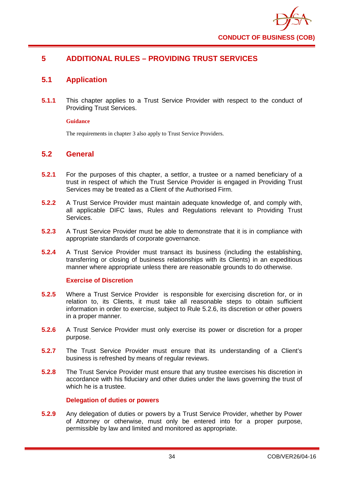

# **5 ADDITIONAL RULES – PROVIDING TRUST SERVICES**

# **5.1 Application**

**5.1.1** This chapter applies to a Trust Service Provider with respect to the conduct of Providing Trust Services.

### **Guidance**

The requirements in chapter 3 also apply to Trust Service Providers.

## **5.2 General**

- **5.2.1** For the purposes of this chapter, a settlor, a trustee or a named beneficiary of a trust in respect of which the Trust Service Provider is engaged in Providing Trust Services may be treated as a Client of the Authorised Firm.
- **5.2.2** A Trust Service Provider must maintain adequate knowledge of, and comply with, all applicable DIFC laws, Rules and Regulations relevant to Providing Trust Services.
- **5.2.3** A Trust Service Provider must be able to demonstrate that it is in compliance with appropriate standards of corporate governance.
- **5.2.4** A Trust Service Provider must transact its business (including the establishing, transferring or closing of business relationships with its Clients) in an expeditious manner where appropriate unless there are reasonable grounds to do otherwise.

## **Exercise of Discretion**

- **5.2.5** Where a Trust Service Provider is responsible for exercising discretion for, or in relation to, its Clients, it must take all reasonable steps to obtain sufficient information in order to exercise, subject to Rule 5.2.6, its discretion or other powers in a proper manner.
- **5.2.6** A Trust Service Provider must only exercise its power or discretion for a proper purpose.
- **5.2.7** The Trust Service Provider must ensure that its understanding of a Client's business is refreshed by means of regular reviews.
- **5.2.8** The Trust Service Provider must ensure that any trustee exercises his discretion in accordance with his fiduciary and other duties under the laws governing the trust of which he is a trustee.

## **Delegation of duties or powers**

**5.2.9** Any delegation of duties or powers by a Trust Service Provider, whether by Power of Attorney or otherwise, must only be entered into for a proper purpose, permissible by law and limited and monitored as appropriate.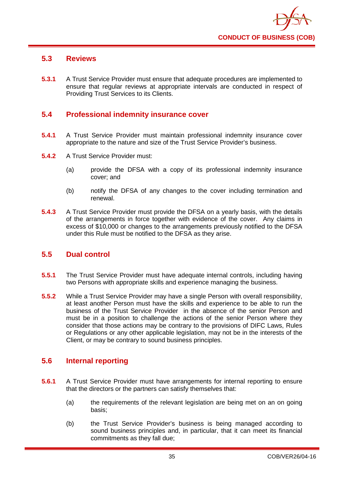

# **5.3 Reviews**

**5.3.1** A Trust Service Provider must ensure that adequate procedures are implemented to ensure that regular reviews at appropriate intervals are conducted in respect of Providing Trust Services to its Clients.

# **5.4 Professional indemnity insurance cover**

- **5.4.1** A Trust Service Provider must maintain professional indemnity insurance cover appropriate to the nature and size of the Trust Service Provider's business.
- **5.4.2** A Trust Service Provider must:
	- (a) provide the DFSA with a copy of its professional indemnity insurance cover; and
	- (b) notify the DFSA of any changes to the cover including termination and renewal.
- **5.4.3** A Trust Service Provider must provide the DFSA on a yearly basis, with the details of the arrangements in force together with evidence of the cover. Any claims in excess of \$10,000 or changes to the arrangements previously notified to the DFSA under this Rule must be notified to the DFSA as they arise.

## **5.5 Dual control**

- **5.5.1** The Trust Service Provider must have adequate internal controls, including having two Persons with appropriate skills and experience managing the business.
- **5.5.2** While a Trust Service Provider may have a single Person with overall responsibility, at least another Person must have the skills and experience to be able to run the business of the Trust Service Provider in the absence of the senior Person and must be in a position to challenge the actions of the senior Person where they consider that those actions may be contrary to the provisions of DIFC Laws, Rules or Regulations or any other applicable legislation, may not be in the interests of the Client, or may be contrary to sound business principles.

## **5.6 Internal reporting**

- **5.6.1** A Trust Service Provider must have arrangements for internal reporting to ensure that the directors or the partners can satisfy themselves that:
	- (a) the requirements of the relevant legislation are being met on an on going basis;
	- (b) the Trust Service Provider's business is being managed according to sound business principles and, in particular, that it can meet its financial commitments as they fall due;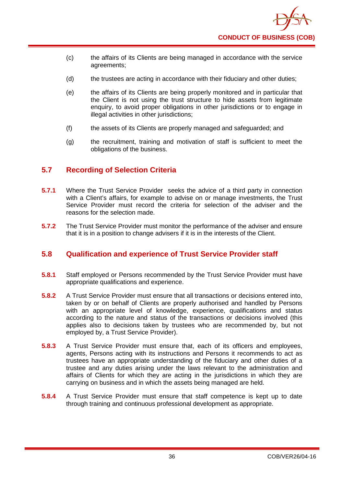- (c) the affairs of its Clients are being managed in accordance with the service agreements;
- (d) the trustees are acting in accordance with their fiduciary and other duties;
- (e) the affairs of its Clients are being properly monitored and in particular that the Client is not using the trust structure to hide assets from legitimate enquiry, to avoid proper obligations in other jurisdictions or to engage in illegal activities in other jurisdictions;
- (f) the assets of its Clients are properly managed and safeguarded; and
- (g) the recruitment, training and motivation of staff is sufficient to meet the obligations of the business.

# **5.7 Recording of Selection Criteria**

- **5.7.1** Where the Trust Service Provider seeks the advice of a third party in connection with a Client's affairs, for example to advise on or manage investments, the Trust Service Provider must record the criteria for selection of the adviser and the reasons for the selection made.
- **5.7.2** The Trust Service Provider must monitor the performance of the adviser and ensure that it is in a position to change advisers if it is in the interests of the Client.

# **5.8 Qualification and experience of Trust Service Provider staff**

- **5.8.1** Staff employed or Persons recommended by the Trust Service Provider must have appropriate qualifications and experience.
- **5.8.2** A Trust Service Provider must ensure that all transactions or decisions entered into, taken by or on behalf of Clients are properly authorised and handled by Persons with an appropriate level of knowledge, experience, qualifications and status according to the nature and status of the transactions or decisions involved (this applies also to decisions taken by trustees who are recommended by, but not employed by, a Trust Service Provider).
- **5.8.3** A Trust Service Provider must ensure that, each of its officers and employees, agents, Persons acting with its instructions and Persons it recommends to act as trustees have an appropriate understanding of the fiduciary and other duties of a trustee and any duties arising under the laws relevant to the administration and affairs of Clients for which they are acting in the jurisdictions in which they are carrying on business and in which the assets being managed are held.
- **5.8.4** A Trust Service Provider must ensure that staff competence is kept up to date through training and continuous professional development as appropriate.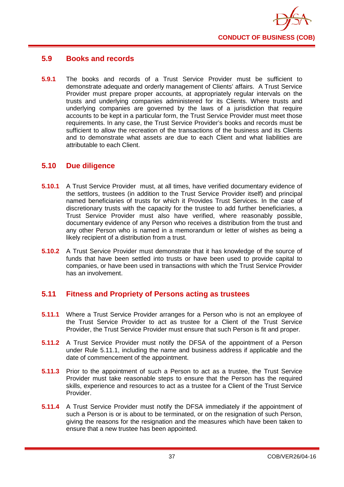

# **5.9 Books and records**

**5.9.1** The books and records of a Trust Service Provider must be sufficient to demonstrate adequate and orderly management of Clients' affairs. A Trust Service Provider must prepare proper accounts, at appropriately regular intervals on the trusts and underlying companies administered for its Clients. Where trusts and underlying companies are governed by the laws of a jurisdiction that require accounts to be kept in a particular form, the Trust Service Provider must meet those requirements. In any case, the Trust Service Provider's books and records must be sufficient to allow the recreation of the transactions of the business and its Clients and to demonstrate what assets are due to each Client and what liabilities are attributable to each Client.

## **5.10 Due diligence**

- **5.10.1** A Trust Service Provider must, at all times, have verified documentary evidence of the settlors, trustees (in addition to the Trust Service Provider itself) and principal named beneficiaries of trusts for which it Provides Trust Services. In the case of discretionary trusts with the capacity for the trustee to add further beneficiaries, a Trust Service Provider must also have verified, where reasonably possible, documentary evidence of any Person who receives a distribution from the trust and any other Person who is named in a memorandum or letter of wishes as being a likely recipient of a distribution from a trust.
- **5.10.2** A Trust Service Provider must demonstrate that it has knowledge of the source of funds that have been settled into trusts or have been used to provide capital to companies, or have been used in transactions with which the Trust Service Provider has an involvement.

# **5.11 Fitness and Propriety of Persons acting as trustees**

- **5.11.1** Where a Trust Service Provider arranges for a Person who is not an employee of the Trust Service Provider to act as trustee for a Client of the Trust Service Provider, the Trust Service Provider must ensure that such Person is fit and proper.
- **5.11.2** A Trust Service Provider must notify the DFSA of the appointment of a Person under Rule 5.11.1, including the name and business address if applicable and the date of commencement of the appointment.
- **5.11.3** Prior to the appointment of such a Person to act as a trustee, the Trust Service Provider must take reasonable steps to ensure that the Person has the required skills, experience and resources to act as a trustee for a Client of the Trust Service Provider.
- **5.11.4** A Trust Service Provider must notify the DFSA immediately if the appointment of such a Person is or is about to be terminated, or on the resignation of such Person, giving the reasons for the resignation and the measures which have been taken to ensure that a new trustee has been appointed.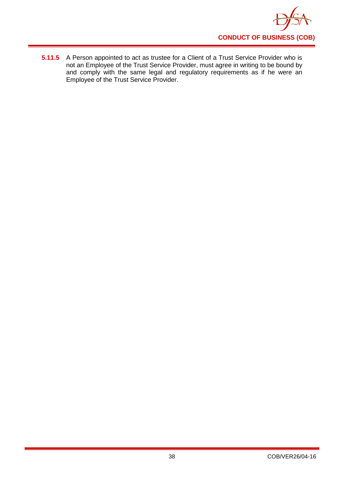

**5.11.5** A Person appointed to act as trustee for a Client of a Trust Service Provider who is not an Employee of the Trust Service Provider, must agree in writing to be bound by and comply with the same legal and regulatory requirements as if he were an Employee of the Trust Service Provider.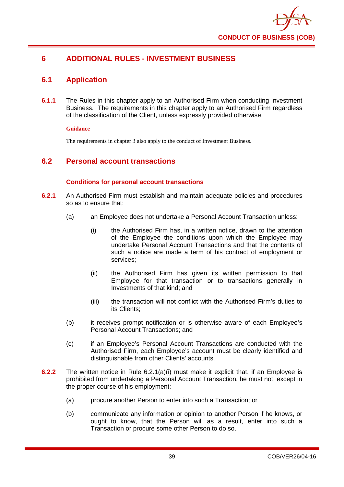

# **6 ADDITIONAL RULES - INVESTMENT BUSINESS**

# **6.1 Application**

**6.1.1** The Rules in this chapter apply to an Authorised Firm when conducting Investment Business. The requirements in this chapter apply to an Authorised Firm regardless of the classification of the Client, unless expressly provided otherwise.

### **Guidance**

The requirements in chapter 3 also apply to the conduct of Investment Business.

## **6.2 Personal account transactions**

## **Conditions for personal account transactions**

- **6.2.1** An Authorised Firm must establish and maintain adequate policies and procedures so as to ensure that:
	- (a) an Employee does not undertake a Personal Account Transaction unless:
		- (i) the Authorised Firm has, in a written notice, drawn to the attention of the Employee the conditions upon which the Employee may undertake Personal Account Transactions and that the contents of such a notice are made a term of his contract of employment or services;
		- (ii) the Authorised Firm has given its written permission to that Employee for that transaction or to transactions generally in Investments of that kind; and
		- (iii) the transaction will not conflict with the Authorised Firm's duties to its Clients;
	- (b) it receives prompt notification or is otherwise aware of each Employee's Personal Account Transactions; and
	- (c) if an Employee's Personal Account Transactions are conducted with the Authorised Firm, each Employee's account must be clearly identified and distinguishable from other Clients' accounts.
- **6.2.2** The written notice in Rule 6.2.1(a)(i) must make it explicit that, if an Employee is prohibited from undertaking a Personal Account Transaction, he must not, except in the proper course of his employment:
	- (a) procure another Person to enter into such a Transaction; or
	- (b) communicate any information or opinion to another Person if he knows, or ought to know, that the Person will as a result, enter into such a Transaction or procure some other Person to do so.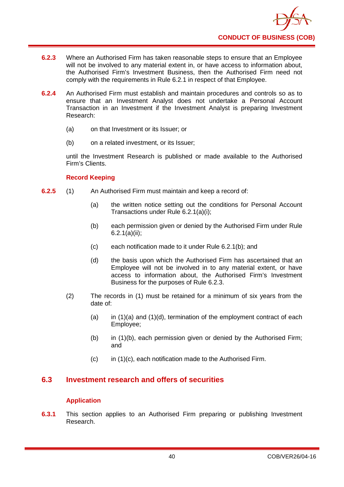- **6.2.3** Where an Authorised Firm has taken reasonable steps to ensure that an Employee will not be involved to any material extent in, or have access to information about, the Authorised Firm's Investment Business, then the Authorised Firm need not comply with the requirements in Rule 6.2.1 in respect of that Employee.
- **6.2.4** An Authorised Firm must establish and maintain procedures and controls so as to ensure that an Investment Analyst does not undertake a Personal Account Transaction in an Investment if the Investment Analyst is preparing Investment Research:
	- (a) on that Investment or its Issuer; or
	- (b) on a related investment, or its Issuer;

until the Investment Research is published or made available to the Authorised Firm's Clients.

## **Record Keeping**

- **6.2.5** (1) An Authorised Firm must maintain and keep a record of:
	- (a) the written notice setting out the conditions for Personal Account Transactions under Rule 6.2.1(a)(i);
	- (b) each permission given or denied by the Authorised Firm under Rule 6.2.1(a)(ii);
	- (c) each notification made to it under Rule 6.2.1(b); and
	- (d) the basis upon which the Authorised Firm has ascertained that an Employee will not be involved in to any material extent, or have access to information about, the Authorised Firm's Investment Business for the purposes of Rule 6.2.3.
	- (2) The records in (1) must be retained for a minimum of six years from the date of:
		- (a) in  $(1)(a)$  and  $(1)(d)$ , termination of the employment contract of each Employee;
		- (b) in (1)(b), each permission given or denied by the Authorised Firm; and
		- (c) in (1)(c), each notification made to the Authorised Firm.

# **6.3 Investment research and offers of securities**

## **Application**

**6.3.1** This section applies to an Authorised Firm preparing or publishing Investment Research.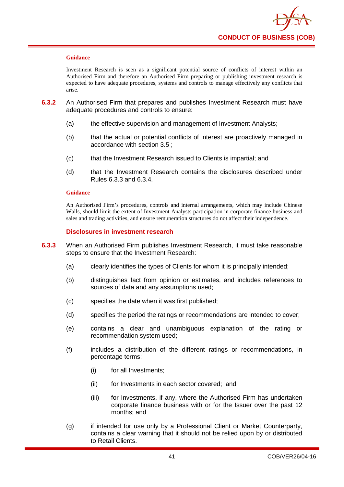Investment Research is seen as a significant potential source of conflicts of interest within an Authorised Firm and therefore an Authorised Firm preparing or publishing investment research is expected to have adequate procedures, systems and controls to manage effectively any conflicts that arise.

- **6.3.2** An Authorised Firm that prepares and publishes Investment Research must have adequate procedures and controls to ensure:
	- (a) the effective supervision and management of Investment Analysts;
	- (b) that the actual or potential conflicts of interest are proactively managed in accordance with section 3.5 ;
	- (c) that the Investment Research issued to Clients is impartial; and
	- (d) that the Investment Research contains the disclosures described under Rules 6.3.3 and 6.3.4.

#### **Guidance**

An Authorised Firm's procedures, controls and internal arrangements, which may include Chinese Walls, should limit the extent of Investment Analysts participation in corporate finance business and sales and trading activities, and ensure remuneration structures do not affect their independence.

### **Disclosures in investment research**

- **6.3.3** When an Authorised Firm publishes Investment Research, it must take reasonable steps to ensure that the Investment Research:
	- (a) clearly identifies the types of Clients for whom it is principally intended;
	- (b) distinguishes fact from opinion or estimates, and includes references to sources of data and any assumptions used;
	- (c) specifies the date when it was first published;
	- (d) specifies the period the ratings or recommendations are intended to cover;
	- (e) contains a clear and unambiguous explanation of the rating or recommendation system used;
	- (f) includes a distribution of the different ratings or recommendations, in percentage terms:
		- (i) for all Investments;
		- (ii) for Investments in each sector covered; and
		- (iii) for Investments, if any, where the Authorised Firm has undertaken corporate finance business with or for the Issuer over the past 12 months; and
	- (g) if intended for use only by a Professional Client or Market Counterparty, contains a clear warning that it should not be relied upon by or distributed to Retail Clients.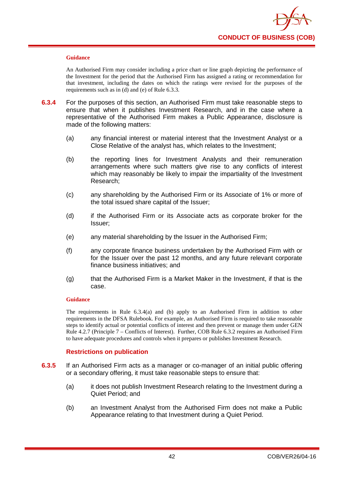

An Authorised Firm may consider including a price chart or line graph depicting the performance of the Investment for the period that the Authorised Firm has assigned a rating or recommendation for that investment, including the dates on which the ratings were revised for the purposes of the requirements such as in (d) and (e) of Rule 6.3.3.

- **6.3.4** For the purposes of this section, an Authorised Firm must take reasonable steps to ensure that when it publishes Investment Research, and in the case where a representative of the Authorised Firm makes a Public Appearance, disclosure is made of the following matters:
	- (a) any financial interest or material interest that the Investment Analyst or a Close Relative of the analyst has, which relates to the Investment;
	- (b) the reporting lines for Investment Analysts and their remuneration arrangements where such matters give rise to any conflicts of interest which may reasonably be likely to impair the impartiality of the Investment Research;
	- (c) any shareholding by the Authorised Firm or its Associate of 1% or more of the total issued share capital of the Issuer;
	- (d) if the Authorised Firm or its Associate acts as corporate broker for the Issuer;
	- (e) any material shareholding by the Issuer in the Authorised Firm;
	- (f) any corporate finance business undertaken by the Authorised Firm with or for the Issuer over the past 12 months, and any future relevant corporate finance business initiatives; and
	- (g) that the Authorised Firm is a Market Maker in the Investment, if that is the case.

#### **Guidance**

The requirements in Rule 6.3.4(a) and (b) apply to an Authorised Firm in addition to other requirements in the DFSA Rulebook. For example, an Authorised Firm is required to take reasonable steps to identify actual or potential conflicts of interest and then prevent or manage them under GEN Rule 4.2.7 (Principle 7 – Conflicts of Interest). Further, COB Rule 6.3.2 requires an Authorised Firm to have adequate procedures and controls when it prepares or publishes Investment Research.

### **Restrictions on publication**

- **6.3.5** If an Authorised Firm acts as a manager or co-manager of an initial public offering or a secondary offering, it must take reasonable steps to ensure that:
	- (a) it does not publish Investment Research relating to the Investment during a Quiet Period; and
	- (b) an Investment Analyst from the Authorised Firm does not make a Public Appearance relating to that Investment during a Quiet Period.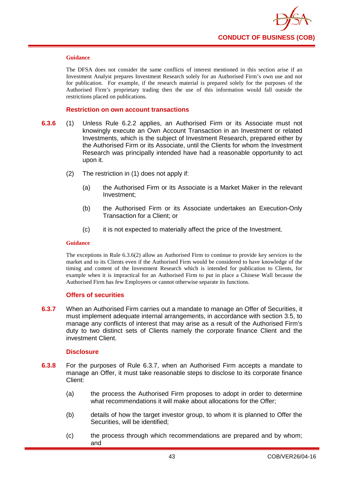

The DFSA does not consider the same conflicts of interest mentioned in this section arise if an Investment Analyst prepares Investment Research solely for an Authorised Firm's own use and not for publication. For example, if the research material is prepared solely for the purposes of the Authorised Firm's proprietary trading then the use of this information would fall outside the restrictions placed on publications.

#### **Restriction on own account transactions**

- **6.3.6** (1) Unless Rule 6.2.2 applies, an Authorised Firm or its Associate must not knowingly execute an Own Account Transaction in an Investment or related Investments, which is the subject of Investment Research, prepared either by the Authorised Firm or its Associate, until the Clients for whom the Investment Research was principally intended have had a reasonable opportunity to act upon it.
	- (2) The restriction in (1) does not apply if:
		- (a) the Authorised Firm or its Associate is a Market Maker in the relevant Investment;
		- (b) the Authorised Firm or its Associate undertakes an Execution-Only Transaction for a Client; or
		- (c) it is not expected to materially affect the price of the Investment.

#### **Guidance**

The exceptions in Rule 6.3.6(2) allow an Authorised Firm to continue to provide key services to the market and to its Clients even if the Authorised Firm would be considered to have knowledge of the timing and content of the Investment Research which is intended for publication to Clients, for example when it is impractical for an Authorised Firm to put in place a Chinese Wall because the Authorised Firm has few Employees or cannot otherwise separate its functions.

#### **Offers of securities**

**6.3.7** When an Authorised Firm carries out a mandate to manage an Offer of Securities, it must implement adequate internal arrangements, in accordance with section 3.5, to manage any conflicts of interest that may arise as a result of the Authorised Firm's duty to two distinct sets of Clients namely the corporate finance Client and the investment Client.

### **Disclosure**

- **6.3.8** For the purposes of Rule 6.3.7, when an Authorised Firm accepts a mandate to manage an Offer, it must take reasonable steps to disclose to its corporate finance Client:
	- (a) the process the Authorised Firm proposes to adopt in order to determine what recommendations it will make about allocations for the Offer;
	- (b) details of how the target investor group, to whom it is planned to Offer the Securities, will be identified;
	- (c) the process through which recommendations are prepared and by whom; and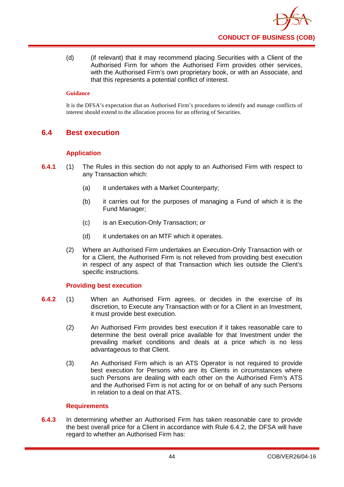(d) (if relevant) that it may recommend placing Securities with a Client of the Authorised Firm for whom the Authorised Firm provides other services, with the Authorised Firm's own proprietary book, or with an Associate, and that this represents a potential conflict of interest.

### **Guidance**

It is the DFSA's expectation that an Authorised Firm's procedures to identify and manage conflicts of interest should extend to the allocation process for an offering of Securities.

# **6.4 Best execution**

## **Application**

- **6.4.1** (1) The Rules in this section do not apply to an Authorised Firm with respect to any Transaction which:
	- (a) it undertakes with a Market Counterparty;
	- (b) it carries out for the purposes of managing a Fund of which it is the Fund Manager;
	- (c) is an Execution-Only Transaction; or
	- (d) it undertakes on an MTF which it operates.
	- (2) Where an Authorised Firm undertakes an Execution-Only Transaction with or for a Client, the Authorised Firm is not relieved from providing best execution in respect of any aspect of that Transaction which lies outside the Client's specific instructions.

### **Providing best execution**

- **6.4.2** (1) When an Authorised Firm agrees, or decides in the exercise of its discretion, to Execute any Transaction with or for a Client in an Investment, it must provide best execution.
	- (2) An Authorised Firm provides best execution if it takes reasonable care to determine the best overall price available for that Investment under the prevailing market conditions and deals at a price which is no less advantageous to that Client.
	- (3) An Authorised Firm which is an ATS Operator is not required to provide best execution for Persons who are its Clients in circumstances where such Persons are dealing with each other on the Authorised Firm's ATS and the Authorised Firm is not acting for or on behalf of any such Persons in relation to a deal on that ATS.

### **Requirements**

**6.4.3** In determining whether an Authorised Firm has taken reasonable care to provide the best overall price for a Client in accordance with Rule 6.4.2, the DFSA will have regard to whether an Authorised Firm has: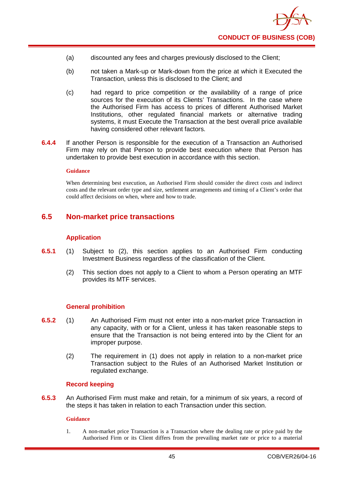

- (a) discounted any fees and charges previously disclosed to the Client;
- (b) not taken a Mark-up or Mark-down from the price at which it Executed the Transaction, unless this is disclosed to the Client; and
- (c) had regard to price competition or the availability of a range of price sources for the execution of its Clients' Transactions. In the case where the Authorised Firm has access to prices of different Authorised Market Institutions, other regulated financial markets or alternative trading systems, it must Execute the Transaction at the best overall price available having considered other relevant factors.
- **6.4.4** If another Person is responsible for the execution of a Transaction an Authorised Firm may rely on that Person to provide best execution where that Person has undertaken to provide best execution in accordance with this section.

When determining best execution, an Authorised Firm should consider the direct costs and indirect costs and the relevant order type and size, settlement arrangements and timing of a Client's order that could affect decisions on when, where and how to trade.

## **6.5 Non-market price transactions**

### **Application**

- **6.5.1** (1) Subject to (2), this section applies to an Authorised Firm conducting Investment Business regardless of the classification of the Client.
	- (2) This section does not apply to a Client to whom a Person operating an MTF provides its MTF services.

#### **General prohibition**

- **6.5.2** (1) An Authorised Firm must not enter into a non-market price Transaction in any capacity, with or for a Client, unless it has taken reasonable steps to ensure that the Transaction is not being entered into by the Client for an improper purpose.
	- (2) The requirement in (1) does not apply in relation to a non-market price Transaction subject to the Rules of an Authorised Market Institution or regulated exchange.

### **Record keeping**

**6.5.3** An Authorised Firm must make and retain, for a minimum of six years, a record of the steps it has taken in relation to each Transaction under this section.

#### **Guidance**

1. A non-market price Transaction is a Transaction where the dealing rate or price paid by the Authorised Firm or its Client differs from the prevailing market rate or price to a material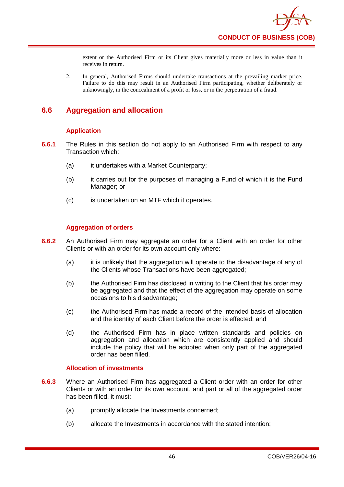extent or the Authorised Firm or its Client gives materially more or less in value than it receives in return.

2. In general, Authorised Firms should undertake transactions at the prevailing market price. Failure to do this may result in an Authorised Firm participating, whether deliberately or unknowingly, in the concealment of a profit or loss, or in the perpetration of a fraud.

# **6.6 Aggregation and allocation**

## **Application**

- **6.6.1** The Rules in this section do not apply to an Authorised Firm with respect to any Transaction which:
	- (a) it undertakes with a Market Counterparty;
	- (b) it carries out for the purposes of managing a Fund of which it is the Fund Manager; or
	- (c) is undertaken on an MTF which it operates.

## **Aggregation of orders**

- **6.6.2** An Authorised Firm may aggregate an order for a Client with an order for other Clients or with an order for its own account only where:
	- (a) it is unlikely that the aggregation will operate to the disadvantage of any of the Clients whose Transactions have been aggregated;
	- (b) the Authorised Firm has disclosed in writing to the Client that his order may be aggregated and that the effect of the aggregation may operate on some occasions to his disadvantage;
	- (c) the Authorised Firm has made a record of the intended basis of allocation and the identity of each Client before the order is effected; and
	- (d) the Authorised Firm has in place written standards and policies on aggregation and allocation which are consistently applied and should include the policy that will be adopted when only part of the aggregated order has been filled.

## **Allocation of investments**

- **6.6.3** Where an Authorised Firm has aggregated a Client order with an order for other Clients or with an order for its own account, and part or all of the aggregated order has been filled, it must:
	- (a) promptly allocate the Investments concerned;
	- (b) allocate the Investments in accordance with the stated intention;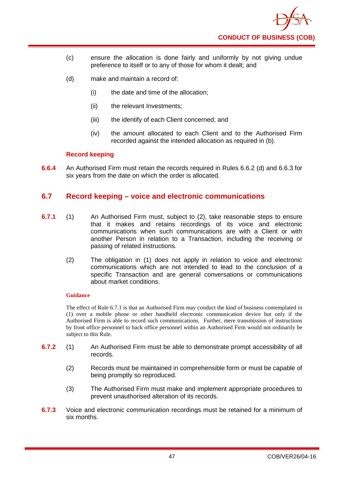

- (c) ensure the allocation is done fairly and uniformly by not giving undue preference to itself or to any of those for whom it dealt; and
- (d) make and maintain a record of:
	- (i) the date and time of the allocation;
	- (ii) the relevant Investments;
	- (iii) the identify of each Client concerned; and
	- (iv) the amount allocated to each Client and to the Authorised Firm recorded against the intended allocation as required in (b).

## **Record keeping**

**6.6.4** An Authorised Firm must retain the records required in Rules 6.6.2 (d) and 6.6.3 for six years from the date on which the order is allocated.

## **6.7 Record keeping – voice and electronic communications**

- **6.7.1** (1) An Authorised Firm must, subject to (2), take reasonable steps to ensure that it makes and retains recordings of its voice and electronic communications when such communications are with a Client or with another Person in relation to a Transaction, including the receiving or passing of related instructions.
	- (2) The obligation in (1) does not apply in relation to voice and electronic communications which are not intended to lead to the conclusion of a specific Transaction and are general conversations or communications about market conditions.

### **Guidance**

The effect of Rule 6.7.1 is that an Authorised Firm may conduct the kind of business contemplated in (1) over a mobile phone or other handheld electronic communication device but only if the Authorised Firm is able to record such communications. Further, mere transmission of instructions by front office personnel to back office personnel within an Authorised Firm would not ordinarily be subject to this Rule.

- **6.7.2** (1) An Authorised Firm must be able to demonstrate prompt accessibility of all records.
	- (2) Records must be maintained in comprehensible form or must be capable of being promptly so reproduced.
	- (3) The Authorised Firm must make and implement appropriate procedures to prevent unauthorised alteration of its records.
- **6.7.3** Voice and electronic communication recordings must be retained for a minimum of six months.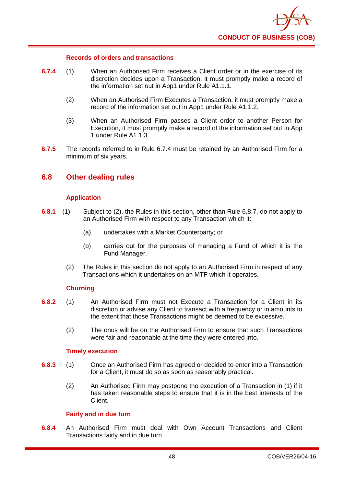

### **Records of orders and transactions**

- **6.7.4** (1) When an Authorised Firm receives a Client order or in the exercise of its discretion decides upon a Transaction, it must promptly make a record of the information set out in App1 under Rule A1.1.1.
	- (2) When an Authorised Firm Executes a Transaction, it must promptly make a record of the information set out in App1 under Rule A1.1.2.
	- (3) When an Authorised Firm passes a Client order to another Person for Execution, it must promptly make a record of the information set out in App 1 under Rule A1.1.3.
- **6.7.5** The records referred to in Rule 6.7.4 must be retained by an Authorised Firm for a minimum of six years.

## **6.8 Other dealing rules**

### **Application**

- **6.8.1** (1) Subject to (2), the Rules in this section, other than Rule 6.8.7, do not apply to an Authorised Firm with respect to any Transaction which it:
	- (a) undertakes with a Market Counterparty; or
	- (b) carries out for the purposes of managing a Fund of which it is the Fund Manager.
	- (2) The Rules in this section do not apply to an Authorised Firm in respect of any Transactions which it undertakes on an MTF which it operates.

## **Churning**

- **6.8.2** (1) An Authorised Firm must not Execute a Transaction for a Client in its discretion or advise any Client to transact with a frequency or in amounts to the extent that those Transactions might be deemed to be excessive.
	- (2) The onus will be on the Authorised Firm to ensure that such Transactions were fair and reasonable at the time they were entered into.

## **Timely execution**

- **6.8.3** (1) Once an Authorised Firm has agreed or decided to enter into a Transaction for a Client, it must do so as soon as reasonably practical.
	- (2) An Authorised Firm may postpone the execution of a Transaction in (1) if it has taken reasonable steps to ensure that it is in the best interests of the Client.

### **Fairly and in due turn**

**6.8.4** An Authorised Firm must deal with Own Account Transactions and Client Transactions fairly and in due turn.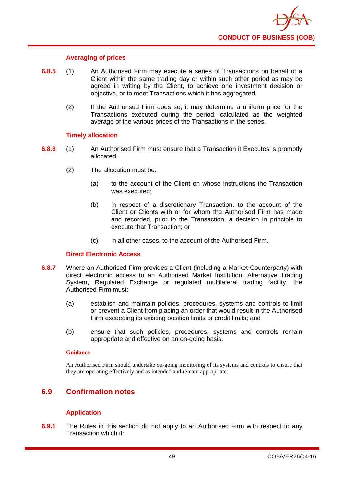

### **Averaging of prices**

- **6.8.5** (1) An Authorised Firm may execute a series of Transactions on behalf of a Client within the same trading day or within such other period as may be agreed in writing by the Client, to achieve one investment decision or objective, or to meet Transactions which it has aggregated.
	- (2) If the Authorised Firm does so, it may determine a uniform price for the Transactions executed during the period, calculated as the weighted average of the various prices of the Transactions in the series.

### **Timely allocation**

- **6.8.6** (1) An Authorised Firm must ensure that a Transaction it Executes is promptly allocated.
	- (2) The allocation must be:
		- (a) to the account of the Client on whose instructions the Transaction was executed;
		- (b) in respect of a discretionary Transaction, to the account of the Client or Clients with or for whom the Authorised Firm has made and recorded, prior to the Transaction, a decision in principle to execute that Transaction; or
		- (c) in all other cases, to the account of the Authorised Firm.

### **Direct Electronic Access**

- **6.8.7** Where an Authorised Firm provides a Client (including a Market Counterparty) with direct electronic access to an Authorised Market Institution, Alternative Trading System, Regulated Exchange or regulated multilateral trading facility, the Authorised Firm must:
	- (a) establish and maintain policies, procedures, systems and controls to limit or prevent a Client from placing an order that would result in the Authorised Firm exceeding its existing position limits or credit limits; and
	- (b) ensure that such policies, procedures, systems and controls remain appropriate and effective on an on-going basis.

#### **Guidance**

An Authorised Firm should undertake on-going monitoring of its systems and controls to ensure that they are operating effectively and as intended and remain appropriate.

# **6.9 Confirmation notes**

## **Application**

**6.9.1** The Rules in this section do not apply to an Authorised Firm with respect to any Transaction which it: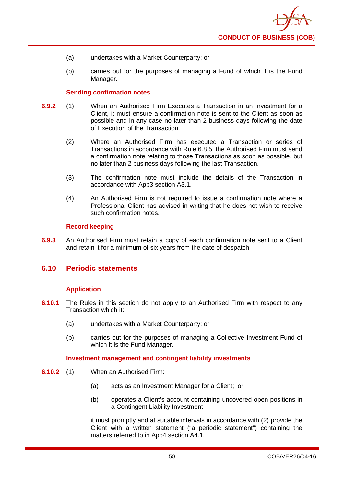- (a) undertakes with a Market Counterparty; or
- (b) carries out for the purposes of managing a Fund of which it is the Fund Manager.

#### **Sending confirmation notes**

- **6.9.2** (1) When an Authorised Firm Executes a Transaction in an Investment for a Client, it must ensure a confirmation note is sent to the Client as soon as possible and in any case no later than 2 business days following the date of Execution of the Transaction.
	- (2) Where an Authorised Firm has executed a Transaction or series of Transactions in accordance with Rule 6.8.5, the Authorised Firm must send a confirmation note relating to those Transactions as soon as possible, but no later than 2 business days following the last Transaction.
	- (3) The confirmation note must include the details of the Transaction in accordance with App3 section A3.1.
	- (4) An Authorised Firm is not required to issue a confirmation note where a Professional Client has advised in writing that he does not wish to receive such confirmation notes.

### **Record keeping**

**6.9.3** An Authorised Firm must retain a copy of each confirmation note sent to a Client and retain it for a minimum of six years from the date of despatch.

## **6.10 Periodic statements**

### **Application**

- **6.10.1** The Rules in this section do not apply to an Authorised Firm with respect to any Transaction which it:
	- (a) undertakes with a Market Counterparty; or
	- (b) carries out for the purposes of managing a Collective Investment Fund of which it is the Fund Manager.

### **Investment management and contingent liability investments**

- **6.10.2** (1) When an Authorised Firm:
	- (a) acts as an Investment Manager for a Client; or
	- (b) operates a Client's account containing uncovered open positions in a Contingent Liability Investment;

it must promptly and at suitable intervals in accordance with (2) provide the Client with a written statement ("a periodic statement") containing the matters referred to in App4 section A4.1.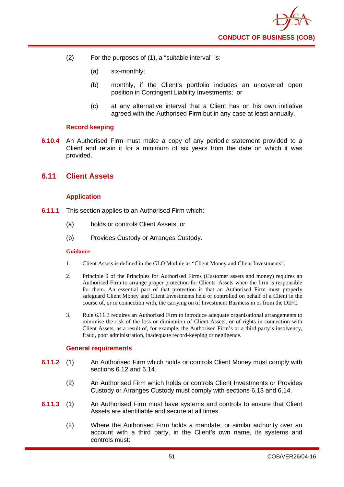- (2) For the purposes of (1), a "suitable interval" is:
	- (a) six-monthly;
	- (b) monthly, if the Client's portfolio includes an uncovered open position in Contingent Liability Investments; or
	- (c) at any alternative interval that a Client has on his own initiative agreed with the Authorised Firm but in any case at least annually.

### **Record keeping**

**6.10.4** An Authorised Firm must make a copy of any periodic statement provided to a Client and retain it for a minimum of six years from the date on which it was provided.

# **6.11 Client Assets**

## **Application**

- **6.11.1** This section applies to an Authorised Firm which:
	- (a) holds or controls Client Assets; or
	- (b) Provides Custody or Arranges Custody.

#### **Guidance**

- 1. Client Assets is defined in the GLO Module as "Client Money and Client Investments".
- 2. Principle 9 of the Principles for Authorised Firms (Customer assets and money) requires an Authorised Firm to arrange proper protection for Clients' Assets when the firm is responsible for them. An essential part of that protection is that an Authorised Firm must properly safeguard Client Money and Client Investments held or controlled on behalf of a Client in the course of, or in connection with, the carrying on of Investment Business in or from the DIFC.
- 3. Rule 6.11.3 requires an Authorised Firm to introduce adequate organisational arrangements to minimise the risk of the loss or diminution of Client Assets, or of rights in connection with Client Assets, as a result of, for example, the Authorised Firm's or a third party's insolvency, fraud, poor administration, inadequate record-keeping or negligence.

### **General requirements**

- **6.11.2** (1) An Authorised Firm which holds or controls Client Money must comply with sections 6.12 and 6.14.
	- (2) An Authorised Firm which holds or controls Client Investments or Provides Custody or Arranges Custody must comply with sections 6.13 and 6.14.
- **6.11.3** (1) An Authorised Firm must have systems and controls to ensure that Client Assets are identifiable and secure at all times.
	- (2) Where the Authorised Firm holds a mandate, or similar authority over an account with a third party, in the Client's own name, its systems and controls must: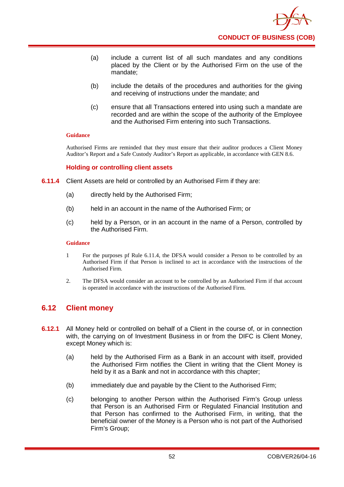- (a) include a current list of all such mandates and any conditions placed by the Client or by the Authorised Firm on the use of the mandate;
- (b) include the details of the procedures and authorities for the giving and receiving of instructions under the mandate; and
- (c) ensure that all Transactions entered into using such a mandate are recorded and are within the scope of the authority of the Employee and the Authorised Firm entering into such Transactions.

Authorised Firms are reminded that they must ensure that their auditor produces a Client Money Auditor's Report and a Safe Custody Auditor's Report as applicable, in accordance with GEN 8.6.

### **Holding or controlling client assets**

- **6.11.4** Client Assets are held or controlled by an Authorised Firm if they are:
	- (a) directly held by the Authorised Firm;
	- (b) held in an account in the name of the Authorised Firm; or
	- (c) held by a Person, or in an account in the name of a Person, controlled by the Authorised Firm.

#### **Guidance**

- 1 For the purposes pf Rule 6.11.4, the DFSA would consider a Person to be controlled by an Authorised Firm if that Person is inclined to act in accordance with the instructions of the Authorised Firm.
- 2. The DFSA would consider an account to be controlled by an Authorised Firm if that account is operated in accordance with the instructions of the Authorised Firm.

## **6.12 Client money**

- **6.12.1** All Money held or controlled on behalf of a Client in the course of, or in connection with, the carrying on of Investment Business in or from the DIFC is Client Money, except Money which is:
	- (a) held by the Authorised Firm as a Bank in an account with itself, provided the Authorised Firm notifies the Client in writing that the Client Money is held by it as a Bank and not in accordance with this chapter;
	- (b) immediately due and payable by the Client to the Authorised Firm;
	- (c) belonging to another Person within the Authorised Firm's Group unless that Person is an Authorised Firm or Regulated Financial Institution and that Person has confirmed to the Authorised Firm, in writing, that the beneficial owner of the Money is a Person who is not part of the Authorised Firm's Group;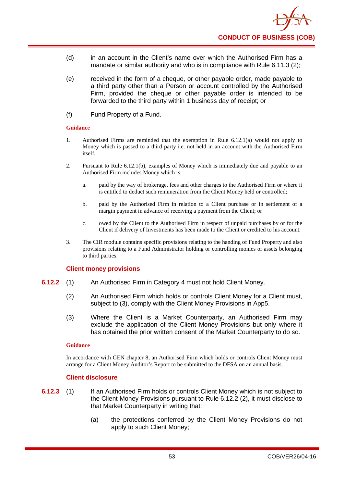- (d) in an account in the Client's name over which the Authorised Firm has a mandate or similar authority and who is in compliance with Rule 6.11.3 (2):
- (e) received in the form of a cheque, or other payable order, made payable to a third party other than a Person or account controlled by the Authorised Firm, provided the cheque or other payable order is intended to be forwarded to the third party within 1 business day of receipt; or
- (f) Fund Property of a Fund.

- 1. Authorised Firms are reminded that the exemption in Rule 6.12.1(a) would not apply to Money which is passed to a third party i.e. not held in an account with the Authorised Firm itself.
- 2. Pursuant to Rule 6.12.1(b), examples of Money which is immediately due and payable to an Authorised Firm includes Money which is:
	- a. paid by the way of brokerage, fees and other charges to the Authorised Firm or where it is entitled to deduct such remuneration from the Client Money held or controlled;
	- b. paid by the Authorised Firm in relation to a Client purchase or in settlement of a margin payment in advance of receiving a payment from the Client; or
	- c. owed by the Client to the Authorised Firm in respect of unpaid purchases by or for the Client if delivery of Investments has been made to the Client or credited to his account.
- 3. The CIR module contains specific provisions relating to the handing of Fund Property and also provisions relating to a Fund Administrator holding or controlling monies or assets belonging to third parties.

### **Client money provisions**

- **6.12.2** (1) An Authorised Firm in Category 4 must not hold Client Money.
	- (2) An Authorised Firm which holds or controls Client Money for a Client must, subject to (3), comply with the Client Money Provisions in App5.
	- (3) Where the Client is a Market Counterparty, an Authorised Firm may exclude the application of the Client Money Provisions but only where it has obtained the prior written consent of the Market Counterparty to do so.

#### **Guidance**

In accordance with GEN chapter 8, an Authorised Firm which holds or controls Client Money must arrange for a Client Money Auditor's Report to be submitted to the DFSA on an annual basis.

## **Client disclosure**

- **6.12.3** (1) If an Authorised Firm holds or controls Client Money which is not subject to the Client Money Provisions pursuant to Rule 6.12.2 (2), it must disclose to that Market Counterparty in writing that:
	- (a) the protections conferred by the Client Money Provisions do not apply to such Client Money;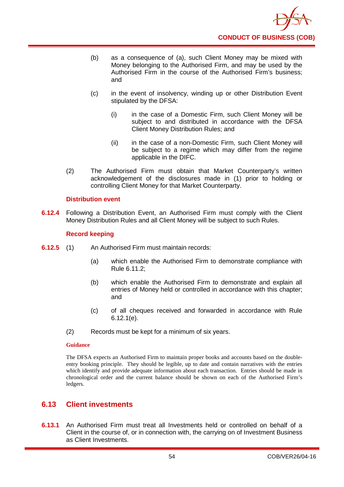- (b) as a consequence of (a), such Client Money may be mixed with Money belonging to the Authorised Firm, and may be used by the Authorised Firm in the course of the Authorised Firm's business; and
- (c) in the event of insolvency, winding up or other Distribution Event stipulated by the DFSA:
	- (i) in the case of a Domestic Firm, such Client Money will be subject to and distributed in accordance with the DFSA Client Money Distribution Rules; and
	- (ii) in the case of a non-Domestic Firm, such Client Money will be subject to a regime which may differ from the regime applicable in the DIFC.
- (2) The Authorised Firm must obtain that Market Counterparty's written acknowledgement of the disclosures made in (1) prior to holding or controlling Client Money for that Market Counterparty.

## **Distribution event**

**6.12.4** Following a Distribution Event, an Authorised Firm must comply with the Client Money Distribution Rules and all Client Money will be subject to such Rules.

### **Record keeping**

- **6.12.5** (1) An Authorised Firm must maintain records:
	- (a) which enable the Authorised Firm to demonstrate compliance with Rule 6.11.2;
	- (b) which enable the Authorised Firm to demonstrate and explain all entries of Money held or controlled in accordance with this chapter; and
	- (c) of all cheques received and forwarded in accordance with Rule 6.12.1(e).
	- (2) Records must be kept for a minimum of six years.

### **Guidance**

The DFSA expects an Authorised Firm to maintain proper books and accounts based on the doubleentry booking principle. They should be legible, up to date and contain narratives with the entries which identify and provide adequate information about each transaction. Entries should be made in chronological order and the current balance should be shown on each of the Authorised Firm's ledgers.

## **6.13 Client investments**

**6.13.1** An Authorised Firm must treat all Investments held or controlled on behalf of a Client in the course of, or in connection with, the carrying on of Investment Business as Client Investments.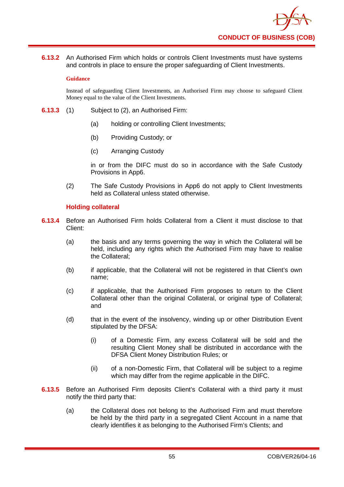**6.13.2** An Authorised Firm which holds or controls Client Investments must have systems and controls in place to ensure the proper safeguarding of Client Investments.

#### **Guidance**

Instead of safeguarding Client Investments, an Authorised Firm may choose to safeguard Client Money equal to the value of the Client Investments.

- **6.13.3** (1) Subject to (2), an Authorised Firm:
	- (a) holding or controlling Client Investments;
	- (b) Providing Custody; or
	- (c) Arranging Custody

in or from the DIFC must do so in accordance with the Safe Custody Provisions in App6.

(2) The Safe Custody Provisions in App6 do not apply to Client Investments held as Collateral unless stated otherwise.

## **Holding collateral**

- **6.13.4** Before an Authorised Firm holds Collateral from a Client it must disclose to that Client:
	- (a) the basis and any terms governing the way in which the Collateral will be held, including any rights which the Authorised Firm may have to realise the Collateral;
	- (b) if applicable, that the Collateral will not be registered in that Client's own name;
	- (c) if applicable, that the Authorised Firm proposes to return to the Client Collateral other than the original Collateral, or original type of Collateral; and
	- (d) that in the event of the insolvency, winding up or other Distribution Event stipulated by the DFSA:
		- (i) of a Domestic Firm, any excess Collateral will be sold and the resulting Client Money shall be distributed in accordance with the DFSA Client Money Distribution Rules; or
		- (ii) of a non-Domestic Firm, that Collateral will be subject to a regime which may differ from the regime applicable in the DIFC.
- **6.13.5** Before an Authorised Firm deposits Client's Collateral with a third party it must notify the third party that:
	- (a) the Collateral does not belong to the Authorised Firm and must therefore be held by the third party in a segregated Client Account in a name that clearly identifies it as belonging to the Authorised Firm's Clients; and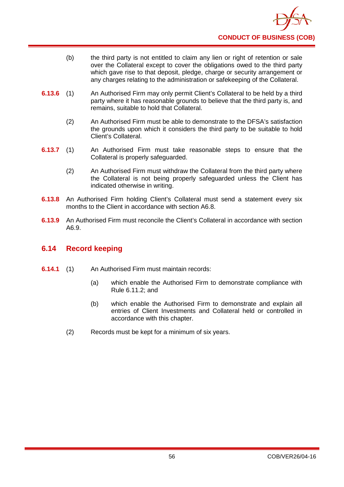- (b) the third party is not entitled to claim any lien or right of retention or sale over the Collateral except to cover the obligations owed to the third party which gave rise to that deposit, pledge, charge or security arrangement or any charges relating to the administration or safekeeping of the Collateral.
- **6.13.6** (1) An Authorised Firm may only permit Client's Collateral to be held by a third party where it has reasonable grounds to believe that the third party is, and remains, suitable to hold that Collateral.
	- (2) An Authorised Firm must be able to demonstrate to the DFSA's satisfaction the grounds upon which it considers the third party to be suitable to hold Client's Collateral.
- **6.13.7** (1) An Authorised Firm must take reasonable steps to ensure that the Collateral is properly safeguarded.
	- (2) An Authorised Firm must withdraw the Collateral from the third party where the Collateral is not being properly safeguarded unless the Client has indicated otherwise in writing.
- **6.13.8** An Authorised Firm holding Client's Collateral must send a statement every six months to the Client in accordance with section A6.8.
- **6.13.9** An Authorised Firm must reconcile the Client's Collateral in accordance with section A6.9.

# **6.14 Record keeping**

- **6.14.1** (1) An Authorised Firm must maintain records:
	- (a) which enable the Authorised Firm to demonstrate compliance with Rule 6.11.2; and
	- (b) which enable the Authorised Firm to demonstrate and explain all entries of Client Investments and Collateral held or controlled in accordance with this chapter.
	- (2) Records must be kept for a minimum of six years.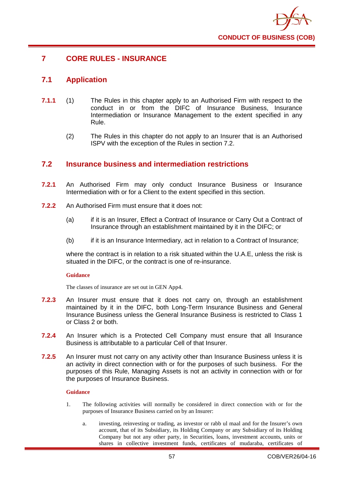

# **7 CORE RULES - INSURANCE**

# **7.1 Application**

- **7.1.1** (1) The Rules in this chapter apply to an Authorised Firm with respect to the conduct in or from the DIFC of Insurance Business, Insurance Intermediation or Insurance Management to the extent specified in any Rule.
	- (2) The Rules in this chapter do not apply to an Insurer that is an Authorised ISPV with the exception of the Rules in section 7.2.

## **7.2 Insurance business and intermediation restrictions**

- **7.2.1** An Authorised Firm may only conduct Insurance Business or Insurance Intermediation with or for a Client to the extent specified in this section.
- **7.2.2** An Authorised Firm must ensure that it does not:
	- (a) if it is an Insurer, Effect a Contract of Insurance or Carry Out a Contract of Insurance through an establishment maintained by it in the DIFC; or
	- (b) if it is an Insurance Intermediary, act in relation to a Contract of Insurance;

where the contract is in relation to a risk situated within the U.A.E, unless the risk is situated in the DIFC, or the contract is one of re-insurance.

### **Guidance**

The classes of insurance are set out in GEN App4.

- **7.2.3** An Insurer must ensure that it does not carry on, through an establishment maintained by it in the DIFC, both Long-Term Insurance Business and General Insurance Business unless the General Insurance Business is restricted to Class 1 or Class 2 or both.
- **7.2.4** An Insurer which is a Protected Cell Company must ensure that all Insurance Business is attributable to a particular Cell of that Insurer.
- **7.2.5** An Insurer must not carry on any activity other than Insurance Business unless it is an activity in direct connection with or for the purposes of such business. For the purposes of this Rule, Managing Assets is not an activity in connection with or for the purposes of Insurance Business.

### **Guidance**

- 1. The following activities will normally be considered in direct connection with or for the purposes of Insurance Business carried on by an Insurer:
	- a. investing, reinvesting or trading, as investor or rabb ul maal and for the Insurer's own account, that of its Subsidiary, its Holding Company or any Subsidiary of its Holding Company but not any other party, in Securities, loans, investment accounts, units or shares in collective investment funds, certificates of mudaraba, certificates of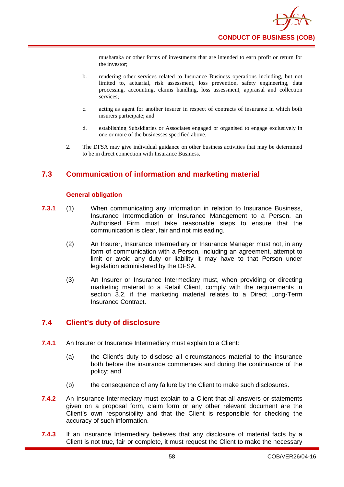musharaka or other forms of investments that are intended to earn profit or return for the investor;

- b. rendering other services related to Insurance Business operations including, but not limited to, actuarial, risk assessment, loss prevention, safety engineering, data processing, accounting, claims handling, loss assessment, appraisal and collection services;
- c. acting as agent for another insurer in respect of contracts of insurance in which both insurers participate; and
- d. establishing Subsidiaries or Associates engaged or organised to engage exclusively in one or more of the businesses specified above.
- 2. The DFSA may give individual guidance on other business activities that may be determined to be in direct connection with Insurance Business.

# **7.3 Communication of information and marketing material**

### **General obligation**

- **7.3.1** (1) When communicating any information in relation to Insurance Business, Insurance Intermediation or Insurance Management to a Person, an Authorised Firm must take reasonable steps to ensure that the communication is clear, fair and not misleading.
	- (2) An Insurer, Insurance Intermediary or Insurance Manager must not, in any form of communication with a Person, including an agreement, attempt to limit or avoid any duty or liability it may have to that Person under legislation administered by the DFSA.
	- (3) An Insurer or Insurance Intermediary must, when providing or directing marketing material to a Retail Client, comply with the requirements in section 3.2, if the marketing material relates to a Direct Long-Term Insurance Contract.

# **7.4 Client's duty of disclosure**

- **7.4.1** An Insurer or Insurance Intermediary must explain to a Client:
	- (a) the Client's duty to disclose all circumstances material to the insurance both before the insurance commences and during the continuance of the policy; and
	- (b) the consequence of any failure by the Client to make such disclosures.
- **7.4.2** An Insurance Intermediary must explain to a Client that all answers or statements given on a proposal form, claim form or any other relevant document are the Client's own responsibility and that the Client is responsible for checking the accuracy of such information.
- **7.4.3** If an Insurance Intermediary believes that any disclosure of material facts by a Client is not true, fair or complete, it must request the Client to make the necessary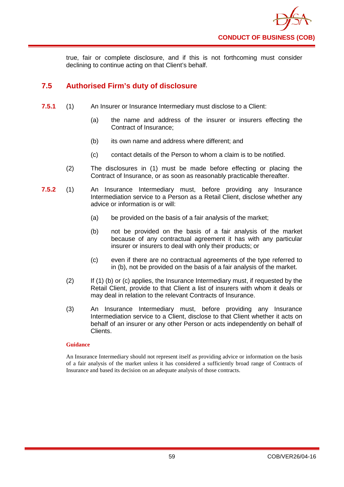

true, fair or complete disclosure, and if this is not forthcoming must consider declining to continue acting on that Client's behalf.

# **7.5 Authorised Firm's duty of disclosure**

- **7.5.1** (1) An Insurer or Insurance Intermediary must disclose to a Client:
	- (a) the name and address of the insurer or insurers effecting the Contract of Insurance;
	- (b) its own name and address where different; and
	- (c) contact details of the Person to whom a claim is to be notified.
	- (2) The disclosures in (1) must be made before effecting or placing the Contract of Insurance, or as soon as reasonably practicable thereafter.
- **7.5.2** (1) An Insurance Intermediary must, before providing any Insurance Intermediation service to a Person as a Retail Client, disclose whether any advice or information is or will:
	- (a) be provided on the basis of a fair analysis of the market;
	- (b) not be provided on the basis of a fair analysis of the market because of any contractual agreement it has with any particular insurer or insurers to deal with only their products; or
	- (c) even if there are no contractual agreements of the type referred to in (b), not be provided on the basis of a fair analysis of the market.
	- (2) If (1) (b) or (c) applies, the Insurance Intermediary must, if requested by the Retail Client, provide to that Client a list of insurers with whom it deals or may deal in relation to the relevant Contracts of Insurance.
	- (3) An Insurance Intermediary must, before providing any Insurance Intermediation service to a Client, disclose to that Client whether it acts on behalf of an insurer or any other Person or acts independently on behalf of Clients.

### **Guidance**

An Insurance Intermediary should not represent itself as providing advice or information on the basis of a fair analysis of the market unless it has considered a sufficiently broad range of Contracts of Insurance and based its decision on an adequate analysis of those contracts.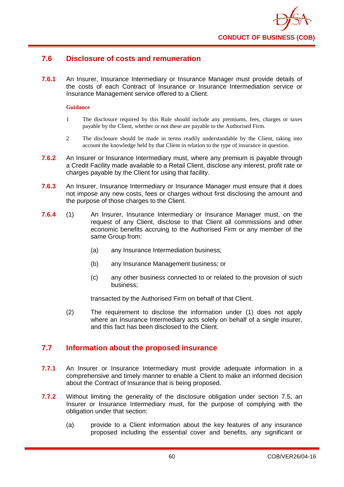

# **7.6 Disclosure of costs and remuneration**

**7.6.1** An Insurer, Insurance Intermediary or Insurance Manager must provide details of the costs of each Contract of Insurance or Insurance Intermediation service or Insurance Management service offered to a Client.

#### **Guidance**

- 1 The disclosure required by this Rule should include any premiums, fees, charges or taxes payable by the Client, whether or not these are payable to the Authorised Firm.
- 2 The disclosure should be made in terms readily understandable by the Client, taking into account the knowledge held by that Client in relation to the type of insurance in question.
- **7.6.2** An Insurer or Insurance Intermediary must, where any premium is payable through a Credit Facility made available to a Retail Client, disclose any interest, profit rate or charges payable by the Client for using that facility.
- **7.6.3** An Insurer, Insurance Intermediary or Insurance Manager must ensure that it does not impose any new costs, fees or charges without first disclosing the amount and the purpose of those charges to the Client.
- **7.6.4** (1) An Insurer, Insurance Intermediary or Insurance Manager must, on the request of any Client, disclose to that Client all commissions and other economic benefits accruing to the Authorised Firm or any member of the same Group from:
	- (a) any Insurance Intermediation business;
	- (b) any Insurance Management business; or
	- (c) any other business connected to or related to the provision of such business;

transacted by the Authorised Firm on behalf of that Client.

(2) The requirement to disclose the information under (1) does not apply where an Insurance Intermediary acts solely on behalf of a single insurer, and this fact has been disclosed to the Client.

## **7.7 Information about the proposed insurance**

- **7.7.1** An Insurer or Insurance Intermediary must provide adequate information in a comprehensive and timely manner to enable a Client to make an informed decision about the Contract of Insurance that is being proposed.
- **7.7.2** Without limiting the generality of the disclosure obligation under section 7.5, an Insurer or Insurance Intermediary must, for the purpose of complying with the obligation under that section:
	- (a) provide to a Client information about the key features of any insurance proposed including the essential cover and benefits, any significant or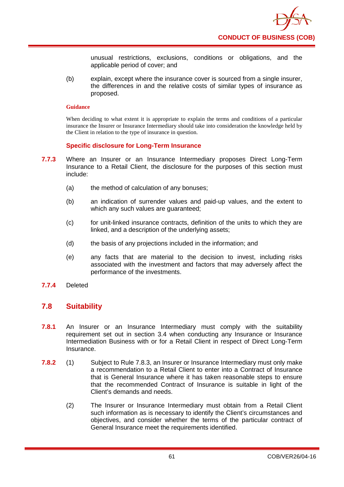

unusual restrictions, exclusions, conditions or obligations, and the applicable period of cover; and

(b) explain, except where the insurance cover is sourced from a single insurer, the differences in and the relative costs of similar types of insurance as proposed.

#### **Guidance**

When deciding to what extent it is appropriate to explain the terms and conditions of a particular insurance the Insurer or Insurance Intermediary should take into consideration the knowledge held by the Client in relation to the type of insurance in question.

### **Specific disclosure for Long-Term Insurance**

- **7.7.3** Where an Insurer or an Insurance Intermediary proposes Direct Long-Term Insurance to a Retail Client, the disclosure for the purposes of this section must include:
	- (a) the method of calculation of any bonuses;
	- (b) an indication of surrender values and paid-up values, and the extent to which any such values are guaranteed;
	- (c) for unit-linked insurance contracts, definition of the units to which they are linked, and a description of the underlying assets;
	- (d) the basis of any projections included in the information; and
	- (e) any facts that are material to the decision to invest, including risks associated with the investment and factors that may adversely affect the performance of the investments.
- **7.7.4** Deleted

## **7.8 Suitability**

- **7.8.1** An Insurer or an Insurance Intermediary must comply with the suitability requirement set out in section 3.4 when conducting any Insurance or Insurance Intermediation Business with or for a Retail Client in respect of Direct Long-Term Insurance.
- **7.8.2** (1) Subject to Rule 7.8.3, an Insurer or Insurance Intermediary must only make a recommendation to a Retail Client to enter into a Contract of Insurance that is General Insurance where it has taken reasonable steps to ensure that the recommended Contract of Insurance is suitable in light of the Client's demands and needs.
	- (2) The Insurer or Insurance Intermediary must obtain from a Retail Client such information as is necessary to identify the Client's circumstances and objectives, and consider whether the terms of the particular contract of General Insurance meet the requirements identified.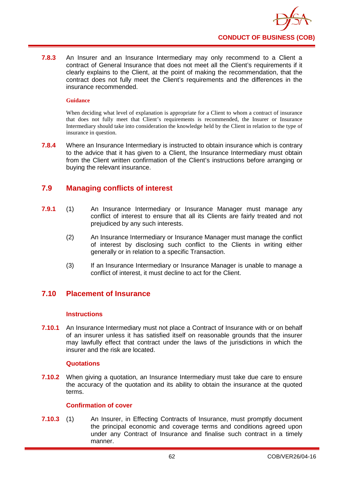

**7.8.3** An Insurer and an Insurance Intermediary may only recommend to a Client a contract of General Insurance that does not meet all the Client's requirements if it clearly explains to the Client, at the point of making the recommendation, that the contract does not fully meet the Client's requirements and the differences in the insurance recommended.

#### **Guidance**

When deciding what level of explanation is appropriate for a Client to whom a contract of insurance that does not fully meet that Client's requirements is recommended, the Insurer or Insurance Intermediary should take into consideration the knowledge held by the Client in relation to the type of insurance in question.

**7.8.4** Where an Insurance Intermediary is instructed to obtain insurance which is contrary to the advice that it has given to a Client, the Insurance Intermediary must obtain from the Client written confirmation of the Client's instructions before arranging or buying the relevant insurance.

# **7.9 Managing conflicts of interest**

- **7.9.1** (1) An Insurance Intermediary or Insurance Manager must manage any conflict of interest to ensure that all its Clients are fairly treated and not prejudiced by any such interests.
	- (2) An Insurance Intermediary or Insurance Manager must manage the conflict of interest by disclosing such conflict to the Clients in writing either generally or in relation to a specific Transaction.
	- (3) If an Insurance Intermediary or Insurance Manager is unable to manage a conflict of interest, it must decline to act for the Client.

## **7.10 Placement of Insurance**

### **Instructions**

**7.10.1** An Insurance Intermediary must not place a Contract of Insurance with or on behalf of an insurer unless it has satisfied itself on reasonable grounds that the insurer may lawfully effect that contract under the laws of the jurisdictions in which the insurer and the risk are located.

### **Quotations**

**7.10.2** When giving a quotation, an Insurance Intermediary must take due care to ensure the accuracy of the quotation and its ability to obtain the insurance at the quoted terms.

### **Confirmation of cover**

**7.10.3** (1) An Insurer, in Effecting Contracts of Insurance, must promptly document the principal economic and coverage terms and conditions agreed upon under any Contract of Insurance and finalise such contract in a timely manner.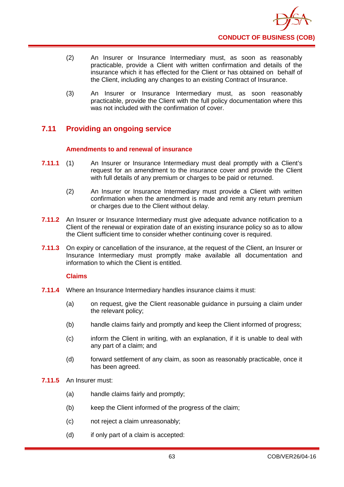- (2) An Insurer or Insurance Intermediary must, as soon as reasonably practicable, provide a Client with written confirmation and details of the insurance which it has effected for the Client or has obtained on behalf of the Client, including any changes to an existing Contract of Insurance.
- (3) An Insurer or Insurance Intermediary must, as soon reasonably practicable, provide the Client with the full policy documentation where this was not included with the confirmation of cover.

# **7.11 Providing an ongoing service**

## **Amendments to and renewal of insurance**

- **7.11.1** (1) An Insurer or Insurance Intermediary must deal promptly with a Client's request for an amendment to the insurance cover and provide the Client with full details of any premium or charges to be paid or returned.
	- (2) An Insurer or Insurance Intermediary must provide a Client with written confirmation when the amendment is made and remit any return premium or charges due to the Client without delay.
- **7.11.2** An Insurer or Insurance Intermediary must give adequate advance notification to a Client of the renewal or expiration date of an existing insurance policy so as to allow the Client sufficient time to consider whether continuing cover is required.
- **7.11.3** On expiry or cancellation of the insurance, at the request of the Client, an Insurer or Insurance Intermediary must promptly make available all documentation and information to which the Client is entitled.

## **Claims**

- **7.11.4** Where an Insurance Intermediary handles insurance claims it must:
	- (a) on request, give the Client reasonable guidance in pursuing a claim under the relevant policy;
	- (b) handle claims fairly and promptly and keep the Client informed of progress;
	- (c) inform the Client in writing, with an explanation, if it is unable to deal with any part of a claim; and
	- (d) forward settlement of any claim, as soon as reasonably practicable, once it has been agreed.

### **7.11.5** An Insurer must:

- (a) handle claims fairly and promptly;
- (b) keep the Client informed of the progress of the claim;
- (c) not reject a claim unreasonably;
- (d) if only part of a claim is accepted: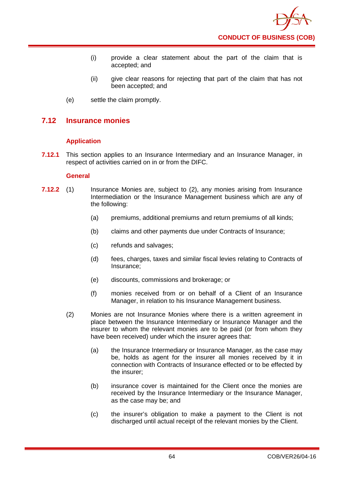- (i) provide a clear statement about the part of the claim that is accepted; and
- (ii) give clear reasons for rejecting that part of the claim that has not been accepted; and
- (e) settle the claim promptly.

## **7.12 Insurance monies**

## **Application**

**7.12.1** This section applies to an Insurance Intermediary and an Insurance Manager, in respect of activities carried on in or from the DIFC.

### **General**

- **7.12.2** (1) Insurance Monies are, subject to (2), any monies arising from Insurance Intermediation or the Insurance Management business which are any of the following:
	- (a) premiums, additional premiums and return premiums of all kinds;
	- (b) claims and other payments due under Contracts of Insurance;
	- (c) refunds and salvages;
	- (d) fees, charges, taxes and similar fiscal levies relating to Contracts of Insurance;
	- (e) discounts, commissions and brokerage; or
	- (f) monies received from or on behalf of a Client of an Insurance Manager, in relation to his Insurance Management business.
	- (2) Monies are not Insurance Monies where there is a written agreement in place between the Insurance Intermediary or Insurance Manager and the insurer to whom the relevant monies are to be paid (or from whom they have been received) under which the insurer agrees that:
		- (a) the Insurance Intermediary or Insurance Manager, as the case may be, holds as agent for the insurer all monies received by it in connection with Contracts of Insurance effected or to be effected by the insurer;
		- (b) insurance cover is maintained for the Client once the monies are received by the Insurance Intermediary or the Insurance Manager, as the case may be; and
		- (c) the insurer's obligation to make a payment to the Client is not discharged until actual receipt of the relevant monies by the Client.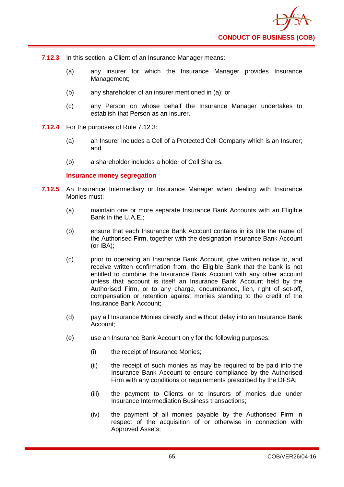- **7.12.3** In this section, a Client of an Insurance Manager means:
	- (a) any insurer for which the Insurance Manager provides Insurance Management;
	- (b) any shareholder of an insurer mentioned in (a); or
	- (c) any Person on whose behalf the Insurance Manager undertakes to establish that Person as an insurer.
- **7.12.4** For the purposes of Rule 7.12.3:
	- (a) an Insurer includes a Cell of a Protected Cell Company which is an Insurer; and
	- (b) a shareholder includes a holder of Cell Shares.

### **Insurance money segregation**

- **7.12.5** An Insurance Intermediary or Insurance Manager when dealing with Insurance Monies must:
	- (a) maintain one or more separate Insurance Bank Accounts with an Eligible Bank in the U.A.E.;
	- (b) ensure that each Insurance Bank Account contains in its title the name of the Authorised Firm, together with the designation Insurance Bank Account (or IBA);
	- (c) prior to operating an Insurance Bank Account, give written notice to, and receive written confirmation from, the Eligible Bank that the bank is not entitled to combine the Insurance Bank Account with any other account unless that account is itself an Insurance Bank Account held by the Authorised Firm, or to any charge, encumbrance, lien, right of set-off, compensation or retention against monies standing to the credit of the Insurance Bank Account;
	- (d) pay all Insurance Monies directly and without delay into an Insurance Bank Account;
	- (e) use an Insurance Bank Account only for the following purposes:
		- (i) the receipt of Insurance Monies;
		- (ii) the receipt of such monies as may be required to be paid into the Insurance Bank Account to ensure compliance by the Authorised Firm with any conditions or requirements prescribed by the DFSA;
		- (iii) the payment to Clients or to insurers of monies due under Insurance Intermediation Business transactions;
		- (iv) the payment of all monies payable by the Authorised Firm in respect of the acquisition of or otherwise in connection with Approved Assets;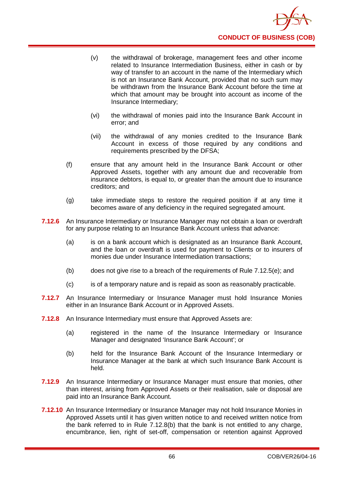- (v) the withdrawal of brokerage, management fees and other income related to Insurance Intermediation Business, either in cash or by way of transfer to an account in the name of the Intermediary which is not an Insurance Bank Account, provided that no such sum may be withdrawn from the Insurance Bank Account before the time at which that amount may be brought into account as income of the Insurance Intermediary;
- (vi) the withdrawal of monies paid into the Insurance Bank Account in error; and
- (vii) the withdrawal of any monies credited to the Insurance Bank Account in excess of those required by any conditions and requirements prescribed by the DFSA;
- (f) ensure that any amount held in the Insurance Bank Account or other Approved Assets, together with any amount due and recoverable from insurance debtors, is equal to, or greater than the amount due to insurance creditors; and
- (g) take immediate steps to restore the required position if at any time it becomes aware of any deficiency in the required segregated amount.
- **7.12.6** An Insurance Intermediary or Insurance Manager may not obtain a loan or overdraft for any purpose relating to an Insurance Bank Account unless that advance:
	- (a) is on a bank account which is designated as an Insurance Bank Account, and the loan or overdraft is used for payment to Clients or to insurers of monies due under Insurance Intermediation transactions;
	- (b) does not give rise to a breach of the requirements of Rule 7.12.5(e); and
	- (c) is of a temporary nature and is repaid as soon as reasonably practicable.
- **7.12.7** An Insurance Intermediary or Insurance Manager must hold Insurance Monies either in an Insurance Bank Account or in Approved Assets.
- **7.12.8** An Insurance Intermediary must ensure that Approved Assets are:
	- (a) registered in the name of the Insurance Intermediary or Insurance Manager and designated 'Insurance Bank Account'; or
	- (b) held for the Insurance Bank Account of the Insurance Intermediary or Insurance Manager at the bank at which such Insurance Bank Account is held.
- **7.12.9** An Insurance Intermediary or Insurance Manager must ensure that monies, other than interest, arising from Approved Assets or their realisation, sale or disposal are paid into an Insurance Bank Account.
- **7.12.10** An Insurance Intermediary or Insurance Manager may not hold Insurance Monies in Approved Assets until it has given written notice to and received written notice from the bank referred to in Rule 7.12.8(b) that the bank is not entitled to any charge, encumbrance, lien, right of set-off, compensation or retention against Approved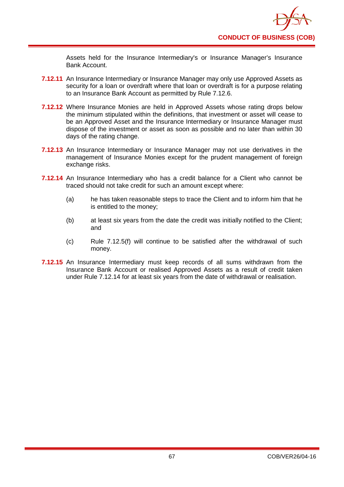Assets held for the Insurance Intermediary's or Insurance Manager's Insurance Bank Account.

- **7.12.11** An Insurance Intermediary or Insurance Manager may only use Approved Assets as security for a loan or overdraft where that loan or overdraft is for a purpose relating to an Insurance Bank Account as permitted by Rule 7.12.6.
- **7.12.12** Where Insurance Monies are held in Approved Assets whose rating drops below the minimum stipulated within the definitions, that investment or asset will cease to be an Approved Asset and the Insurance Intermediary or Insurance Manager must dispose of the investment or asset as soon as possible and no later than within 30 days of the rating change.
- **7.12.13** An Insurance Intermediary or Insurance Manager may not use derivatives in the management of Insurance Monies except for the prudent management of foreign exchange risks.
- **7.12.14** An Insurance Intermediary who has a credit balance for a Client who cannot be traced should not take credit for such an amount except where:
	- (a) he has taken reasonable steps to trace the Client and to inform him that he is entitled to the money;
	- (b) at least six years from the date the credit was initially notified to the Client; and
	- (c) Rule 7.12.5(f) will continue to be satisfied after the withdrawal of such money.
- **7.12.15** An Insurance Intermediary must keep records of all sums withdrawn from the Insurance Bank Account or realised Approved Assets as a result of credit taken under Rule 7.12.14 for at least six years from the date of withdrawal or realisation.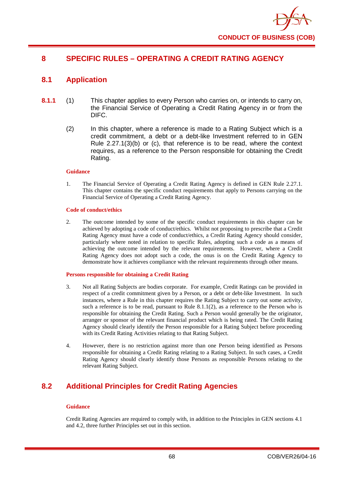

# **8 SPECIFIC RULES – OPERATING A CREDIT RATING AGENCY**

## **8.1 Application**

- **8.1.1** (1) This chapter applies to every Person who carries on, or intends to carry on, the Financial Service of Operating a Credit Rating Agency in or from the DIFC.
	- (2) In this chapter, where a reference is made to a Rating Subject which is a credit commitment, a debt or a debt-like Investment referred to in GEN Rule 2.27.1(3)(b) or (c), that reference is to be read, where the context requires, as a reference to the Person responsible for obtaining the Credit Rating.

#### **Guidance**

1. The Financial Service of Operating a Credit Rating Agency is defined in GEN Rule 2.27.1. This chapter contains the specific conduct requirements that apply to Persons carrying on the Financial Service of Operating a Credit Rating Agency.

#### **Code of conduct/ethics**

2. The outcome intended by some of the specific conduct requirements in this chapter can be achieved by adopting a code of conduct/ethics. Whilst not proposing to prescribe that a Credit Rating Agency must have a code of conduct/ethics, a Credit Rating Agency should consider, particularly where noted in relation to specific Rules, adopting such a code as a means of achieving the outcome intended by the relevant requirements. However, where a Credit Rating Agency does not adopt such a code, the onus is on the Credit Rating Agency to demonstrate how it achieves compliance with the relevant requirements through other means.

#### **Persons responsible for obtaining a Credit Rating**

- 3. Not all Rating Subjects are bodies corporate. For example, Credit Ratings can be provided in respect of a credit commitment given by a Person, or a debt or debt-like Investment. In such instances, where a Rule in this chapter requires the Rating Subject to carry out some activity, such a reference is to be read, pursuant to Rule  $8.1.1(2)$ , as a reference to the Person who is responsible for obtaining the Credit Rating. Such a Person would generally be the originator, arranger or sponsor of the relevant financial product which is being rated. The Credit Rating Agency should clearly identify the Person responsible for a Rating Subject before proceeding with its Credit Rating Activities relating to that Rating Subject.
- 4. However, there is no restriction against more than one Person being identified as Persons responsible for obtaining a Credit Rating relating to a Rating Subject. In such cases, a Credit Rating Agency should clearly identify those Persons as responsible Persons relating to the relevant Rating Subject.

# **8.2 Additional Principles for Credit Rating Agencies**

#### **Guidance**

Credit Rating Agencies are required to comply with, in addition to the Principles in GEN sections 4.1 and 4.2, three further Principles set out in this section.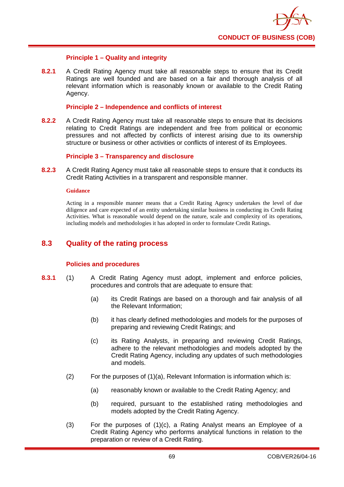

## **Principle 1 – Quality and integrity**

**8.2.1** A Credit Rating Agency must take all reasonable steps to ensure that its Credit Ratings are well founded and are based on a fair and thorough analysis of all relevant information which is reasonably known or available to the Credit Rating Agency.

#### **Principle 2 – Independence and conflicts of interest**

**8.2.2** A Credit Rating Agency must take all reasonable steps to ensure that its decisions relating to Credit Ratings are independent and free from political or economic pressures and not affected by conflicts of interest arising due to its ownership structure or business or other activities or conflicts of interest of its Employees.

## **Principle 3 – Transparency and disclosure**

**8.2.3** A Credit Rating Agency must take all reasonable steps to ensure that it conducts its Credit Rating Activities in a transparent and responsible manner.

#### **Guidance**

Acting in a responsible manner means that a Credit Rating Agency undertakes the level of due diligence and care expected of an entity undertaking similar business in conducting its Credit Rating Activities. What is reasonable would depend on the nature, scale and complexity of its operations, including models and methodologies it has adopted in order to formulate Credit Ratings.

## **8.3 Quality of the rating process**

## **Policies and procedures**

- **8.3.1** (1) A Credit Rating Agency must adopt, implement and enforce policies, procedures and controls that are adequate to ensure that:
	- (a) its Credit Ratings are based on a thorough and fair analysis of all the Relevant Information;
	- (b) it has clearly defined methodologies and models for the purposes of preparing and reviewing Credit Ratings; and
	- (c) its Rating Analysts, in preparing and reviewing Credit Ratings, adhere to the relevant methodologies and models adopted by the Credit Rating Agency, including any updates of such methodologies and models.
	- (2) For the purposes of (1)(a), Relevant Information is information which is:
		- (a) reasonably known or available to the Credit Rating Agency; and
		- (b) required, pursuant to the established rating methodologies and models adopted by the Credit Rating Agency.
	- (3) For the purposes of (1)(c), a Rating Analyst means an Employee of a Credit Rating Agency who performs analytical functions in relation to the preparation or review of a Credit Rating.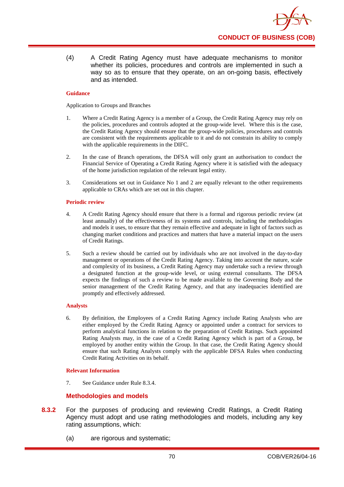(4) A Credit Rating Agency must have adequate mechanisms to monitor whether its policies, procedures and controls are implemented in such a way so as to ensure that they operate, on an on-going basis, effectively and as intended.

## **Guidance**

Application to Groups and Branches

- 1. Where a Credit Rating Agency is a member of a Group, the Credit Rating Agency may rely on the policies, procedures and controls adopted at the group-wide level. Where this is the case, the Credit Rating Agency should ensure that the group-wide policies, procedures and controls are consistent with the requirements applicable to it and do not constrain its ability to comply with the applicable requirements in the DIFC.
- 2. In the case of Branch operations, the DFSA will only grant an authorisation to conduct the Financial Service of Operating a Credit Rating Agency where it is satisfied with the adequacy of the home jurisdiction regulation of the relevant legal entity.
- 3. Considerations set out in Guidance No 1 and 2 are equally relevant to the other requirements applicable to CRAs which are set out in this chapter.

#### **Periodic review**

- 4. A Credit Rating Agency should ensure that there is a formal and rigorous periodic review (at least annually) of the effectiveness of its systems and controls, including the methodologies and models it uses, to ensure that they remain effective and adequate in light of factors such as changing market conditions and practices and matters that have a material impact on the users of Credit Ratings.
- 5. Such a review should be carried out by individuals who are not involved in the day-to-day management or operations of the Credit Rating Agency. Taking into account the nature, scale and complexity of its business, a Credit Rating Agency may undertake such a review through a designated function at the group-wide level, or using external consultants. The DFSA expects the findings of such a review to be made available to the Governing Body and the senior management of the Credit Rating Agency, and that any inadequacies identified are promptly and effectively addressed.

## **Analysts**

6. By definition, the Employees of a Credit Rating Agency include Rating Analysts who are either employed by the Credit Rating Agency or appointed under a contract for services to perform analytical functions in relation to the preparation of Credit Ratings. Such appointed Rating Analysts may, in the case of a Credit Rating Agency which is part of a Group, be employed by another entity within the Group. In that case, the Credit Rating Agency should ensure that such Rating Analysts comply with the applicable DFSA Rules when conducting Credit Rating Activities on its behalf.

## **Relevant Information**

7. See Guidance under Rule 8.3.4.

## **Methodologies and models**

- **8.3.2** For the purposes of producing and reviewing Credit Ratings, a Credit Rating Agency must adopt and use rating methodologies and models, including any key rating assumptions, which:
	- (a) are rigorous and systematic;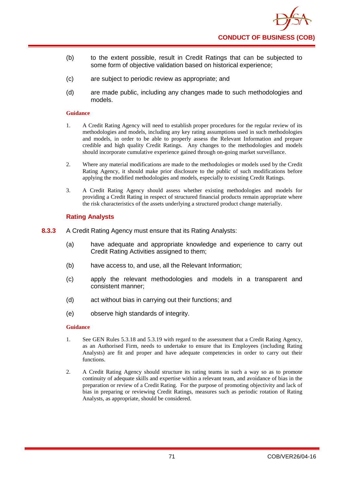

- (b) to the extent possible, result in Credit Ratings that can be subjected to some form of objective validation based on historical experience;
- (c) are subject to periodic review as appropriate; and
- (d) are made public, including any changes made to such methodologies and models.

- 1. A Credit Rating Agency will need to establish proper procedures for the regular review of its methodologies and models, including any key rating assumptions used in such methodologies and models, in order to be able to properly assess the Relevant Information and prepare credible and high quality Credit Ratings. Any changes to the methodologies and models should incorporate cumulative experience gained through on-going market surveillance.
- 2. Where any material modifications are made to the methodologies or models used by the Credit Rating Agency, it should make prior disclosure to the public of such modifications before applying the modified methodologies and models, especially to existing Credit Ratings.
- 3. A Credit Rating Agency should assess whether existing methodologies and models for providing a Credit Rating in respect of structured financial products remain appropriate where the risk characteristics of the assets underlying a structured product change materially.

## **Rating Analysts**

- **8.3.3** A Credit Rating Agency must ensure that its Rating Analysts:
	- (a) have adequate and appropriate knowledge and experience to carry out Credit Rating Activities assigned to them;
	- (b) have access to, and use, all the Relevant Information;
	- (c) apply the relevant methodologies and models in a transparent and consistent manner;
	- (d) act without bias in carrying out their functions; and
	- (e) observe high standards of integrity.

#### **Guidance**

- 1. See GEN Rules 5.3.18 and 5.3.19 with regard to the assessment that a Credit Rating Agency, as an Authorised Firm, needs to undertake to ensure that its Employees (including Rating Analysts) are fit and proper and have adequate competencies in order to carry out their functions.
- 2. A Credit Rating Agency should structure its rating teams in such a way so as to promote continuity of adequate skills and expertise within a relevant team, and avoidance of bias in the preparation or review of a Credit Rating. For the purpose of promoting objectivity and lack of bias in preparing or reviewing Credit Ratings, measures such as periodic rotation of Rating Analysts, as appropriate, should be considered.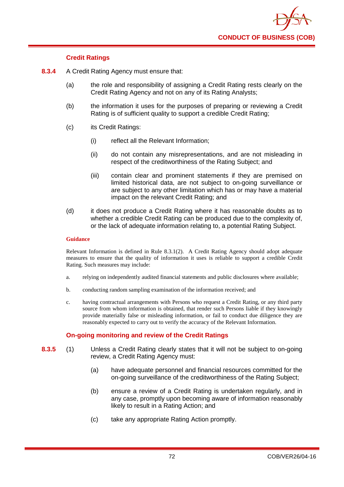

## **Credit Ratings**

- **8.3.4** A Credit Rating Agency must ensure that:
	- (a) the role and responsibility of assigning a Credit Rating rests clearly on the Credit Rating Agency and not on any of its Rating Analysts;
	- (b) the information it uses for the purposes of preparing or reviewing a Credit Rating is of sufficient quality to support a credible Credit Rating;
	- (c) its Credit Ratings:
		- (i) reflect all the Relevant Information;
		- (ii) do not contain any misrepresentations, and are not misleading in respect of the creditworthiness of the Rating Subject; and
		- (iii) contain clear and prominent statements if they are premised on limited historical data, are not subject to on-going surveillance or are subject to any other limitation which has or may have a material impact on the relevant Credit Rating; and
	- (d) it does not produce a Credit Rating where it has reasonable doubts as to whether a credible Credit Rating can be produced due to the complexity of, or the lack of adequate information relating to, a potential Rating Subject.

## **Guidance**

Relevant Information is defined in Rule 8.3.1(2). A Credit Rating Agency should adopt adequate measures to ensure that the quality of information it uses is reliable to support a credible Credit Rating. Such measures may include:

- a. relying on independently audited financial statements and public disclosures where available;
- b. conducting random sampling examination of the information received; and
- c. having contractual arrangements with Persons who request a Credit Rating, or any third party source from whom information is obtained, that render such Persons liable if they knowingly provide materially false or misleading information, or fail to conduct due diligence they are reasonably expected to carry out to verify the accuracy of the Relevant Information.

## **On-going monitoring and review of the Credit Ratings**

- **8.3.5** (1) Unless a Credit Rating clearly states that it will not be subject to on-going review, a Credit Rating Agency must:
	- (a) have adequate personnel and financial resources committed for the on-going surveillance of the creditworthiness of the Rating Subject;
	- (b) ensure a review of a Credit Rating is undertaken regularly, and in any case, promptly upon becoming aware of information reasonably likely to result in a Rating Action; and
	- (c) take any appropriate Rating Action promptly.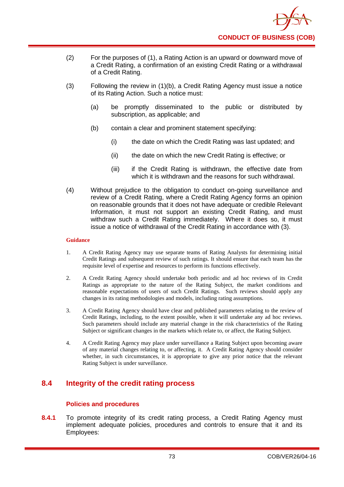

- (2) For the purposes of (1), a Rating Action is an upward or downward move of a Credit Rating, a confirmation of an existing Credit Rating or a withdrawal of a Credit Rating.
- (3) Following the review in (1)(b), a Credit Rating Agency must issue a notice of its Rating Action. Such a notice must:
	- (a) be promptly disseminated to the public or distributed by subscription, as applicable; and
	- (b) contain a clear and prominent statement specifying:
		- (i) the date on which the Credit Rating was last updated; and
		- (ii) the date on which the new Credit Rating is effective; or
		- (iii) if the Credit Rating is withdrawn, the effective date from which it is withdrawn and the reasons for such withdrawal.
- (4) Without prejudice to the obligation to conduct on-going surveillance and review of a Credit Rating, where a Credit Rating Agency forms an opinion on reasonable grounds that it does not have adequate or credible Relevant Information, it must not support an existing Credit Rating, and must withdraw such a Credit Rating immediately. Where it does so, it must issue a notice of withdrawal of the Credit Rating in accordance with (3).

- 1. A Credit Rating Agency may use separate teams of Rating Analysts for determining initial Credit Ratings and subsequent review of such ratings. It should ensure that each team has the requisite level of expertise and resources to perform its functions effectively.
- 2. A Credit Rating Agency should undertake both periodic and ad hoc reviews of its Credit Ratings as appropriate to the nature of the Rating Subject, the market conditions and reasonable expectations of users of such Credit Ratings. Such reviews should apply any changes in its rating methodologies and models, including rating assumptions.
- 3. A Credit Rating Agency should have clear and published parameters relating to the review of Credit Ratings, including, to the extent possible, when it will undertake any ad hoc reviews. Such parameters should include any material change in the risk characteristics of the Rating Subject or significant changes in the markets which relate to, or affect, the Rating Subject.
- 4. A Credit Rating Agency may place under surveillance a Rating Subject upon becoming aware of any material changes relating to, or affecting, it. A Credit Rating Agency should consider whether, in such circumstances, it is appropriate to give any prior notice that the relevant Rating Subject is under surveillance.

# **8.4 Integrity of the credit rating process**

## **Polic**i**es and procedures**

**8.4.1** To promote integrity of its credit rating process, a Credit Rating Agency must implement adequate policies, procedures and controls to ensure that it and its Employees: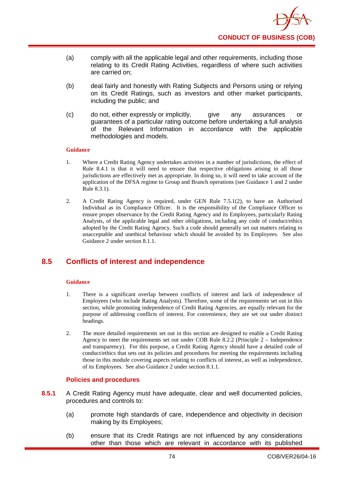- (a) comply with all the applicable legal and other requirements, including those relating to its Credit Rating Activities, regardless of where such activities are carried on;
- (b) deal fairly and honestly with Rating Subjects and Persons using or relying on its Credit Ratings, such as investors and other market participants, including the public; and
- (c) do not, either expressly or implicitly, give any assurances or guarantees of a particular rating outcome before undertaking a full analysis of the Relevant Information in accordance with the applicable methodologies and models.

- 1. Where a Credit Rating Agency undertakes activities in a number of jurisdictions, the effect of Rule 8.4.1 is that it will need to ensure that respective obligations arising in all those jurisdictions are effectively met as appropriate. In doing so, it will need to take account of the application of the DFSA regime to Group and Branch operations (see Guidance 1 and 2 under Rule 8.3.1).
- 2. A Credit Rating Agency is required, under GEN Rule 7.5.1(2), to have an Authorised Individual as its Compliance Officer. It is the responsibility of the Compliance Officer to ensure proper observance by the Credit Rating Agency and its Employees, particularly Rating Analysts, of the applicable legal and other obligations, including any code of conduct/ethics adopted by the Credit Rating Agency. Such a code should generally set out matters relating to unacceptable and unethical behaviour which should be avoided by its Employees. See also Guidance 2 under section 8.1.1.

# **8.5 Conflicts of interest and independence**

#### **Guidance**

- 1. There is a significant overlap between conflicts of interest and lack of independence of Employees (who include Rating Analysts). Therefore, some of the requirements set out in this section, while promoting independence of Credit Rating Agencies, are equally relevant for the purpose of addressing conflicts of interest. For convenience, they are set out under distinct headings.
- 2. The more detailed requirements set out in this section are designed to enable a Credit Rating Agency to meet the requirements set out under COB Rule 8.2.2 (Principle 2 – Independence and transparency). For this purpose, a Credit Rating Agency should have a detailed code of conduct/ethics that sets out its policies and procedures for meeting the requirements including those in this module covering aspects relating to conflicts of interest, as well as independence, of its Employees. See also Guidance 2 under section 8.1.1.

## **Policies and procedures**

- **8.5.1** A Credit Rating Agency must have adequate, clear and well documented policies, procedures and controls to:
	- (a) promote high standards of care, independence and objectivity in decision making by its Employees;
	- (b) ensure that its Credit Ratings are not influenced by any considerations other than those which are relevant in accordance with its published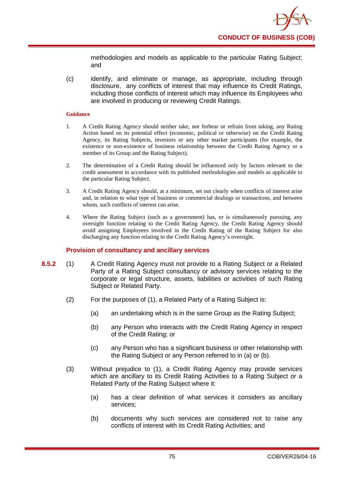methodologies and models as applicable to the particular Rating Subject; and

(c) identify, and eliminate or manage, as appropriate, including through disclosure, any conflicts of interest that may influence its Credit Ratings, including those conflicts of interest which may influence its Employees who are involved in producing or reviewing Credit Ratings.

## **Guidance**

- 1. A Credit Rating Agency should neither take, nor forbear or refrain from taking, any Rating Action based on its potential effect (economic, political or otherwise) on the Credit Rating Agency, its Rating Subjects, investors or any other market participants (for example, the existence or non-existence of business relationship between the Credit Rating Agency or a member of its Group and the Rating Subject).
- 2. The determination of a Credit Rating should be influenced only by factors relevant to the credit assessment in accordance with its published methodologies and models as applicable to the particular Rating Subject.
- 3. A Credit Rating Agency should, at a minimum, set out clearly when conflicts of interest arise and, in relation to what type of business or commercial dealings or transactions, and between whom, such conflicts of interest can arise.
- 4. Where the Rating Subject (such as a government) has, or is simultaneously pursuing, any oversight function relating to the Credit Rating Agency, the Credit Rating Agency should avoid assigning Employees involved in the Credit Rating of the Rating Subject for also discharging any function relating to the Credit Rating Agency's oversight.

## **Provision of consultancy and ancillary services**

- **8.5.2** (1) A Credit Rating Agency must not provide to a Rating Subject or a Related Party of a Rating Subject consultancy or advisory services relating to the corporate or legal structure, assets, liabilities or activities of such Rating Subject or Related Party.
	- (2) For the purposes of (1), a Related Party of a Rating Subject is:
		- (a) an undertaking which is in the same Group as the Rating Subject;
		- (b) any Person who interacts with the Credit Rating Agency in respect of the Credit Rating; or
		- (c) any Person who has a significant business or other relationship with the Rating Subject or any Person referred to in (a) or (b).
	- (3) Without prejudice to (1), a Credit Rating Agency may provide services which are ancillary to its Credit Rating Activities to a Rating Subject or a Related Party of the Rating Subject where it:
		- (a) has a clear definition of what services it considers as ancillary services;
		- (b) documents why such services are considered not to raise any conflicts of interest with its Credit Rating Activities; and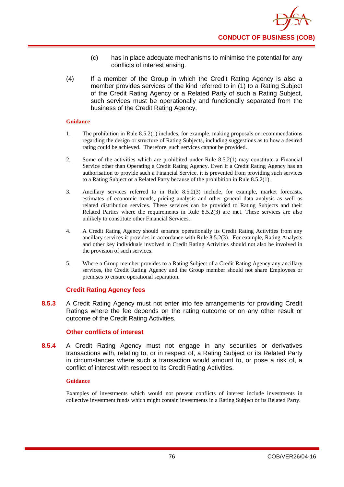- (c) has in place adequate mechanisms to minimise the potential for any conflicts of interest arising.
- (4) If a member of the Group in which the Credit Rating Agency is also a member provides services of the kind referred to in (1) to a Rating Subject of the Credit Rating Agency or a Related Party of such a Rating Subject, such services must be operationally and functionally separated from the business of the Credit Rating Agency.

- 1. The prohibition in Rule 8.5.2(1) includes, for example, making proposals or recommendations regarding the design or structure of Rating Subjects, including suggestions as to how a desired rating could be achieved. Therefore, such services cannot be provided.
- 2. Some of the activities which are prohibited under Rule 8.5.2(1) may constitute a Financial Service other than Operating a Credit Rating Agency. Even if a Credit Rating Agency has an authorisation to provide such a Financial Service, it is prevented from providing such services to a Rating Subject or a Related Party because of the prohibition in Rule 8.5.2(1).
- 3. Ancillary services referred to in Rule 8.5.2(3) include, for example, market forecasts, estimates of economic trends, pricing analysis and other general data analysis as well as related distribution services. These services can be provided to Rating Subjects and their Related Parties where the requirements in Rule 8.5.2(3) are met. These services are also unlikely to constitute other Financial Services.
- 4. A Credit Rating Agency should separate operationally its Credit Rating Activities from any ancillary services it provides in accordance with Rule 8.5.2(3). For example, Rating Analysts and other key individuals involved in Credit Rating Activities should not also be involved in the provision of such services.
- 5. Where a Group member provides to a Rating Subject of a Credit Rating Agency any ancillary services, the Credit Rating Agency and the Group member should not share Employees or premises to ensure operational separation.

## **Credit Rating Agency fees**

**8.5.3** A Credit Rating Agency must not enter into fee arrangements for providing Credit Ratings where the fee depends on the rating outcome or on any other result or outcome of the Credit Rating Activities.

## **Other conflicts of interest**

**8.5.4** A Credit Rating Agency must not engage in any securities or derivatives transactions with, relating to, or in respect of, a Rating Subject or its Related Party in circumstances where such a transaction would amount to, or pose a risk of, a conflict of interest with respect to its Credit Rating Activities.

## **Guidance**

Examples of investments which would not present conflicts of interest include investments in collective investment funds which might contain investments in a Rating Subject or its Related Party.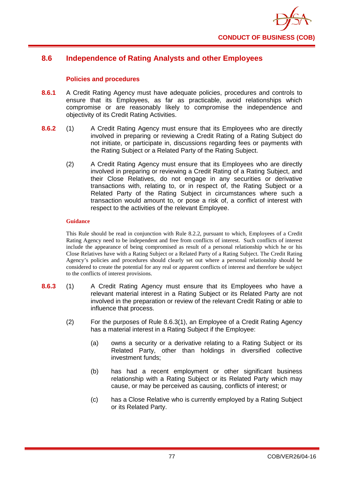

# **8.6 Independence of Rating Analysts and other Employees**

## **Policies and procedures**

- **8.6.1** A Credit Rating Agency must have adequate policies, procedures and controls to ensure that its Employees, as far as practicable, avoid relationships which compromise or are reasonably likely to compromise the independence and objectivity of its Credit Rating Activities.
- **8.6.2** (1) A Credit Rating Agency must ensure that its Employees who are directly involved in preparing or reviewing a Credit Rating of a Rating Subject do not initiate, or participate in, discussions regarding fees or payments with the Rating Subject or a Related Party of the Rating Subject.
	- (2) A Credit Rating Agency must ensure that its Employees who are directly involved in preparing or reviewing a Credit Rating of a Rating Subject, and their Close Relatives, do not engage in any securities or derivative transactions with, relating to, or in respect of, the Rating Subject or a Related Party of the Rating Subject in circumstances where such a transaction would amount to, or pose a risk of, a conflict of interest with respect to the activities of the relevant Employee.

## **Guidance**

This Rule should be read in conjunction with Rule 8.2.2, pursuant to which, Employees of a Credit Rating Agency need to be independent and free from conflicts of interest. Such conflicts of interest include the appearance of being compromised as result of a personal relationship which he or his Close Relatives have with a Rating Subject or a Related Party of a Rating Subject. The Credit Rating Agency's policies and procedures should clearly set out where a personal relationship should be considered to create the potential for any real or apparent conflicts of interest and therefore be subject to the conflicts of interest provisions.

- **8.6.3** (1) A Credit Rating Agency must ensure that its Employees who have a relevant material interest in a Rating Subject or its Related Party are not involved in the preparation or review of the relevant Credit Rating or able to influence that process.
	- (2) For the purposes of Rule 8.6.3(1), an Employee of a Credit Rating Agency has a material interest in a Rating Subject if the Employee:
		- (a) owns a security or a derivative relating to a Rating Subject or its Related Party, other than holdings in diversified collective investment funds;
		- (b) has had a recent employment or other significant business relationship with a Rating Subject or its Related Party which may cause, or may be perceived as causing, conflicts of interest; or
		- (c) has a Close Relative who is currently employed by a Rating Subject or its Related Party.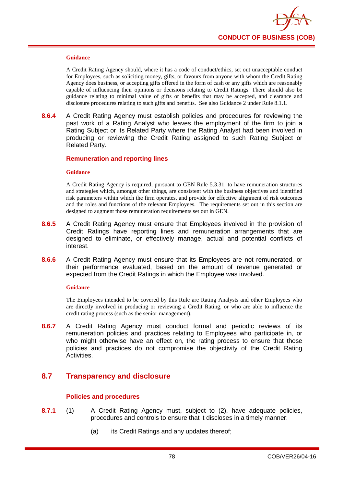

A Credit Rating Agency should, where it has a code of conduct/ethics, set out unacceptable conduct for Employees, such as soliciting money, gifts, or favours from anyone with whom the Credit Rating Agency does business, or accepting gifts offered in the form of cash or any gifts which are reasonably capable of influencing their opinions or decisions relating to Credit Ratings. There should also be guidance relating to minimal value of gifts or benefits that may be accepted, and clearance and disclosure procedures relating to such gifts and benefits. See also Guidance 2 under Rule 8.1.1.

**8.6.4** A Credit Rating Agency must establish policies and procedures for reviewing the past work of a Rating Analyst who leaves the employment of the firm to join a Rating Subject or its Related Party where the Rating Analyst had been involved in producing or reviewing the Credit Rating assigned to such Rating Subject or Related Party.

## **Remuneration and reporting lines**

#### **Guidance**

A Credit Rating Agency is required, pursuant to GEN Rule 5.3.31, to have remuneration structures and strategies which, amongst other things, are consistent with the business objectives and identified risk parameters within which the firm operates, and provide for effective alignment of risk outcomes and the roles and functions of the relevant Employees. The requirements set out in this section are designed to augment those remuneration requirements set out in GEN.

- **8.6.5** A Credit Rating Agency must ensure that Employees involved in the provision of Credit Ratings have reporting lines and remuneration arrangements that are designed to eliminate, or effectively manage, actual and potential conflicts of interest.
- **8.6.6** A Credit Rating Agency must ensure that its Employees are not remunerated, or their performance evaluated, based on the amount of revenue generated or expected from the Credit Ratings in which the Employee was involved.

## **Gui**d**ance**

The Employees intended to be covered by this Rule are Rating Analysts and other Employees who are directly involved in producing or reviewing a Credit Rating, or who are able to influence the credit rating process (such as the senior management).

**8.6.7** A Credit Rating Agency must conduct formal and periodic reviews of its remuneration policies and practices relating to Employees who participate in, or who might otherwise have an effect on, the rating process to ensure that those policies and practices do not compromise the objectivity of the Credit Rating Activities.

## **8.7 Transparency and disclosure**

## **Policies and procedures**

- **8.7.1** (1) A Credit Rating Agency must, subject to (2), have adequate policies, procedures and controls to ensure that it discloses in a timely manner:
	- (a) its Credit Ratings and any updates thereof;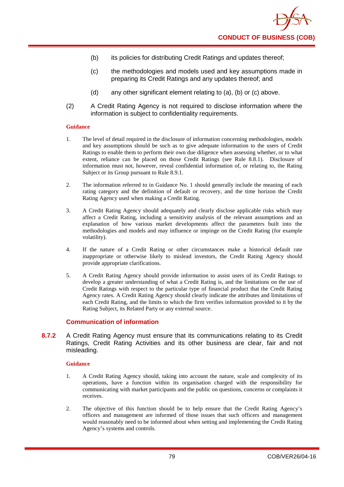- (b) its policies for distributing Credit Ratings and updates thereof;
- (c) the methodologies and models used and key assumptions made in preparing its Credit Ratings and any updates thereof; and
- (d) any other significant element relating to (a), (b) or (c) above.
- (2) A Credit Rating Agency is not required to disclose information where the information is subject to confidentiality requirements.

- 1. The level of detail required in the disclosure of information concerning methodologies, models and key assumptions should be such as to give adequate information to the users of Credit Ratings to enable them to perform their own due diligence when assessing whether, or to what extent, reliance can be placed on those Credit Ratings (see Rule 8.8.1). Disclosure of information must not, however, reveal confidential information of, or relating to, the Rating Subject or its Group pursuant to Rule 8.9.1.
- 2. The information referred to in Guidance No. 1 should generally include the meaning of each rating category and the definition of default or recovery, and the time horizon the Credit Rating Agency used when making a Credit Rating.
- 3. A Credit Rating Agency should adequately and clearly disclose applicable risks which may affect a Credit Rating, including a sensitivity analysis of the relevant assumptions and an explanation of how various market developments affect the parameters built into the methodologies and models and may influence or impinge on the Credit Rating (for example volatility).
- 4. If the nature of a Credit Rating or other circumstances make a historical default rate inappropriate or otherwise likely to mislead investors, the Credit Rating Agency should provide appropriate clarifications.
- 5. A Credit Rating Agency should provide information to assist users of its Credit Ratings to develop a greater understanding of what a Credit Rating is, and the limitations on the use of Credit Ratings with respect to the particular type of financial product that the Credit Rating Agency rates. A Credit Rating Agency should clearly indicate the attributes and limitations of each Credit Rating, and the limits to which the firm verifies information provided to it by the Rating Subject, its Related Party or any external source.

## **Communication of information**

**8.7.2** A Credit Rating Agency must ensure that its communications relating to its Credit Ratings, Credit Rating Activities and its other business are clear, fair and not misleading.

## **Guidance**

- 1. A Credit Rating Agency should, taking into account the nature, scale and complexity of its operations, have a function within its organisation charged with the responsibility for communicating with market participants and the public on questions, concerns or complaints it receives.
- 2. The objective of this function should be to help ensure that the Credit Rating Agency's officers and management are informed of those issues that such officers and management would reasonably need to be informed about when setting and implementing the Credit Rating Agency's systems and controls.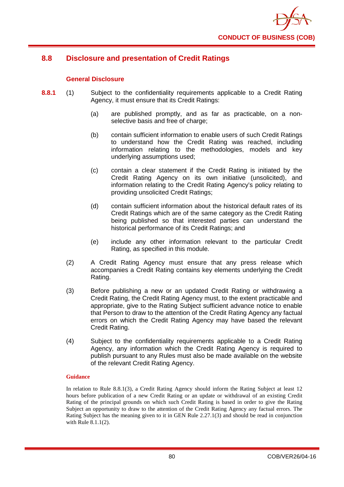

# **8.8 Disclosure and presentation of Credit Ratings**

## **General Disclosure**

- **8.8.1** (1) Subject to the confidentiality requirements applicable to a Credit Rating Agency, it must ensure that its Credit Ratings:
	- (a) are published promptly, and as far as practicable, on a nonselective basis and free of charge;
	- (b) contain sufficient information to enable users of such Credit Ratings to understand how the Credit Rating was reached, including information relating to the methodologies, models and key underlying assumptions used;
	- (c) contain a clear statement if the Credit Rating is initiated by the Credit Rating Agency on its own initiative (unsolicited), and information relating to the Credit Rating Agency's policy relating to providing unsolicited Credit Ratings;
	- (d) contain sufficient information about the historical default rates of its Credit Ratings which are of the same category as the Credit Rating being published so that interested parties can understand the historical performance of its Credit Ratings; and
	- (e) include any other information relevant to the particular Credit Rating, as specified in this module.
	- (2) A Credit Rating Agency must ensure that any press release which accompanies a Credit Rating contains key elements underlying the Credit Rating.
	- (3) Before publishing a new or an updated Credit Rating or withdrawing a Credit Rating, the Credit Rating Agency must, to the extent practicable and appropriate, give to the Rating Subject sufficient advance notice to enable that Person to draw to the attention of the Credit Rating Agency any factual errors on which the Credit Rating Agency may have based the relevant Credit Rating.
	- (4) Subject to the confidentiality requirements applicable to a Credit Rating Agency, any information which the Credit Rating Agency is required to publish pursuant to any Rules must also be made available on the website of the relevant Credit Rating Agency.

## **Guidance**

In relation to Rule 8.8.1(3), a Credit Rating Agency should inform the Rating Subject at least 12 hours before publication of a new Credit Rating or an update or withdrawal of an existing Credit Rating of the principal grounds on which such Credit Rating is based in order to give the Rating Subject an opportunity to draw to the attention of the Credit Rating Agency any factual errors. The Rating Subject has the meaning given to it in GEN Rule 2.27.1(3) and should be read in conjunction with Rule 8.1.1(2).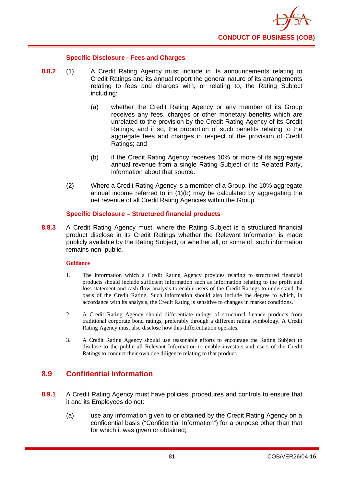

## **Specific Disclosure - Fees and Charges**

- **8.8.2** (1) A Credit Rating Agency must include in its announcements relating to Credit Ratings and its annual report the general nature of its arrangements relating to fees and charges with, or relating to, the Rating Subject including:
	- (a) whether the Credit Rating Agency or any member of its Group receives any fees, charges or other monetary benefits which are unrelated to the provision by the Credit Rating Agency of its Credit Ratings, and if so, the proportion of such benefits relating to the aggregate fees and charges in respect of the provision of Credit Ratings; and
	- (b) if the Credit Rating Agency receives 10% or more of its aggregate annual revenue from a single Rating Subject or its Related Party, information about that source.
	- (2) Where a Credit Rating Agency is a member of a Group, the 10% aggregate annual income referred to in (1)(b) may be calculated by aggregating the net revenue of all Credit Rating Agencies within the Group.

## **Specific Disclosure – Structured financial products**

**8.8.3** A Credit Rating Agency must, where the Rating Subject is a structured financial product disclose in its Credit Ratings whether the Relevant Information is made publicly available by the Rating Subject, or whether all, or some of, such information remains non–public.

## **Guidance**

- 1. The information which a Credit Rating Agency provides relating to structured financial products should include sufficient information such as information relating to the profit and loss statement and cash flow analysis to enable users of the Credit Ratings to understand the basis of the Credit Rating. Such information should also include the degree to which, in accordance with its analysis, the Credit Rating is sensitive to changes in market conditions.
- 2. A Credit Rating Agency should differentiate ratings of structured finance products from traditional corporate bond ratings, preferably through a different rating symbology. A Credit Rating Agency must also disclose how this differentiation operates.
- 3. A Credit Rating Agency should use reasonable efforts to encourage the Rating Subject to disclose to the public all Relevant Information to enable investors and users of the Credit Ratings to conduct their own due diligence relating to that product.

# **8.9 Confidential information**

- **8.9.1** A Credit Rating Agency must have policies, procedures and controls to ensure that it and its Employees do not:
	- (a) use any information given to or obtained by the Credit Rating Agency on a confidential basis ("Confidential Information") for a purpose other than that for which it was given or obtained;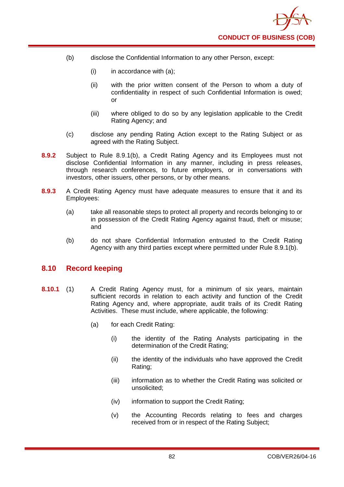- (b) disclose the Confidential Information to any other Person, except:
	- $(i)$  in accordance with  $(a)$ ;
	- (ii) with the prior written consent of the Person to whom a duty of confidentiality in respect of such Confidential Information is owed; or
	- (iii) where obliged to do so by any legislation applicable to the Credit Rating Agency; and
- (c) disclose any pending Rating Action except to the Rating Subject or as agreed with the Rating Subject.
- **8.9.2** Subject to Rule 8.9.1(b), a Credit Rating Agency and its Employees must not disclose Confidential Information in any manner, including in press releases, through research conferences, to future employers, or in conversations with investors, other issuers, other persons, or by other means.
- **8.9.3** A Credit Rating Agency must have adequate measures to ensure that it and its Employees:
	- (a) take all reasonable steps to protect all property and records belonging to or in possession of the Credit Rating Agency against fraud, theft or misuse; and
	- (b) do not share Confidential Information entrusted to the Credit Rating Agency with any third parties except where permitted under Rule 8.9.1(b).

## **8.10 Record keeping**

- **8.10.1** (1) A Credit Rating Agency must, for a minimum of six years, maintain sufficient records in relation to each activity and function of the Credit Rating Agency and, where appropriate, audit trails of its Credit Rating Activities. These must include, where applicable, the following:
	- (a) for each Credit Rating:
		- (i) the identity of the Rating Analysts participating in the determination of the Credit Rating;
		- (ii) the identity of the individuals who have approved the Credit Rating;
		- (iii) information as to whether the Credit Rating was solicited or unsolicited;
		- (iv) information to support the Credit Rating;
		- (v) the Accounting Records relating to fees and charges received from or in respect of the Rating Subject;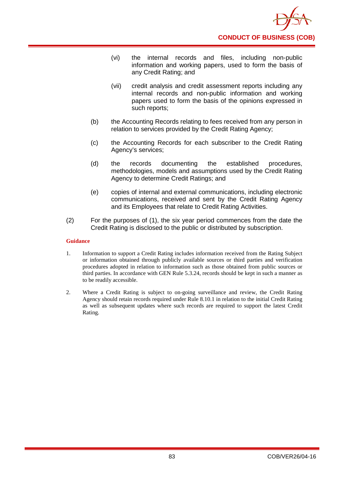

- (vi) the internal records and files, including non-public information and working papers, used to form the basis of any Credit Rating; and
- (vii) credit analysis and credit assessment reports including any internal records and non-public information and working papers used to form the basis of the opinions expressed in such reports;
- (b) the Accounting Records relating to fees received from any person in relation to services provided by the Credit Rating Agency;
- (c) the Accounting Records for each subscriber to the Credit Rating Agency's services;
- (d) the records documenting the established procedures, methodologies, models and assumptions used by the Credit Rating Agency to determine Credit Ratings; and
- (e) copies of internal and external communications, including electronic communications, received and sent by the Credit Rating Agency and its Employees that relate to Credit Rating Activities.
- (2) For the purposes of (1), the six year period commences from the date the Credit Rating is disclosed to the public or distributed by subscription.

- 1. Information to support a Credit Rating includes information received from the Rating Subject or information obtained through publicly available sources or third parties and verification procedures adopted in relation to information such as those obtained from public sources or third parties. In accordance with GEN Rule 5.3.24, records should be kept in such a manner as to be readily accessible.
- 2. Where a Credit Rating is subject to on-going surveillance and review, the Credit Rating Agency should retain records required under Rule 8.10.1 in relation to the initial Credit Rating as well as subsequent updates where such records are required to support the latest Credit Rating.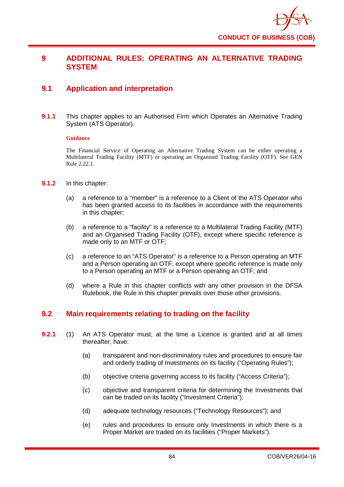

## **9 ADDITIONAL RULES: OPERATING AN ALTERNATIVE TRADING SYSTEM**

# **9.1 Application and interpretation**

**9.1.1** This chapter applies to an Authorised Firm which Operates an Alternative Trading System (ATS Operator).

#### **Guidance**

The Financial Service of Operating an Alternative Trading System can be either operating a Multilateral Trading Facility (MTF) or operating an Organised Trading Facility (OTF). See GEN Rule 2.22.1.

- **9.1.2** In this chapter:
	- (a) a reference to a "member" is a reference to a Client of the ATS Operator who has been granted access to its facilities in accordance with the requirements in this chapter;
	- (b) a reference to a "facility" is a reference to a Multilateral Trading Facility (MTF) and an Organised Trading Facility (OTF), except where specific reference is made only to an MTF or OTF;
	- (c) a reference to an "ATS Operator" is a reference to a Person operating an MTF and a Person operating an OTF, except where specific reference is made only to a Person operating an MTF or a Person operating an OTF; and
	- (d) where a Rule in this chapter conflicts with any other provision in the DFSA Rulebook, the Rule in this chapter prevails over those other provisions.

# **9.2 Main requirements relating to trading on the facility**

- **9.2.1** (1) An ATS Operator must, at the time a Licence is granted and at all times thereafter, have:
	- (a) transparent and non-discriminatory rules and procedures to ensure fair and orderly trading of Investments on its facility ("Operating Rules");
	- (b) objective criteria governing access to its facility ("Access Criteria");
	- (c) objective and transparent criteria for determining the Investments that can be traded on its facility ("Investment Criteria");
	- (d) adequate technology resources ("Technology Resources"); and
	- (e) rules and procedures to ensure only Investments in which there is a Proper Market are traded on its facilities ("Proper Markets").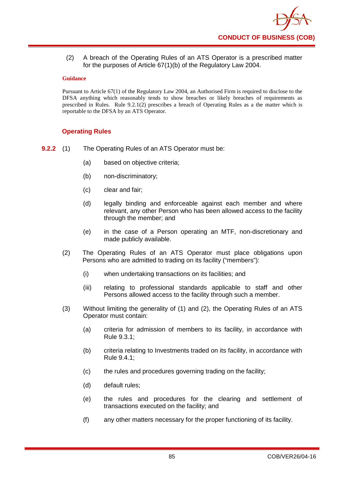(2) A breach of the Operating Rules of an ATS Operator is a prescribed matter for the purposes of Article 67(1)(b) of the Regulatory Law 2004.

## **Guidance**

Pursuant to Article 67(1) of the Regulatory Law 2004, an Authorised Firm is required to disclose to the DFSA anything which reasonably tends to show breaches or likely breaches of requirements as prescribed in Rules. Rule 9.2.1(2) prescribes a breach of Operating Rules as a the matter which is reportable to the DFSA by an ATS Operator.

## **Operating Rules**

**9.2.2** (1) The Operating Rules of an ATS Operator must be:

- (a) based on objective criteria;
- (b) non-discriminatory;
- (c) clear and fair;
- (d) legally binding and enforceable against each member and where relevant, any other Person who has been allowed access to the facility through the member; and
- (e) in the case of a Person operating an MTF, non-discretionary and made publicly available.
- (2) The Operating Rules of an ATS Operator must place obligations upon Persons who are admitted to trading on its facility ("members"):
	- (i) when undertaking transactions on its facilities; and
	- (iii) relating to professional standards applicable to staff and other Persons allowed access to the facility through such a member.
- (3) Without limiting the generality of (1) and (2), the Operating Rules of an ATS Operator must contain:
	- (a) criteria for admission of members to its facility, in accordance with Rule 9.3.1;
	- (b) criteria relating to Investments traded on its facility, in accordance with Rule 9.4.1;
	- (c) the rules and procedures governing trading on the facility;
	- (d) default rules;
	- (e) the rules and procedures for the clearing and settlement of transactions executed on the facility; and
	- (f) any other matters necessary for the proper functioning of its facility.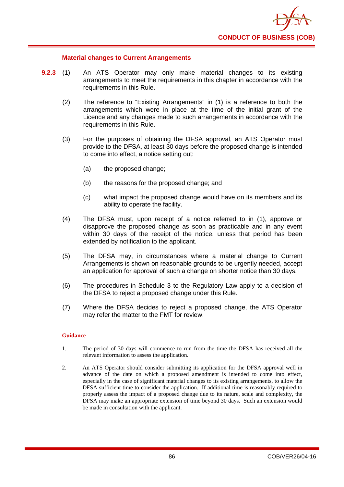

## **Material changes to Current Arrangements**

- **9.2.3** (1) An ATS Operator may only make material changes to its existing arrangements to meet the requirements in this chapter in accordance with the requirements in this Rule.
	- (2) The reference to "Existing Arrangements" in (1) is a reference to both the arrangements which were in place at the time of the initial grant of the Licence and any changes made to such arrangements in accordance with the requirements in this Rule.
	- (3) For the purposes of obtaining the DFSA approval, an ATS Operator must provide to the DFSA, at least 30 days before the proposed change is intended to come into effect, a notice setting out:
		- (a) the proposed change;
		- (b) the reasons for the proposed change; and
		- (c) what impact the proposed change would have on its members and its ability to operate the facility.
	- (4) The DFSA must, upon receipt of a notice referred to in (1), approve or disapprove the proposed change as soon as practicable and in any event within 30 days of the receipt of the notice, unless that period has been extended by notification to the applicant.
	- (5) The DFSA may, in circumstances where a material change to Current Arrangements is shown on reasonable grounds to be urgently needed, accept an application for approval of such a change on shorter notice than 30 days.
	- (6) The procedures in Schedule 3 to the Regulatory Law apply to a decision of the DFSA to reject a proposed change under this Rule.
	- (7) Where the DFSA decides to reject a proposed change, the ATS Operator may refer the matter to the FMT for review.

#### **Guidance**

- 1. The period of 30 days will commence to run from the time the DFSA has received all the relevant information to assess the application.
- 2. An ATS Operator should consider submitting its application for the DFSA approval well in advance of the date on which a proposed amendment is intended to come into effect, especially in the case of significant material changes to its existing arrangements, to allow the DFSA sufficient time to consider the application. If additional time is reasonably required to properly assess the impact of a proposed change due to its nature, scale and complexity, the DFSA may make an appropriate extension of time beyond 30 days. Such an extension would be made in consultation with the applicant.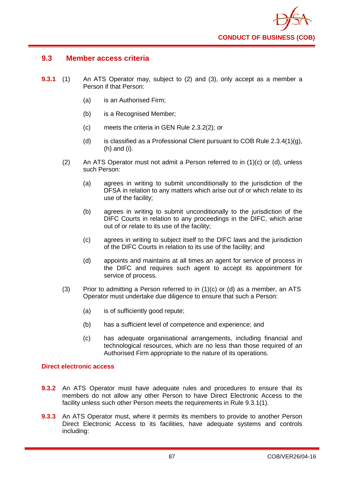

## **9.3 Member access criteria**

- **9.3.1** (1) An ATS Operator may, subject to (2) and (3), only accept as a member a Person if that Person:
	- (a) is an Authorised Firm;
	- (b) is a Recognised Member;
	- (c) meets the criteria in GEN Rule 2.3.2(2); or
	- (d) is classified as a Professional Client pursuant to COB Rule  $2.3.4(1)(g)$ , (h) and (i).
	- (2) An ATS Operator must not admit a Person referred to in (1)(c) or (d), unless such Person:
		- (a) agrees in writing to submit unconditionally to the jurisdiction of the DFSA in relation to any matters which arise out of or which relate to its use of the facility;
		- (b) agrees in writing to submit unconditionally to the jurisdiction of the DIFC Courts in relation to any proceedings in the DIFC, which arise out of or relate to its use of the facility;
		- (c) agrees in writing to subject itself to the DIFC laws and the jurisdiction of the DIFC Courts in relation to its use of the facility; and
		- (d) appoints and maintains at all times an agent for service of process in the DIFC and requires such agent to accept its appointment for service of process.
	- (3) Prior to admitting a Person referred to in  $(1)(c)$  or  $(d)$  as a member, an ATS Operator must undertake due diligence to ensure that such a Person:
		- (a) is of sufficiently good repute;
		- (b) has a sufficient level of competence and experience; and
		- (c) has adequate organisational arrangements, including financial and technological resources, which are no less than those required of an Authorised Firm appropriate to the nature of its operations.

## **Direct electronic access**

- **9.3.2** An ATS Operator must have adequate rules and procedures to ensure that its members do not allow any other Person to have Direct Electronic Access to the facility unless such other Person meets the requirements in Rule 9.3.1(1).
- **9.3.3** An ATS Operator must, where it permits its members to provide to another Person Direct Electronic Access to its facilities, have adequate systems and controls including: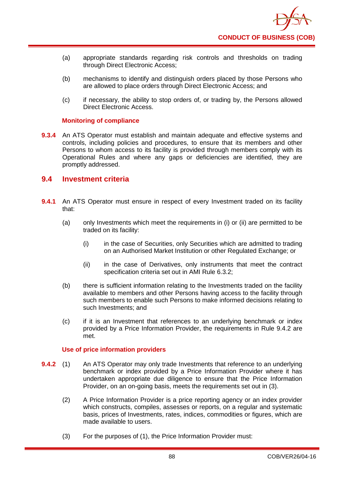- (a) appropriate standards regarding risk controls and thresholds on trading through Direct Electronic Access;
- (b) mechanisms to identify and distinguish orders placed by those Persons who are allowed to place orders through Direct Electronic Access; and
- (c) if necessary, the ability to stop orders of, or trading by, the Persons allowed Direct Electronic Access.

## **Monitoring of compliance**

**9.3.4** An ATS Operator must establish and maintain adequate and effective systems and controls, including policies and procedures, to ensure that its members and other Persons to whom access to its facility is provided through members comply with its Operational Rules and where any gaps or deficiencies are identified, they are promptly addressed.

## **9.4 Investment criteria**

- **9.4.1** An ATS Operator must ensure in respect of every Investment traded on its facility that:
	- (a) only Investments which meet the requirements in (i) or (ii) are permitted to be traded on its facility:
		- (i) in the case of Securities, only Securities which are admitted to trading on an Authorised Market Institution or other Regulated Exchange; or
		- (ii) in the case of Derivatives, only instruments that meet the contract specification criteria set out in AMI Rule 6.3.2;
	- (b) there is sufficient information relating to the Investments traded on the facility available to members and other Persons having access to the facility through such members to enable such Persons to make informed decisions relating to such Investments; and
	- (c) if it is an Investment that references to an underlying benchmark or index provided by a Price Information Provider, the requirements in Rule 9.4.2 are met.

## **Use of price information providers**

- **9.4.2** (1) An ATS Operator may only trade Investments that reference to an underlying benchmark or index provided by a Price Information Provider where it has undertaken appropriate due diligence to ensure that the Price Information Provider, on an on-going basis, meets the requirements set out in (3).
	- (2) A Price Information Provider is a price reporting agency or an index provider which constructs, compiles, assesses or reports, on a regular and systematic basis, prices of Investments, rates, indices, commodities or figures, which are made available to users.
	- (3) For the purposes of (1), the Price Information Provider must: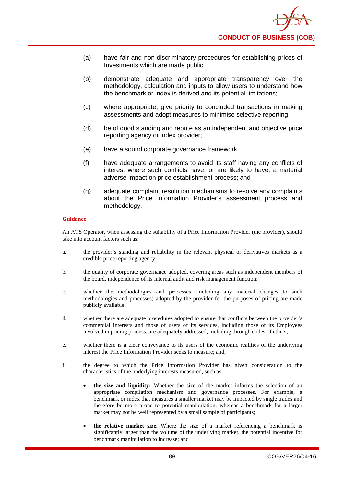- (a) have fair and non-discriminatory procedures for establishing prices of Investments which are made public.
- (b) demonstrate adequate and appropriate transparency over the methodology, calculation and inputs to allow users to understand how the benchmark or index is derived and its potential limitations;
- (c) where appropriate, give priority to concluded transactions in making assessments and adopt measures to minimise selective reporting;
- (d) be of good standing and repute as an independent and objective price reporting agency or index provider;
- (e) have a sound corporate governance framework;
- (f) have adequate arrangements to avoid its staff having any conflicts of interest where such conflicts have, or are likely to have, a material adverse impact on price establishment process; and
- (g) adequate complaint resolution mechanisms to resolve any complaints about the Price Information Provider's assessment process and methodology.

An ATS Operator, when assessing the suitability of a Price Information Provider (the provider), should take into account factors such as:

- a. the provider's standing and reliability in the relevant physical or derivatives markets as a credible price reporting agency;
- b. the quality of corporate governance adopted, covering areas such as independent members of the board, independence of its internal audit and risk management function;
- c. whether the methodologies and processes (including any material changes to such methodologies and processes) adopted by the provider for the purposes of pricing are made publicly available;
- d. whether there are adequate procedures adopted to ensure that conflicts between the provider's commercial interests and those of users of its services, including those of its Employees involved in pricing process, are adequately addressed, including through codes of ethics;
- e. whether there is a clear conveyance to its users of the economic realities of the underlying interest the Price Information Provider seeks to measure; and,
- f. the degree to which the Price Information Provider has given consideration to the characteristics of the underlying interests measured, such as:
	- **the size and liquidity:** Whether the size of the market informs the selection of an appropriate compilation mechanism and governance processes. For example, a benchmark or index that measures a smaller market may be impacted by single trades and therefore be more prone to potential manipulation, whereas a benchmark for a larger market may not be well represented by a small sample of participants;
	- **the relative market size.** Where the size of a market referencing a benchmark is significantly larger than the volume of the underlying market, the potential incentive for benchmark manipulation to increase; and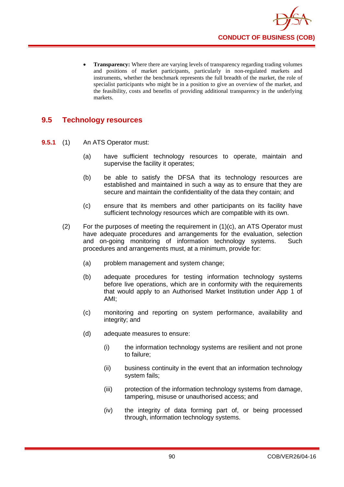

**Transparency:** Where there are varying levels of transparency regarding trading volumes and positions of market participants, particularly in non-regulated markets and instruments, whether the benchmark represents the full breadth of the market, the role of specialist participants who might be in a position to give an overview of the market, and the feasibility, costs and benefits of providing additional transparency in the underlying markets.

# **9.5 Technology resources**

- **9.5.1** (1) An ATS Operator must:
	- (a) have sufficient technology resources to operate, maintain and supervise the facility it operates;
	- (b) be able to satisfy the DFSA that its technology resources are established and maintained in such a way as to ensure that they are secure and maintain the confidentiality of the data they contain; and
	- (c) ensure that its members and other participants on its facility have sufficient technology resources which are compatible with its own.
	- $(2)$  For the purposes of meeting the requirement in  $(1)(c)$ , an ATS Operator must have adequate procedures and arrangements for the evaluation, selection and on-going monitoring of information technology systems. Such procedures and arrangements must, at a minimum, provide for:
		- (a) problem management and system change;
		- (b) adequate procedures for testing information technology systems before live operations, which are in conformity with the requirements that would apply to an Authorised Market Institution under App 1 of AMI;
		- (c) monitoring and reporting on system performance, availability and integrity; and
		- (d) adequate measures to ensure:
			- (i) the information technology systems are resilient and not prone to failure;
			- (ii) business continuity in the event that an information technology system fails;
			- (iii) protection of the information technology systems from damage, tampering, misuse or unauthorised access; and
			- (iv) the integrity of data forming part of, or being processed through, information technology systems.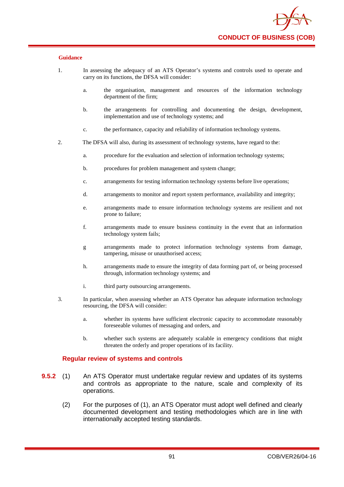- 1. In assessing the adequacy of an ATS Operator's systems and controls used to operate and carry on its functions, the DFSA will consider:
	- a. the organisation, management and resources of the information technology department of the firm;
	- b. the arrangements for controlling and documenting the design, development, implementation and use of technology systems; and
	- c. the performance, capacity and reliability of information technology systems.
- 2. The DFSA will also, during its assessment of technology systems, have regard to the:
	- a. procedure for the evaluation and selection of information technology systems;
	- b. procedures for problem management and system change;
	- c. arrangements for testing information technology systems before live operations;
	- d. arrangements to monitor and report system performance, availability and integrity;
	- e. arrangements made to ensure information technology systems are resilient and not prone to failure;
	- f. arrangements made to ensure business continuity in the event that an information technology system fails;
	- g arrangements made to protect information technology systems from damage, tampering, misuse or unauthorised access;
	- h. arrangements made to ensure the integrity of data forming part of, or being processed through, information technology systems; and
	- i. third party outsourcing arrangements.
- 3. In particular, when assessing whether an ATS Operator has adequate information technology resourcing, the DFSA will consider:
	- a. whether its systems have sufficient electronic capacity to accommodate reasonably foreseeable volumes of messaging and orders, and
	- b. whether such systems are adequately scalable in emergency conditions that might threaten the orderly and proper operations of its facility.

## **Regular review of systems and controls**

- **9.5.2** (1) An ATS Operator must undertake regular review and updates of its systems and controls as appropriate to the nature, scale and complexity of its operations.
	- (2) For the purposes of (1), an ATS Operator must adopt well defined and clearly documented development and testing methodologies which are in line with internationally accepted testing standards.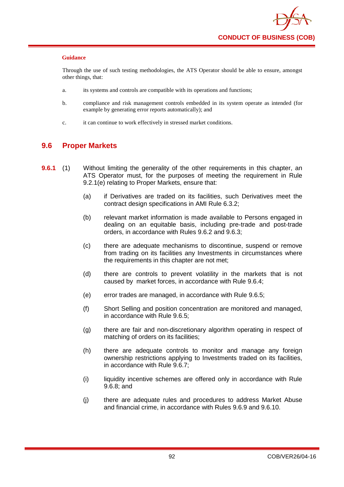Through the use of such testing methodologies, the ATS Operator should be able to ensure, amongst other things, that:

- a. its systems and controls are compatible with its operations and functions;
- b. compliance and risk management controls embedded in its system operate as intended (for example by generating error reports automatically); and
- c. it can continue to work effectively in stressed market conditions.

## **9.6 Proper Markets**

- **9.6.1** (1) Without limiting the generality of the other requirements in this chapter, an ATS Operator must, for the purposes of meeting the requirement in Rule 9.2.1(e) relating to Proper Markets, ensure that:
	- (a) if Derivatives are traded on its facilities, such Derivatives meet the contract design specifications in AMI Rule 6.3.2;
	- (b) relevant market information is made available to Persons engaged in dealing on an equitable basis, including pre-trade and post-trade orders, in accordance with Rules 9.6.2 and 9.6.3;
	- (c) there are adequate mechanisms to discontinue, suspend or remove from trading on its facilities any Investments in circumstances where the requirements in this chapter are not met;
	- (d) there are controls to prevent volatility in the markets that is not caused by market forces, in accordance with Rule 9.6.4;
	- (e) error trades are managed, in accordance with Rule 9.6.5;
	- (f) Short Selling and position concentration are monitored and managed, in accordance with Rule 9.6.5;
	- (g) there are fair and non-discretionary algorithm operating in respect of matching of orders on its facilities;
	- (h) there are adequate controls to monitor and manage any foreign ownership restrictions applying to Investments traded on its facilities, in accordance with Rule 9.6.7;
	- (i) liquidity incentive schemes are offered only in accordance with Rule 9.6.8; and
	- (j) there are adequate rules and procedures to address Market Abuse and financial crime, in accordance with Rules 9.6.9 and 9.6.10.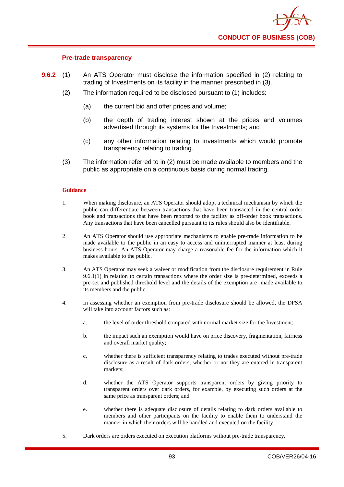

## **Pre-trade transparency**

- **9.6.2** (1) An ATS Operator must disclose the information specified in (2) relating to trading of Investments on its facility in the manner prescribed in (3).
	- (2) The information required to be disclosed pursuant to (1) includes:
		- (a) the current bid and offer prices and volume;
		- (b) the depth of trading interest shown at the prices and volumes advertised through its systems for the Investments; and
		- (c) any other information relating to Investments which would promote transparency relating to trading.
	- (3) The information referred to in (2) must be made available to members and the public as appropriate on a continuous basis during normal trading.

#### **Guidance**

- 1. When making disclosure, an ATS Operator should adopt a technical mechanism by which the public can differentiate between transactions that have been transacted in the central order book and transactions that have been reported to the facility as off-order book transactions. Any transactions that have been cancelled pursuant to its rules should also be identifiable.
- 2. An ATS Operator should use appropriate mechanisms to enable pre-trade information to be made available to the public in an easy to access and uninterrupted manner at least during business hours. An ATS Operator may charge a reasonable fee for the information which it makes available to the public.
- 3. An ATS Operator may seek a waiver or modification from the disclosure requirement in Rule 9.6.1(1) in relation to certain transactions where the order size is pre-determined, exceeds a pre-set and published threshold level and the details of the exemption are made available to its members and the public.
- 4. In assessing whether an exemption from pre-trade disclosure should be allowed, the DFSA will take into account factors such as:
	- a. the level of order threshold compared with normal market size for the Investment;
	- b. the impact such an exemption would have on price discovery, fragmentation, fairness and overall market quality;
	- c. whether there is sufficient transparency relating to trades executed without pre-trade disclosure as a result of dark orders, whether or not they are entered in transparent markets;
	- d. whether the ATS Operator supports transparent orders by giving priority to transparent orders over dark orders, for example, by executing such orders at the same price as transparent orders; and
	- e. whether there is adequate disclosure of details relating to dark orders available to members and other participants on the facility to enable them to understand the manner in which their orders will be handled and executed on the facility.
- 5. Dark orders are orders executed on execution platforms without pre-trade transparency.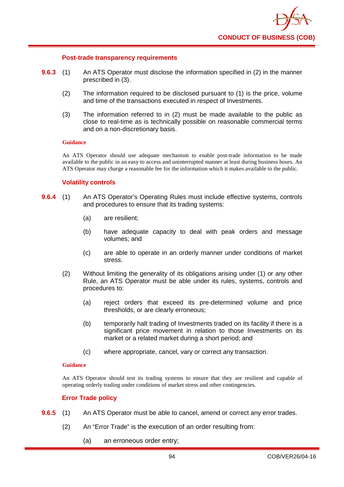

#### **Post-trade transparency requirements**

- **9.6.3** (1) An ATS Operator must disclose the information specified in (2) in the manner prescribed in (3).
	- (2) The information required to be disclosed pursuant to (1) is the price, volume and time of the transactions executed in respect of Investments.
	- (3) The information referred to in (2) must be made available to the public as close to real-time as is technically possible on reasonable commercial terms and on a non-discretionary basis.

#### **Guidance**

An ATS Operator should use adequate mechanism to enable post-trade information to be made available to the public in an easy to access and uninterrupted manner at least during business hours. An ATS Operator may charge a reasonable fee for the information which it makes available to the public.

## **Volatility controls**

- **9.6.4** (1) An ATS Operator's Operating Rules must include effective systems, controls and procedures to ensure that its trading systems:
	- (a) are resilient;
	- (b) have adequate capacity to deal with peak orders and message volumes; and
	- (c) are able to operate in an orderly manner under conditions of market stress.
	- (2) Without limiting the generality of its obligations arising under (1) or any other Rule, an ATS Operator must be able under its rules, systems, controls and procedures to:
		- (a) reject orders that exceed its pre-determined volume and price thresholds, or are clearly erroneous;
		- (b) temporarily halt trading of Investments traded on its facility if there is a significant price movement in relation to those Investments on its market or a related market during a short period; and
		- (c) where appropriate, cancel, vary or correct any transaction.

#### **Guidance**

An ATS Operator should test its trading systems to ensure that they are resilient and capable of operating orderly trading under conditions of market stress and other contingencies.

## **Error Trade policy**

- **9.6.5** (1) An ATS Operator must be able to cancel, amend or correct any error trades.
	- (2) An "Error Trade" is the execution of an order resulting from:
		- (a) an erroneous order entry;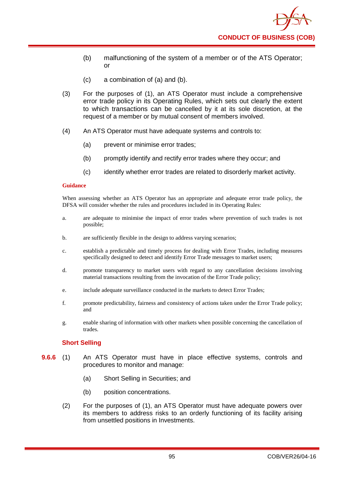- (b) malfunctioning of the system of a member or of the ATS Operator; or
- (c) a combination of (a) and (b).
- (3) For the purposes of (1), an ATS Operator must include a comprehensive error trade policy in its Operating Rules, which sets out clearly the extent to which transactions can be cancelled by it at its sole discretion, at the request of a member or by mutual consent of members involved.
- (4) An ATS Operator must have adequate systems and controls to:
	- (a) prevent or minimise error trades;
	- (b) promptly identify and rectify error trades where they occur; and
	- (c) identify whether error trades are related to disorderly market activity.

When assessing whether an ATS Operator has an appropriate and adequate error trade policy, the DFSA will consider whether the rules and procedures included in its Operating Rules:

- a. are adequate to minimise the impact of error trades where prevention of such trades is not possible;
- b. are sufficiently flexible in the design to address varying scenarios;
- c. establish a predictable and timely process for dealing with Error Trades, including measures specifically designed to detect and identify Error Trade messages to market users;
- d. promote transparency to market users with regard to any cancellation decisions involving material transactions resulting from the invocation of the Error Trade policy;
- e. include adequate surveillance conducted in the markets to detect Error Trades;
- f. promote predictability, fairness and consistency of actions taken under the Error Trade policy; and
- g. enable sharing of information with other markets when possible concerning the cancellation of trades.

## **Short Selling**

- **9.6.6** (1) An ATS Operator must have in place effective systems, controls and procedures to monitor and manage:
	- (a) Short Selling in Securities; and
	- (b) position concentrations.
	- (2) For the purposes of (1), an ATS Operator must have adequate powers over its members to address risks to an orderly functioning of its facility arising from unsettled positions in Investments.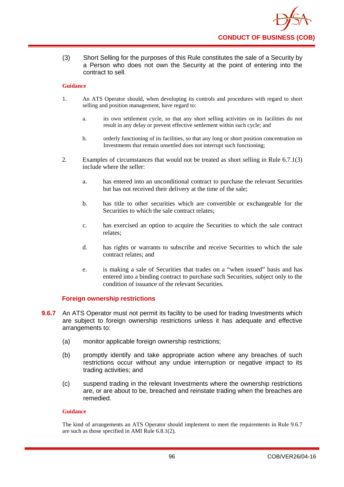

(3) Short Selling for the purposes of this Rule constitutes the sale of a Security by a Person who does not own the Security at the point of entering into the contract to sell.

#### **Guidance**

- 1. An ATS Operator should, when developing its controls and procedures with regard to short selling and position management, have regard to:
	- a. its own settlement cycle, so that any short selling activities on its facilities do not result in any delay or prevent effective settlement within such cycle; and
	- b. orderly functioning of its facilities, so that any long or short position concentration on Investments that remain unsettled does not interrupt such functioning;
- 2. Examples of circumstances that would not be treated as short selling in Rule 6.7.1(3) include where the seller:
	- a. has entered into an unconditional contract to purchase the relevant Securities but has not received their delivery at the time of the sale;
	- b. has title to other securities which are convertible or exchangeable for the Securities to which the sale contract relates;
	- c. has exercised an option to acquire the Securities to which the sale contract relates;
	- d. has rights or warrants to subscribe and receive Securities to which the sale contract relates; and
	- e. is making a sale of Securities that trades on a "when issued" basis and has entered into a binding contract to purchase such Securities, subject only to the condition of issuance of the relevant Securities.

## **Foreign ownership restrictions**

- **9.6.7** An ATS Operator must not permit its facility to be used for trading Investments which are subject to foreign ownership restrictions unless it has adequate and effective arrangements to:
	- (a) monitor applicable foreign ownership restrictions;
	- (b) promptly identify and take appropriate action where any breaches of such restrictions occur without any undue interruption or negative impact to its trading activities; and
	- (c) suspend trading in the relevant Investments where the ownership restrictions are, or are about to be, breached and reinstate trading when the breaches are remedied.

## **Guidance**

The kind of arrangements an ATS Operator should implement to meet the requirements in Rule 9.6.7 are such as those specified in AMI Rule 6.8.1(2).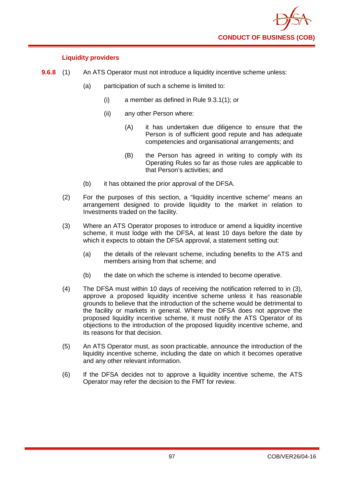

## **Liquidity providers**

- **9.6.8** (1) An ATS Operator must not introduce a liquidity incentive scheme unless:
	- (a) participation of such a scheme is limited to:
		- (i) a member as defined in Rule 9.3.1(1); or
		- (ii) any other Person where:
			- (A) it has undertaken due diligence to ensure that the Person is of sufficient good repute and has adequate competencies and organisational arrangements; and
			- (B) the Person has agreed in writing to comply with its Operating Rules so far as those rules are applicable to that Person's activities; and
	- (b) it has obtained the prior approval of the DFSA.
	- (2) For the purposes of this section, a "liquidity incentive scheme" means an arrangement designed to provide liquidity to the market in relation to Investments traded on the facility.
	- (3) Where an ATS Operator proposes to introduce or amend a liquidity incentive scheme, it must lodge with the DFSA, at least 10 days before the date by which it expects to obtain the DFSA approval, a statement setting out:
		- (a) the details of the relevant scheme, including benefits to the ATS and members arising from that scheme; and
		- (b) the date on which the scheme is intended to become operative.
	- (4) The DFSA must within 10 days of receiving the notification referred to in (3), approve a proposed liquidity incentive scheme unless it has reasonable grounds to believe that the introduction of the scheme would be detrimental to the facility or markets in general. Where the DFSA does not approve the proposed liquidity incentive scheme, it must notify the ATS Operator of its objections to the introduction of the proposed liquidity incentive scheme, and its reasons for that decision.
	- (5) An ATS Operator must, as soon practicable, announce the introduction of the liquidity incentive scheme, including the date on which it becomes operative and any other relevant information.
	- (6) If the DFSA decides not to approve a liquidity incentive scheme, the ATS Operator may refer the decision to the FMT for review.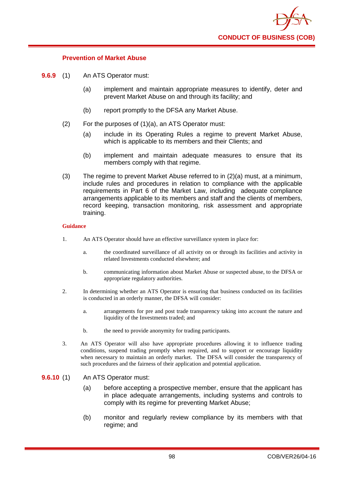

## **Prevention of Market Abuse**

- **9.6.9** (1) An ATS Operator must:
	- (a) implement and maintain appropriate measures to identify, deter and prevent Market Abuse on and through its facility; and
	- (b) report promptly to the DFSA any Market Abuse.
	- (2) For the purposes of (1)(a), an ATS Operator must:
		- (a) include in its Operating Rules a regime to prevent Market Abuse, which is applicable to its members and their Clients; and
		- (b) implement and maintain adequate measures to ensure that its members comply with that regime.
	- (3) The regime to prevent Market Abuse referred to in (2)(a) must, at a minimum, include rules and procedures in relation to compliance with the applicable requirements in Part 6 of the Market Law, including adequate compliance arrangements applicable to its members and staff and the clients of members, record keeping, transaction monitoring, risk assessment and appropriate training.

#### **Guidance**

- 1. An ATS Operator should have an effective surveillance system in place for:
	- a. the coordinated surveillance of all activity on or through its facilities and activity in related Investments conducted elsewhere; and
	- b. communicating information about Market Abuse or suspected abuse, to the DFSA or appropriate regulatory authorities.
- 2. In determining whether an ATS Operator is ensuring that business conducted on its facilities is conducted in an orderly manner, the DFSA will consider:
	- a. arrangements for pre and post trade transparency taking into account the nature and liquidity of the Investments traded; and
	- b. the need to provide anonymity for trading participants.
- 3. An ATS Operator will also have appropriate procedures allowing it to influence trading conditions, suspend trading promptly when required, and to support or encourage liquidity when necessary to maintain an orderly market. The DFSA will consider the transparency of such procedures and the fairness of their application and potential application.
- **9.6.10** (1) An ATS Operator must:
	- (a) before accepting a prospective member, ensure that the applicant has in place adequate arrangements, including systems and controls to comply with its regime for preventing Market Abuse;
	- (b) monitor and regularly review compliance by its members with that regime; and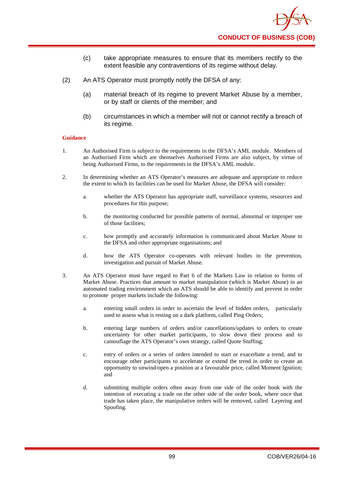- (c) take appropriate measures to ensure that its members rectify to the extent feasible any contraventions of its regime without delay.
- (2) An ATS Operator must promptly notify the DFSA of any:
	- (a) material breach of its regime to prevent Market Abuse by a member, or by staff or clients of the member; and
	- (b) circumstances in which a member will not or cannot rectify a breach of its regime.

- 1. An Authorised Firm is subject to the requirements in the DFSA's AML module. Members of an Authorised Firm which are themselves Authorised Firms are also subject, by virtue of being Authorised Firms, to the requirements in the DFSA's AML module.
- 2. In determining whether an ATS Operator's measures are adequate and appropriate to reduce the extent to which its facilities can be used for Market Abuse, the DFSA will consider:
	- a. whether the ATS Operator has appropriate staff, surveillance systems, resources and procedures for this purpose;
	- b. the monitoring conducted for possible patterns of normal, abnormal or improper use of those facilities;
	- c. how promptly and accurately information is communicated about Market Abuse to the DFSA and other appropriate organisations; and
	- d. how the ATS Operator co-operates with relevant bodies in the prevention, investigation and pursuit of Market Abuse.
- 3. An ATS Operator must have regard to Part 6 of the Markets Law in relation to forms of Market Abuse. Practices that amount to market manipulation (which is Market Abuse) in an automated trading environment which an ATS should be able to identify and prevent in order to promote proper markets include the following:
	- a. entering small orders in order to ascertain the level of hidden orders, particularly used to assess what is resting on a dark platform, called Ping Orders;
	- b. entering large numbers of orders and/or cancellations/updates to orders to create uncertainty for other market participants, to slow down their process and to camouflage the ATS Operator's own strategy, called Quote Stuffing;
	- c. entry of orders or a series of orders intended to start or exacerbate a trend, and to encourage other participants to accelerate or extend the trend in order to create an opportunity to unwind/open a position at a favourable price, called Moment Ignition; and
	- d. submitting multiple orders often away from one side of the order book with the intention of executing a trade on the other side of the order book, where once that trade has taken place, the manipulative orders will be removed, called Layering and Spoofing.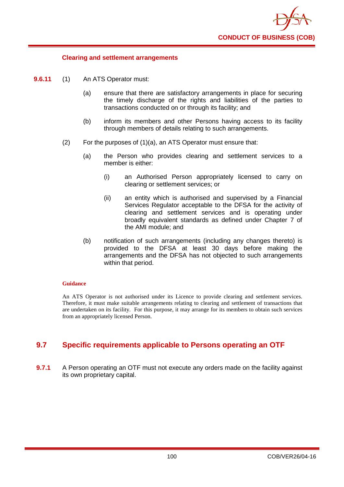

## **Clearing and settlement arrangements**

- **9.6.11** (1) An ATS Operator must:
	- (a) ensure that there are satisfactory arrangements in place for securing the timely discharge of the rights and liabilities of the parties to transactions conducted on or through its facility; and
	- (b) inform its members and other Persons having access to its facility through members of details relating to such arrangements.
	- (2) For the purposes of (1)(a), an ATS Operator must ensure that:
		- (a) the Person who provides clearing and settlement services to a member is either:
			- (i) an Authorised Person appropriately licensed to carry on clearing or settlement services; or
			- (ii) an entity which is authorised and supervised by a Financial Services Regulator acceptable to the DFSA for the activity of clearing and settlement services and is operating under broadly equivalent standards as defined under Chapter 7 of the AMI module; and
		- (b) notification of such arrangements (including any changes thereto) is provided to the DFSA at least 30 days before making the arrangements and the DFSA has not objected to such arrangements within that period.

## **Guidance**

An ATS Operator is not authorised under its Licence to provide clearing and settlement services. Therefore, it must make suitable arrangements relating to clearing and settlement of transactions that are undertaken on its facility. For this purpose, it may arrange for its members to obtain such services from an appropriately licensed Person.

# **9.7 Specific requirements applicable to Persons operating an OTF**

**9.7.1** A Person operating an OTF must not execute any orders made on the facility against its own proprietary capital.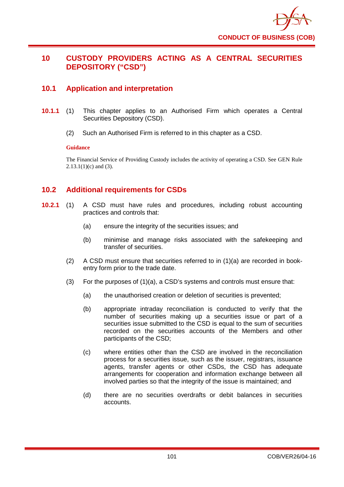# **10 CUSTODY PROVIDERS ACTING AS A CENTRAL SECURITIES DEPOSITORY ("CSD")**

# **10.1 Application and interpretation**

- **10.1.1** (1) This chapter applies to an Authorised Firm which operates a Central Securities Depository (CSD).
	- (2) Such an Authorised Firm is referred to in this chapter as a CSD.

## **Guidance**

The Financial Service of Providing Custody includes the activity of operating a CSD. See GEN Rule  $2.13.1(1)(c)$  and (3).

# **10.2 Additional requirements for CSDs**

- **10.2.1** (1) A CSD must have rules and procedures, including robust accounting practices and controls that:
	- (a) ensure the integrity of the securities issues; and
	- (b) minimise and manage risks associated with the safekeeping and transfer of securities.
	- $(2)$  A CSD must ensure that securities referred to in  $(1)(a)$  are recorded in bookentry form prior to the trade date.
	- (3) For the purposes of (1)(a), a CSD's systems and controls must ensure that:
		- (a) the unauthorised creation or deletion of securities is prevented;
		- (b) appropriate intraday reconciliation is conducted to verify that the number of securities making up a securities issue or part of a securities issue submitted to the CSD is equal to the sum of securities recorded on the securities accounts of the Members and other participants of the CSD;
		- (c) where entities other than the CSD are involved in the reconciliation process for a securities issue, such as the issuer, registrars, issuance agents, transfer agents or other CSDs, the CSD has adequate arrangements for cooperation and information exchange between all involved parties so that the integrity of the issue is maintained; and
		- (d) there are no securities overdrafts or debit balances in securities accounts.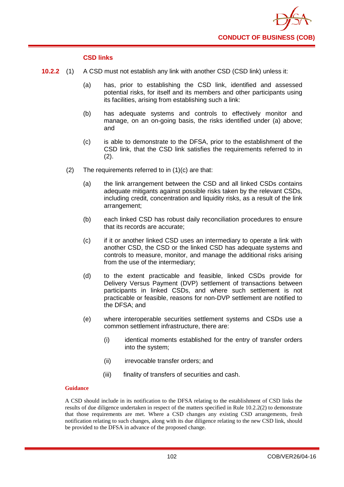

## **CSD links**

- **10.2.2** (1) A CSD must not establish any link with another CSD (CSD link) unless it:
	- (a) has, prior to establishing the CSD link, identified and assessed potential risks, for itself and its members and other participants using its facilities, arising from establishing such a link:
	- (b) has adequate systems and controls to effectively monitor and manage, on an on-going basis, the risks identified under (a) above; and
	- (c) is able to demonstrate to the DFSA, prior to the establishment of the CSD link, that the CSD link satisfies the requirements referred to in (2).
	- (2) The requirements referred to in (1)(c) are that:
		- (a) the link arrangement between the CSD and all linked CSDs contains adequate mitigants against possible risks taken by the relevant CSDs, including credit, concentration and liquidity risks, as a result of the link arrangement;
		- (b) each linked CSD has robust daily reconciliation procedures to ensure that its records are accurate;
		- (c) if it or another linked CSD uses an intermediary to operate a link with another CSD, the CSD or the linked CSD has adequate systems and controls to measure, monitor, and manage the additional risks arising from the use of the intermediary;
		- (d) to the extent practicable and feasible, linked CSDs provide for Delivery Versus Payment (DVP) settlement of transactions between participants in linked CSDs, and where such settlement is not practicable or feasible, reasons for non-DVP settlement are notified to the DFSA; and
		- (e) where interoperable securities settlement systems and CSDs use a common settlement infrastructure, there are:
			- (i) identical moments established for the entry of transfer orders into the system;
			- (ii) irrevocable transfer orders; and
			- (iii) finality of transfers of securities and cash.

## **Guidance**

A CSD should include in its notification to the DFSA relating to the establishment of CSD links the results of due diligence undertaken in respect of the matters specified in Rule 10.2.2(2) to demonstrate that those requirements are met. Where a CSD changes any existing CSD arrangements, fresh notification relating to such changes, along with its due diligence relating to the new CSD link, should be provided to the DFSA in advance of the proposed change.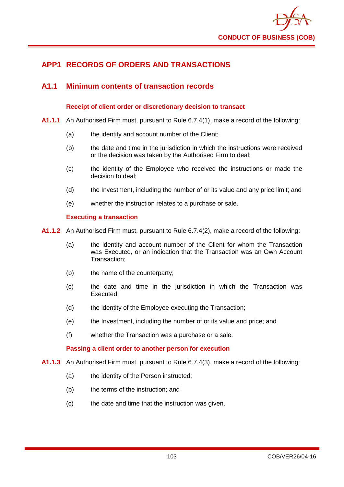

# **APP1 RECORDS OF ORDERS AND TRANSACTIONS**

## **A1.1 Minimum contents of transaction records**

## **Receipt of client order or discretionary decision to transact**

- **A1.1.1** An Authorised Firm must, pursuant to Rule 6.7.4(1), make a record of the following:
	- (a) the identity and account number of the Client;
	- (b) the date and time in the jurisdiction in which the instructions were received or the decision was taken by the Authorised Firm to deal;
	- (c) the identity of the Employee who received the instructions or made the decision to deal;
	- (d) the Investment, including the number of or its value and any price limit; and
	- (e) whether the instruction relates to a purchase or sale.

## **Executing a transaction**

**A1.1.2** An Authorised Firm must, pursuant to Rule 6.7.4(2), make a record of the following:

- (a) the identity and account number of the Client for whom the Transaction was Executed, or an indication that the Transaction was an Own Account Transaction;
- (b) the name of the counterparty;
- (c) the date and time in the jurisdiction in which the Transaction was Executed;
- (d) the identity of the Employee executing the Transaction;
- (e) the Investment, including the number of or its value and price; and
- (f) whether the Transaction was a purchase or a sale.

## **Passing a client order to another person for execution**

- **A1.1.3** An Authorised Firm must, pursuant to Rule 6.7.4(3), make a record of the following:
	- (a) the identity of the Person instructed;
	- (b) the terms of the instruction; and
	- (c) the date and time that the instruction was given.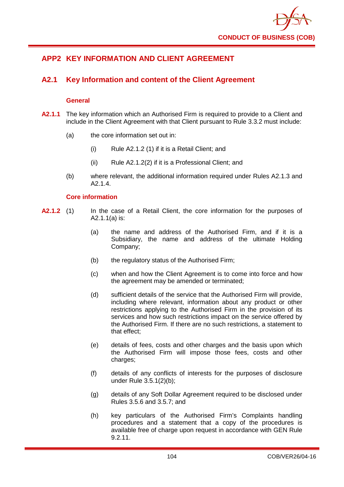

# **APP2 KEY INFORMATION AND CLIENT AGREEMENT**

# **A2.1 Key Information and content of the Client Agreement**

## **General**

- **A2.1.1** The key information which an Authorised Firm is required to provide to a Client and include in the Client Agreement with that Client pursuant to Rule 3.3.2 must include:
	- (a) the core information set out in:
		- (i) Rule A2.1.2 (1) if it is a Retail Client; and
		- (ii) Rule A2.1.2(2) if it is a Professional Client; and
	- (b) where relevant, the additional information required under Rules A2.1.3 and A2.1.4.

## **Core information**

- **A2.1.2** (1) In the case of a Retail Client, the core information for the purposes of A2.1.1(a) is:
	- (a) the name and address of the Authorised Firm, and if it is a Subsidiary, the name and address of the ultimate Holding Company;
	- (b) the regulatory status of the Authorised Firm;
	- (c) when and how the Client Agreement is to come into force and how the agreement may be amended or terminated;
	- (d) sufficient details of the service that the Authorised Firm will provide, including where relevant, information about any product or other restrictions applying to the Authorised Firm in the provision of its services and how such restrictions impact on the service offered by the Authorised Firm. If there are no such restrictions, a statement to that effect;
	- (e) details of fees, costs and other charges and the basis upon which the Authorised Firm will impose those fees, costs and other charges;
	- (f) details of any conflicts of interests for the purposes of disclosure under Rule 3.5.1(2)(b);
	- (g) details of any Soft Dollar Agreement required to be disclosed under Rules 3.5.6 and 3.5.7; and
	- (h) key particulars of the Authorised Firm's Complaints handling procedures and a statement that a copy of the procedures is available free of charge upon request in accordance with GEN Rule 9.2.11.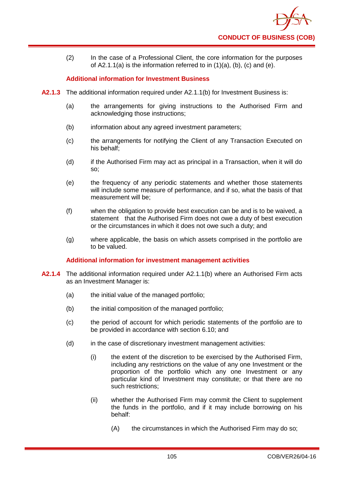

(2) In the case of a Professional Client, the core information for the purposes of A2.1.1(a) is the information referred to in  $(1)(a)$ ,  $(b)$ ,  $(c)$  and  $(e)$ .

### **Additional information for Investment Business**

- **A2.1.3** The additional information required under A2.1.1(b) for Investment Business is:
	- (a) the arrangements for giving instructions to the Authorised Firm and acknowledging those instructions;
	- (b) information about any agreed investment parameters;
	- (c) the arrangements for notifying the Client of any Transaction Executed on his behalf;
	- (d) if the Authorised Firm may act as principal in a Transaction, when it will do so;
	- (e) the frequency of any periodic statements and whether those statements will include some measure of performance, and if so, what the basis of that measurement will be;
	- (f) when the obligation to provide best execution can be and is to be waived, a statement that the Authorised Firm does not owe a duty of best execution or the circumstances in which it does not owe such a duty; and
	- (g) where applicable, the basis on which assets comprised in the portfolio are to be valued.

### **Additional information for investment management activities**

- **A2.1.4** The additional information required under A2.1.1(b) where an Authorised Firm acts as an Investment Manager is:
	- (a) the initial value of the managed portfolio;
	- (b) the initial composition of the managed portfolio;
	- (c) the period of account for which periodic statements of the portfolio are to be provided in accordance with section 6.10; and
	- (d) in the case of discretionary investment management activities:
		- (i) the extent of the discretion to be exercised by the Authorised Firm, including any restrictions on the value of any one Investment or the proportion of the portfolio which any one Investment or any particular kind of Investment may constitute; or that there are no such restrictions;
		- (ii) whether the Authorised Firm may commit the Client to supplement the funds in the portfolio, and if it may include borrowing on his behalf:
			- (A) the circumstances in which the Authorised Firm may do so;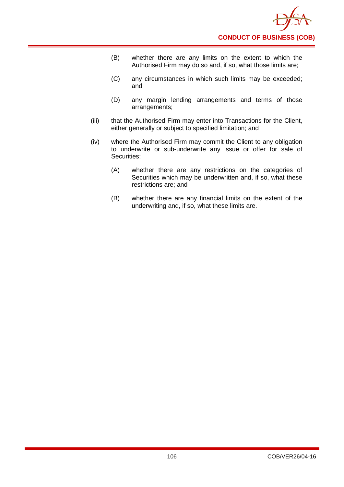- (B) whether there are any limits on the extent to which the Authorised Firm may do so and, if so, what those limits are;
- (C) any circumstances in which such limits may be exceeded; and
- (D) any margin lending arrangements and terms of those arrangements;
- (iii) that the Authorised Firm may enter into Transactions for the Client, either generally or subject to specified limitation; and
- (iv) where the Authorised Firm may commit the Client to any obligation to underwrite or sub-underwrite any issue or offer for sale of Securities:
	- (A) whether there are any restrictions on the categories of Securities which may be underwritten and, if so, what these restrictions are; and
	- (B) whether there are any financial limits on the extent of the underwriting and, if so, what these limits are.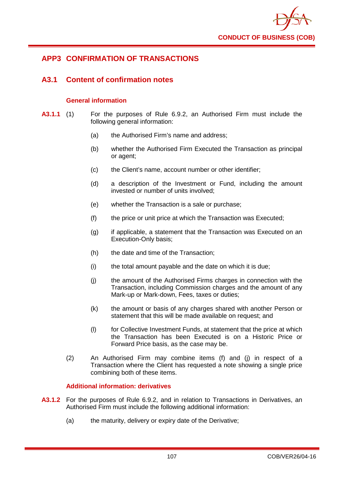

# **APP3 CONFIRMATION OF TRANSACTIONS**

## **A3.1 Content of confirmation notes**

### **General information**

- **A3.1.1** (1) For the purposes of Rule 6.9.2, an Authorised Firm must include the following general information:
	- (a) the Authorised Firm's name and address;
	- (b) whether the Authorised Firm Executed the Transaction as principal or agent;
	- (c) the Client's name, account number or other identifier;
	- (d) a description of the Investment or Fund, including the amount invested or number of units involved;
	- (e) whether the Transaction is a sale or purchase;
	- (f) the price or unit price at which the Transaction was Executed;
	- (g) if applicable, a statement that the Transaction was Executed on an Execution-Only basis;
	- (h) the date and time of the Transaction;
	- (i) the total amount payable and the date on which it is due;
	- (j) the amount of the Authorised Firms charges in connection with the Transaction, including Commission charges and the amount of any Mark-up or Mark-down, Fees, taxes or duties;
	- (k) the amount or basis of any charges shared with another Person or statement that this will be made available on request; and
	- (l) for Collective Investment Funds, at statement that the price at which the Transaction has been Executed is on a Historic Price or Forward Price basis, as the case may be.
	- (2) An Authorised Firm may combine items (f) and (j) in respect of a Transaction where the Client has requested a note showing a single price combining both of these items.

### **Additional information: derivatives**

- **A3.1.2** For the purposes of Rule 6.9.2, and in relation to Transactions in Derivatives, an Authorised Firm must include the following additional information:
	- (a) the maturity, delivery or expiry date of the Derivative;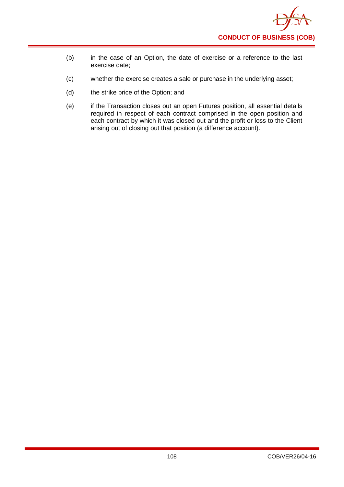- (b) in the case of an Option, the date of exercise or a reference to the last exercise date;
- (c) whether the exercise creates a sale or purchase in the underlying asset;
- (d) the strike price of the Option; and
- (e) if the Transaction closes out an open Futures position, all essential details required in respect of each contract comprised in the open position and each contract by which it was closed out and the profit or loss to the Client arising out of closing out that position (a difference account).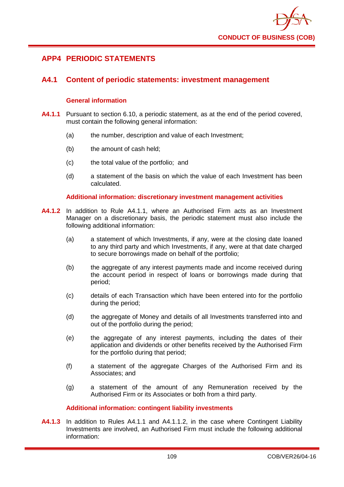

# **APP4 PERIODIC STATEMENTS**

### **A4.1 Content of periodic statements: investment management**

### **General information**

- **A4.1.1** Pursuant to section 6.10, a periodic statement, as at the end of the period covered, must contain the following general information:
	- (a) the number, description and value of each Investment;
	- (b) the amount of cash held;
	- (c) the total value of the portfolio; and
	- (d) a statement of the basis on which the value of each Investment has been calculated.

### **Additional information: discretionary investment management activities**

- **A4.1.2** In addition to Rule A4.1.1, where an Authorised Firm acts as an Investment Manager on a discretionary basis, the periodic statement must also include the following additional information:
	- (a) a statement of which Investments, if any, were at the closing date loaned to any third party and which Investments, if any, were at that date charged to secure borrowings made on behalf of the portfolio;
	- (b) the aggregate of any interest payments made and income received during the account period in respect of loans or borrowings made during that period;
	- (c) details of each Transaction which have been entered into for the portfolio during the period;
	- (d) the aggregate of Money and details of all Investments transferred into and out of the portfolio during the period;
	- (e) the aggregate of any interest payments, including the dates of their application and dividends or other benefits received by the Authorised Firm for the portfolio during that period;
	- (f) a statement of the aggregate Charges of the Authorised Firm and its Associates; and
	- (g) a statement of the amount of any Remuneration received by the Authorised Firm or its Associates or both from a third party.

### **Additional information: contingent liability investments**

**A4.1.3** In addition to Rules A4.1.1 and A4.1.1.2, in the case where Contingent Liability Investments are involved, an Authorised Firm must include the following additional information: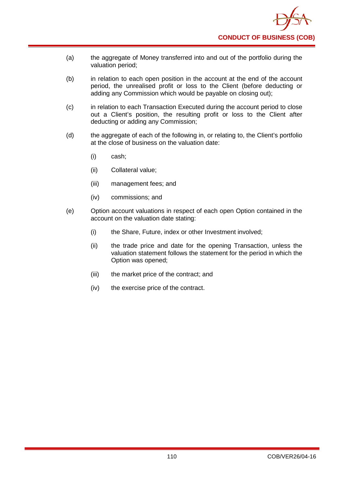- (a) the aggregate of Money transferred into and out of the portfolio during the valuation period;
- (b) in relation to each open position in the account at the end of the account period, the unrealised profit or loss to the Client (before deducting or adding any Commission which would be payable on closing out);
- (c) in relation to each Transaction Executed during the account period to close out a Client's position, the resulting profit or loss to the Client after deducting or adding any Commission;
- (d) the aggregate of each of the following in, or relating to, the Client's portfolio at the close of business on the valuation date:
	- (i) cash;
	- (ii) Collateral value;
	- (iii) management fees; and
	- (iv) commissions; and
- (e) Option account valuations in respect of each open Option contained in the account on the valuation date stating:
	- (i) the Share, Future, index or other Investment involved;
	- (ii) the trade price and date for the opening Transaction, unless the valuation statement follows the statement for the period in which the Option was opened;
	- (iii) the market price of the contract; and
	- (iv) the exercise price of the contract.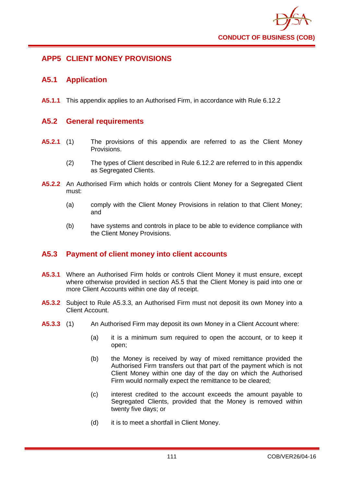

# **APP5 CLIENT MONEY PROVISIONS**

## **A5.1 Application**

**A5.1.1** This appendix applies to an Authorised Firm, in accordance with Rule 6.12.2

### **A5.2 General requirements**

- **A5.2.1** (1) The provisions of this appendix are referred to as the Client Money Provisions.
	- (2) The types of Client described in Rule 6.12.2 are referred to in this appendix as Segregated Clients.
- **A5.2.2** An Authorised Firm which holds or controls Client Money for a Segregated Client must:
	- (a) comply with the Client Money Provisions in relation to that Client Money; and
	- (b) have systems and controls in place to be able to evidence compliance with the Client Money Provisions.

# **A5.3 Payment of client money into client accounts**

- **A5.3.1** Where an Authorised Firm holds or controls Client Money it must ensure, except where otherwise provided in section A5.5 that the Client Money is paid into one or more Client Accounts within one day of receipt.
- **A5.3.2** Subject to Rule A5.3.3, an Authorised Firm must not deposit its own Money into a Client Account.
- **A5.3.3** (1) An Authorised Firm may deposit its own Money in a Client Account where:
	- (a) it is a minimum sum required to open the account, or to keep it open;
	- (b) the Money is received by way of mixed remittance provided the Authorised Firm transfers out that part of the payment which is not Client Money within one day of the day on which the Authorised Firm would normally expect the remittance to be cleared;
	- (c) interest credited to the account exceeds the amount payable to Segregated Clients, provided that the Money is removed within twenty five days; or
	- (d) it is to meet a shortfall in Client Money.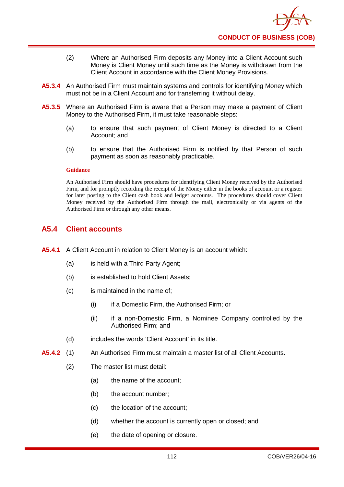- (2) Where an Authorised Firm deposits any Money into a Client Account such Money is Client Money until such time as the Money is withdrawn from the Client Account in accordance with the Client Money Provisions.
- **A5.3.4** An Authorised Firm must maintain systems and controls for identifying Money which must not be in a Client Account and for transferring it without delay.
- **A5.3.5** Where an Authorised Firm is aware that a Person may make a payment of Client Money to the Authorised Firm, it must take reasonable steps:
	- (a) to ensure that such payment of Client Money is directed to a Client Account; and
	- (b) to ensure that the Authorised Firm is notified by that Person of such payment as soon as reasonably practicable.

An Authorised Firm should have procedures for identifying Client Money received by the Authorised Firm, and for promptly recording the receipt of the Money either in the books of account or a register for later posting to the Client cash book and ledger accounts. The procedures should cover Client Money received by the Authorised Firm through the mail, electronically or via agents of the Authorised Firm or through any other means.

## **A5.4 Client accounts**

- **A5.4.1** A Client Account in relation to Client Money is an account which:
	- (a) is held with a Third Party Agent;
	- (b) is established to hold Client Assets;
	- (c) is maintained in the name of;
		- (i) if a Domestic Firm, the Authorised Firm; or
		- (ii) if a non-Domestic Firm, a Nominee Company controlled by the Authorised Firm; and
	- (d) includes the words 'Client Account' in its title.
- **A5.4.2** (1) An Authorised Firm must maintain a master list of all Client Accounts.
	- (2) The master list must detail:
		- (a) the name of the account;
		- (b) the account number;
		- (c) the location of the account;
		- (d) whether the account is currently open or closed; and
		- (e) the date of opening or closure.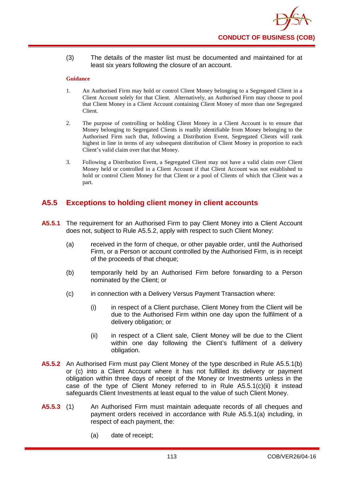(3) The details of the master list must be documented and maintained for at least six years following the closure of an account.

#### **Guidance**

- 1. An Authorised Firm may hold or control Client Money belonging to a Segregated Client in a Client Account solely for that Client. Alternatively, an Authorised Firm may choose to pool that Client Money in a Client Account containing Client Money of more than one Segregated Client.
- 2. The purpose of controlling or holding Client Money in a Client Account is to ensure that Money belonging to Segregated Clients is readily identifiable from Money belonging to the Authorised Firm such that, following a Distribution Event, Segregated Clients will rank highest in line in terms of any subsequent distribution of Client Money in proportion to each Client's valid claim over that that Money.
- 3. Following a Distribution Event, a Segregated Client may not have a valid claim over Client Money held or controlled in a Client Account if that Client Account was not established to hold or control Client Money for that Client or a pool of Clients of which that Client was a part.

# **A5.5 Exceptions to holding client money in client accounts**

- **A5.5.1** The requirement for an Authorised Firm to pay Client Money into a Client Account does not, subject to Rule A5.5.2, apply with respect to such Client Money:
	- (a) received in the form of cheque, or other payable order, until the Authorised Firm, or a Person or account controlled by the Authorised Firm, is in receipt of the proceeds of that cheque;
	- (b) temporarily held by an Authorised Firm before forwarding to a Person nominated by the Client; or
	- (c) in connection with a Delivery Versus Payment Transaction where:
		- (i) in respect of a Client purchase, Client Money from the Client will be due to the Authorised Firm within one day upon the fulfilment of a delivery obligation; or
		- (ii) in respect of a Client sale, Client Money will be due to the Client within one day following the Client's fulfilment of a delivery obligation.
- **A5.5.2** An Authorised Firm must pay Client Money of the type described in Rule A5.5.1(b) or (c) into a Client Account where it has not fulfilled its delivery or payment obligation within three days of receipt of the Money or Investments unless in the case of the type of Client Money referred to in Rule A5.5.1(c)(ii) it instead safeguards Client Investments at least equal to the value of such Client Money.
- **A5.5.3** (1) An Authorised Firm must maintain adequate records of all cheques and payment orders received in accordance with Rule A5.5.1(a) including, in respect of each payment, the:
	- (a) date of receipt;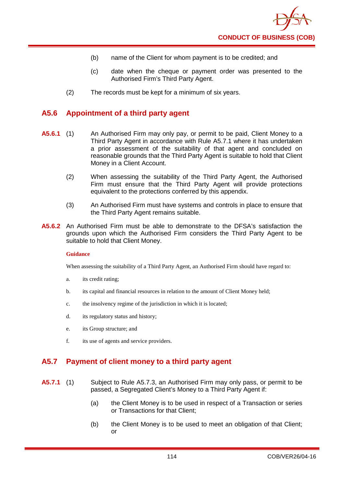- (b) name of the Client for whom payment is to be credited; and
- (c) date when the cheque or payment order was presented to the Authorised Firm's Third Party Agent.
- (2) The records must be kept for a minimum of six years.

### **A5.6 Appointment of a third party agent**

- **A5.6.1** (1) An Authorised Firm may only pay, or permit to be paid, Client Money to a Third Party Agent in accordance with Rule A5.7.1 where it has undertaken a prior assessment of the suitability of that agent and concluded on reasonable grounds that the Third Party Agent is suitable to hold that Client Money in a Client Account.
	- (2) When assessing the suitability of the Third Party Agent, the Authorised Firm must ensure that the Third Party Agent will provide protections equivalent to the protections conferred by this appendix.
	- (3) An Authorised Firm must have systems and controls in place to ensure that the Third Party Agent remains suitable.
- **A5.6.2** An Authorised Firm must be able to demonstrate to the DFSA's satisfaction the grounds upon which the Authorised Firm considers the Third Party Agent to be suitable to hold that Client Money.

#### **Guidance**

When assessing the suitability of a Third Party Agent, an Authorised Firm should have regard to:

- a. its credit rating;
- b. its capital and financial resources in relation to the amount of Client Money held;
- c. the insolvency regime of the jurisdiction in which it is located;
- d. its regulatory status and history;
- e. its Group structure; and
- f. its use of agents and service providers.

# **A5.7 Payment of client money to a third party agent**

- **A5.7.1** (1) Subject to Rule A5.7.3, an Authorised Firm may only pass, or permit to be passed, a Segregated Client's Money to a Third Party Agent if:
	- (a) the Client Money is to be used in respect of a Transaction or series or Transactions for that Client;
	- (b) the Client Money is to be used to meet an obligation of that Client; or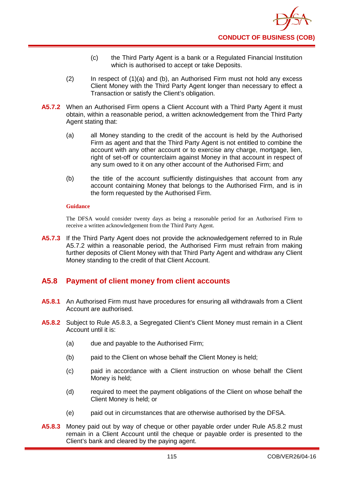- (c) the Third Party Agent is a bank or a Regulated Financial Institution which is authorised to accept or take Deposits.
- (2) In respect of (1)(a) and (b), an Authorised Firm must not hold any excess Client Money with the Third Party Agent longer than necessary to effect a Transaction or satisfy the Client's obligation.
- **A5.7.2** When an Authorised Firm opens a Client Account with a Third Party Agent it must obtain, within a reasonable period, a written acknowledgement from the Third Party Agent stating that:
	- (a) all Money standing to the credit of the account is held by the Authorised Firm as agent and that the Third Party Agent is not entitled to combine the account with any other account or to exercise any charge, mortgage, lien, right of set-off or counterclaim against Money in that account in respect of any sum owed to it on any other account of the Authorised Firm; and
	- (b) the title of the account sufficiently distinguishes that account from any account containing Money that belongs to the Authorised Firm, and is in the form requested by the Authorised Firm.

The DFSA would consider twenty days as being a reasonable period for an Authorised Firm to receive a written acknowledgement from the Third Party Agent.

**A5.7.3** If the Third Party Agent does not provide the acknowledgement referred to in Rule A5.7.2 within a reasonable period, the Authorised Firm must refrain from making further deposits of Client Money with that Third Party Agent and withdraw any Client Money standing to the credit of that Client Account.

# **A5.8 Payment of client money from client accounts**

- **A5.8.1** An Authorised Firm must have procedures for ensuring all withdrawals from a Client Account are authorised.
- **A5.8.2** Subject to Rule A5.8.3, a Segregated Client's Client Money must remain in a Client Account until it is:
	- (a) due and payable to the Authorised Firm;
	- (b) paid to the Client on whose behalf the Client Money is held;
	- (c) paid in accordance with a Client instruction on whose behalf the Client Money is held;
	- (d) required to meet the payment obligations of the Client on whose behalf the Client Money is held; or
	- (e) paid out in circumstances that are otherwise authorised by the DFSA.
- **A5.8.3** Money paid out by way of cheque or other payable order under Rule A5.8.2 must remain in a Client Account until the cheque or payable order is presented to the Client's bank and cleared by the paying agent.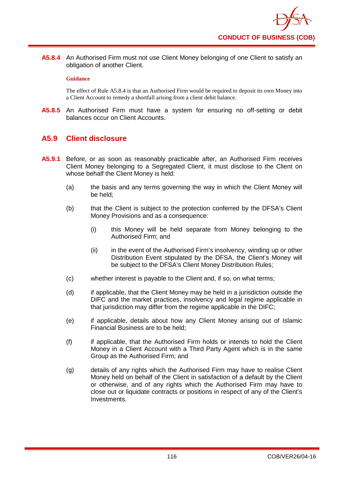**A5.8.4** An Authorised Firm must not use Client Money belonging of one Client to satisfy an obligation of another Client.

#### **Guidance**

The effect of Rule A5.8.4 is that an Authorised Firm would be required to deposit its own Money into a Client Account to remedy a shortfall arising from a client debit balance.

**A5.8.5** An Authorised Firm must have a system for ensuring no off-setting or debit balances occur on Client Accounts.

## **A5.9 Client disclosure**

- **A5.9.1** Before, or as soon as reasonably practicable after, an Authorised Firm receives Client Money belonging to a Segregated Client, it must disclose to the Client on whose behalf the Client Money is held:
	- (a) the basis and any terms governing the way in which the Client Money will be held;
	- (b) that the Client is subject to the protection conferred by the DFSA's Client Money Provisions and as a consequence:
		- (i) this Money will be held separate from Money belonging to the Authorised Firm; and
		- (ii) in the event of the Authorised Firm's insolvency, winding up or other Distribution Event stipulated by the DFSA, the Client's Money will be subject to the DFSA's Client Money Distribution Rules;
	- (c) whether interest is payable to the Client and, if so, on what terms;
	- (d) if applicable, that the Client Money may be held in a jurisdiction outside the DIFC and the market practices, insolvency and legal regime applicable in that jurisdiction may differ from the regime applicable in the DIFC;
	- (e) if applicable, details about how any Client Money arising out of Islamic Financial Business are to be held;
	- (f) if applicable, that the Authorised Firm holds or intends to hold the Client Money in a Client Account with a Third Party Agent which is in the same Group as the Authorised Firm; and
	- (g) details of any rights which the Authorised Firm may have to realise Client Money held on behalf of the Client in satisfaction of a default by the Client or otherwise, and of any rights which the Authorised Firm may have to close out or liquidate contracts or positions in respect of any of the Client's Investments.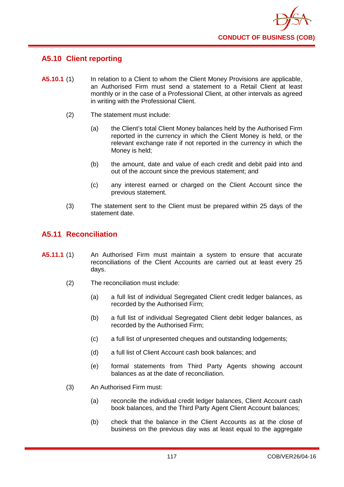

# **A5.10 Client reporting**

- **A5.10.1** (1) In relation to a Client to whom the Client Money Provisions are applicable, an Authorised Firm must send a statement to a Retail Client at least monthly or in the case of a Professional Client, at other intervals as agreed in writing with the Professional Client.
	- (2) The statement must include:
		- (a) the Client's total Client Money balances held by the Authorised Firm reported in the currency in which the Client Money is held, or the relevant exchange rate if not reported in the currency in which the Money is held;
		- (b) the amount, date and value of each credit and debit paid into and out of the account since the previous statement; and
		- (c) any interest earned or charged on the Client Account since the previous statement.
	- (3) The statement sent to the Client must be prepared within 25 days of the statement date.

# **A5.11 Reconciliation**

- **A5.11.1** (1) An Authorised Firm must maintain a system to ensure that accurate reconciliations of the Client Accounts are carried out at least every 25 days.
	- (2) The reconciliation must include:
		- (a) a full list of individual Segregated Client credit ledger balances, as recorded by the Authorised Firm;
		- (b) a full list of individual Segregated Client debit ledger balances, as recorded by the Authorised Firm;
		- (c) a full list of unpresented cheques and outstanding lodgements;
		- (d) a full list of Client Account cash book balances; and
		- (e) formal statements from Third Party Agents showing account balances as at the date of reconciliation.
	- (3) An Authorised Firm must:
		- (a) reconcile the individual credit ledger balances, Client Account cash book balances, and the Third Party Agent Client Account balances;
		- (b) check that the balance in the Client Accounts as at the close of business on the previous day was at least equal to the aggregate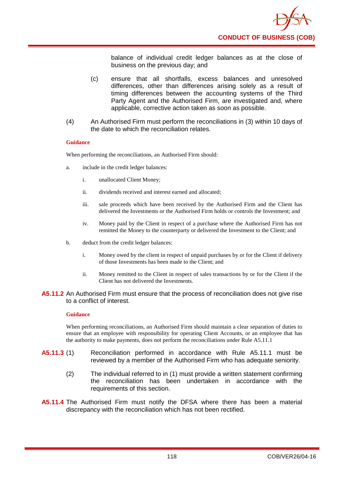balance of individual credit ledger balances as at the close of business on the previous day; and

- (c) ensure that all shortfalls, excess balances and unresolved differences, other than differences arising solely as a result of timing differences between the accounting systems of the Third Party Agent and the Authorised Firm, are investigated and, where applicable, corrective action taken as soon as possible.
- (4) An Authorised Firm must perform the reconciliations in (3) within 10 days of the date to which the reconciliation relates.

#### **Guidance**

When performing the reconciliations, an Authorised Firm should:

- a. include in the credit ledger balances:
	- i. unallocated Client Money;
	- ii. dividends received and interest earned and allocated;
	- iii. sale proceeds which have been received by the Authorised Firm and the Client has delivered the Investments or the Authorised Firm holds or controls the Investment; and
	- iv. Money paid by the Client in respect of a purchase where the Authorised Firm has not remitted the Money to the counterparty or delivered the Investment to the Client; and
- b. deduct from the credit ledger balances:
	- i. Money owed by the client in respect of unpaid purchases by or for the Client if delivery of those Investments has been made to the Client; and
	- ii. Money remitted to the Client in respect of sales transactions by or for the Client if the Client has not delivered the Investments.

#### **A5.11.2** An Authorised Firm must ensure that the process of reconciliation does not give rise to a conflict of interest.

#### **Guidance**

When performing reconciliations, an Authorised Firm should maintain a clear separation of duties to ensure that an employee with responsibility for operating Client Accounts, or an employee that has the authority to make payments, does not perform the reconciliations under Rule A5.11.1

- **A5.11.3** (1) Reconciliation performed in accordance with Rule A5.11.1 must be reviewed by a member of the Authorised Firm who has adequate seniority.
	- (2) The individual referred to in (1) must provide a written statement confirming the reconciliation has been undertaken in accordance with the requirements of this section.
- **A5.11.4** The Authorised Firm must notify the DFSA where there has been a material discrepancy with the reconciliation which has not been rectified.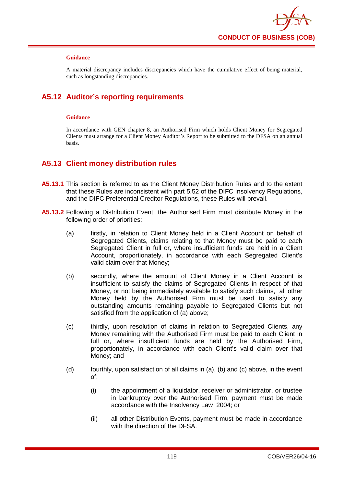

A material discrepancy includes discrepancies which have the cumulative effect of being material, such as longstanding discrepancies.

# **A5.12 Auditor's reporting requirements**

#### **Guidance**

In accordance with GEN chapter 8, an Authorised Firm which holds Client Money for Segregated Clients must arrange for a Client Money Auditor's Report to be submitted to the DFSA on an annual basis.

## **A5.13 Client money distribution rules**

- **A5.13.1** This section is referred to as the Client Money Distribution Rules and to the extent that these Rules are inconsistent with part 5.52 of the DIFC Insolvency Regulations, and the DIFC Preferential Creditor Regulations, these Rules will prevail.
- **A5.13.2** Following a Distribution Event, the Authorised Firm must distribute Money in the following order of priorities:
	- (a) firstly, in relation to Client Money held in a Client Account on behalf of Segregated Clients, claims relating to that Money must be paid to each Segregated Client in full or, where insufficient funds are held in a Client Account, proportionately, in accordance with each Segregated Client's valid claim over that Money;
	- (b) secondly, where the amount of Client Money in a Client Account is insufficient to satisfy the claims of Segregated Clients in respect of that Money, or not being immediately available to satisfy such claims, all other Money held by the Authorised Firm must be used to satisfy any outstanding amounts remaining payable to Segregated Clients but not satisfied from the application of (a) above;
	- (c) thirdly, upon resolution of claims in relation to Segregated Clients, any Money remaining with the Authorised Firm must be paid to each Client in full or, where insufficient funds are held by the Authorised Firm, proportionately, in accordance with each Client's valid claim over that Money; and
	- (d) fourthly, upon satisfaction of all claims in (a), (b) and (c) above, in the event of:
		- (i) the appointment of a liquidator, receiver or administrator, or trustee in bankruptcy over the Authorised Firm, payment must be made accordance with the Insolvency Law 2004; or
		- (ii) all other Distribution Events, payment must be made in accordance with the direction of the DFSA.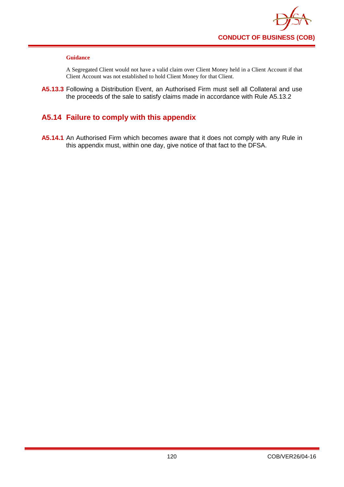

A Segregated Client would not have a valid claim over Client Money held in a Client Account if that Client Account was not established to hold Client Money for that Client.

**A5.13.3** Following a Distribution Event, an Authorised Firm must sell all Collateral and use the proceeds of the sale to satisfy claims made in accordance with Rule A5.13.2

## **A5.14 Failure to comply with this appendix**

**A5.14.1** An Authorised Firm which becomes aware that it does not comply with any Rule in this appendix must, within one day, give notice of that fact to the DFSA.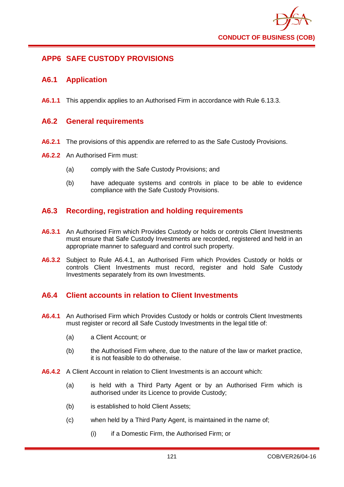

# **APP6 SAFE CUSTODY PROVISIONS**

### **A6.1 Application**

**A6.1.1** This appendix applies to an Authorised Firm in accordance with Rule 6.13.3.

### **A6.2 General requirements**

- **A6.2.1** The provisions of this appendix are referred to as the Safe Custody Provisions.
- **A6.2.2** An Authorised Firm must:
	- (a) comply with the Safe Custody Provisions; and
	- (b) have adequate systems and controls in place to be able to evidence compliance with the Safe Custody Provisions.

### **A6.3 Recording, registration and holding requirements**

- **A6.3.1** An Authorised Firm which Provides Custody or holds or controls Client Investments must ensure that Safe Custody Investments are recorded, registered and held in an appropriate manner to safeguard and control such property.
- **A6.3.2** Subject to Rule A6.4.1, an Authorised Firm which Provides Custody or holds or controls Client Investments must record, register and hold Safe Custody Investments separately from its own Investments.

### **A6.4 Client accounts in relation to Client Investments**

- **A6.4.1** An Authorised Firm which Provides Custody or holds or controls Client Investments must register or record all Safe Custody Investments in the legal title of:
	- (a) a Client Account; or
	- (b) the Authorised Firm where, due to the nature of the law or market practice, it is not feasible to do otherwise.
- **A6.4.2** A Client Account in relation to Client Investments is an account which:
	- (a) is held with a Third Party Agent or by an Authorised Firm which is authorised under its Licence to provide Custody;
	- (b) is established to hold Client Assets;
	- (c) when held by a Third Party Agent, is maintained in the name of;
		- (i) if a Domestic Firm, the Authorised Firm; or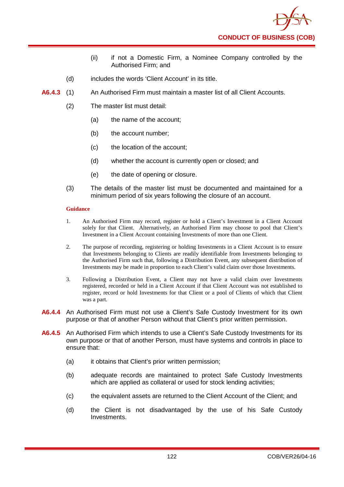- (ii) if not a Domestic Firm, a Nominee Company controlled by the Authorised Firm; and
- (d) includes the words 'Client Account' in its title.
- **A6.4.3** (1) An Authorised Firm must maintain a master list of all Client Accounts.
	- (2) The master list must detail:
		- (a) the name of the account;
		- (b) the account number;
		- (c) the location of the account;
		- (d) whether the account is currently open or closed; and
		- (e) the date of opening or closure.
	- (3) The details of the master list must be documented and maintained for a minimum period of six years following the closure of an account.

- 1. An Authorised Firm may record, register or hold a Client's Investment in a Client Account solely for that Client. Alternatively, an Authorised Firm may choose to pool that Client's Investment in a Client Account containing Investments of more than one Client.
- 2. The purpose of recording, registering or holding Investments in a Client Account is to ensure that Investments belonging to Clients are readily identifiable from Investments belonging to the Authorised Firm such that, following a Distribution Event, any subsequent distribution of Investments may be made in proportion to each Client's valid claim over those Investments.
- 3. Following a Distribution Event, a Client may not have a valid claim over Investments registered, recorded or held in a Client Account if that Client Account was not established to register, record or hold Investments for that Client or a pool of Clients of which that Client was a part.
- **A6.4.4** An Authorised Firm must not use a Client's Safe Custody Investment for its own purpose or that of another Person without that Client's prior written permission.
- **A6.4.5** An Authorised Firm which intends to use a Client's Safe Custody Investments for its own purpose or that of another Person, must have systems and controls in place to ensure that:
	- (a) it obtains that Client's prior written permission;
	- (b) adequate records are maintained to protect Safe Custody Investments which are applied as collateral or used for stock lending activities;
	- (c) the equivalent assets are returned to the Client Account of the Client; and
	- (d) the Client is not disadvantaged by the use of his Safe Custody Investments.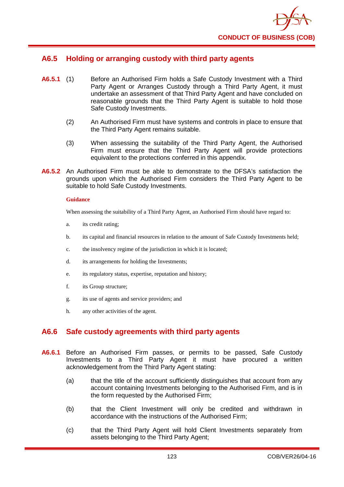

# **A6.5 Holding or arranging custody with third party agents**

- **A6.5.1** (1) Before an Authorised Firm holds a Safe Custody Investment with a Third Party Agent or Arranges Custody through a Third Party Agent, it must undertake an assessment of that Third Party Agent and have concluded on reasonable grounds that the Third Party Agent is suitable to hold those Safe Custody Investments.
	- (2) An Authorised Firm must have systems and controls in place to ensure that the Third Party Agent remains suitable.
	- (3) When assessing the suitability of the Third Party Agent, the Authorised Firm must ensure that the Third Party Agent will provide protections equivalent to the protections conferred in this appendix.
- **A6.5.2** An Authorised Firm must be able to demonstrate to the DFSA's satisfaction the grounds upon which the Authorised Firm considers the Third Party Agent to be suitable to hold Safe Custody Investments.

#### **Guidance**

When assessing the suitability of a Third Party Agent, an Authorised Firm should have regard to:

- a. its credit rating;
- b. its capital and financial resources in relation to the amount of Safe Custody Investments held;
- c. the insolvency regime of the jurisdiction in which it is located;
- d. its arrangements for holding the Investments;
- e. its regulatory status, expertise, reputation and history;
- f. its Group structure;
- g. its use of agents and service providers; and
- h. any other activities of the agent.

### **A6.6 Safe custody agreements with third party agents**

- **A6.6.1** Before an Authorised Firm passes, or permits to be passed, Safe Custody Investments to a Third Party Agent it must have procured a written acknowledgement from the Third Party Agent stating:
	- (a) that the title of the account sufficiently distinguishes that account from any account containing Investments belonging to the Authorised Firm, and is in the form requested by the Authorised Firm;
	- (b) that the Client Investment will only be credited and withdrawn in accordance with the instructions of the Authorised Firm;
	- (c) that the Third Party Agent will hold Client Investments separately from assets belonging to the Third Party Agent;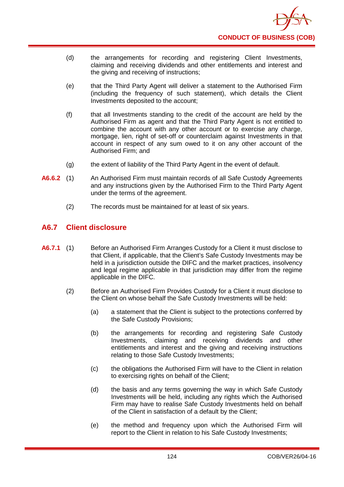- (d) the arrangements for recording and registering Client Investments, claiming and receiving dividends and other entitlements and interest and the giving and receiving of instructions;
- (e) that the Third Party Agent will deliver a statement to the Authorised Firm (including the frequency of such statement), which details the Client Investments deposited to the account;
- (f) that all Investments standing to the credit of the account are held by the Authorised Firm as agent and that the Third Party Agent is not entitled to combine the account with any other account or to exercise any charge, mortgage, lien, right of set-off or counterclaim against Investments in that account in respect of any sum owed to it on any other account of the Authorised Firm; and
- (g) the extent of liability of the Third Party Agent in the event of default.
- **A6.6.2** (1) An Authorised Firm must maintain records of all Safe Custody Agreements and any instructions given by the Authorised Firm to the Third Party Agent under the terms of the agreement.
	- (2) The records must be maintained for at least of six years.

# **A6.7 Client disclosure**

- **A6.7.1** (1) Before an Authorised Firm Arranges Custody for a Client it must disclose to that Client, if applicable, that the Client's Safe Custody Investments may be held in a jurisdiction outside the DIFC and the market practices, insolvency and legal regime applicable in that jurisdiction may differ from the regime applicable in the DIFC.
	- (2) Before an Authorised Firm Provides Custody for a Client it must disclose to the Client on whose behalf the Safe Custody Investments will be held:
		- (a) a statement that the Client is subject to the protections conferred by the Safe Custody Provisions;
		- (b) the arrangements for recording and registering Safe Custody Investments, claiming and receiving dividends and other entitlements and interest and the giving and receiving instructions relating to those Safe Custody Investments;
		- (c) the obligations the Authorised Firm will have to the Client in relation to exercising rights on behalf of the Client;
		- (d) the basis and any terms governing the way in which Safe Custody Investments will be held, including any rights which the Authorised Firm may have to realise Safe Custody Investments held on behalf of the Client in satisfaction of a default by the Client;
		- (e) the method and frequency upon which the Authorised Firm will report to the Client in relation to his Safe Custody Investments;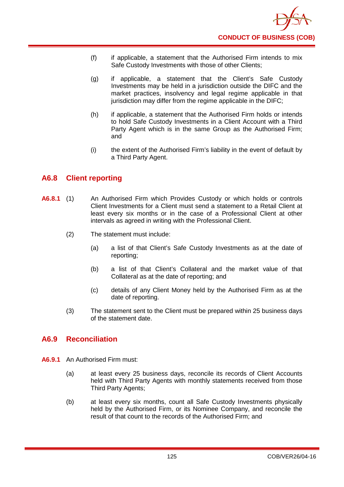- (f) if applicable, a statement that the Authorised Firm intends to mix Safe Custody Investments with those of other Clients;
- (g) if applicable, a statement that the Client's Safe Custody Investments may be held in a jurisdiction outside the DIFC and the market practices, insolvency and legal regime applicable in that jurisdiction may differ from the regime applicable in the DIFC;
- (h) if applicable, a statement that the Authorised Firm holds or intends to hold Safe Custody Investments in a Client Account with a Third Party Agent which is in the same Group as the Authorised Firm; and
- (i) the extent of the Authorised Firm's liability in the event of default by a Third Party Agent.

# **A6.8 Client reporting**

- **A6.8.1** (1) An Authorised Firm which Provides Custody or which holds or controls Client Investments for a Client must send a statement to a Retail Client at least every six months or in the case of a Professional Client at other intervals as agreed in writing with the Professional Client.
	- (2) The statement must include:
		- (a) a list of that Client's Safe Custody Investments as at the date of reporting;
		- (b) a list of that Client's Collateral and the market value of that Collateral as at the date of reporting; and
		- (c) details of any Client Money held by the Authorised Firm as at the date of reporting.
	- (3) The statement sent to the Client must be prepared within 25 business days of the statement date.

# **A6.9 Reconciliation**

- **A6.9.1** An Authorised Firm must:
	- (a) at least every 25 business days, reconcile its records of Client Accounts held with Third Party Agents with monthly statements received from those Third Party Agents;
	- (b) at least every six months, count all Safe Custody Investments physically held by the Authorised Firm, or its Nominee Company, and reconcile the result of that count to the records of the Authorised Firm; and